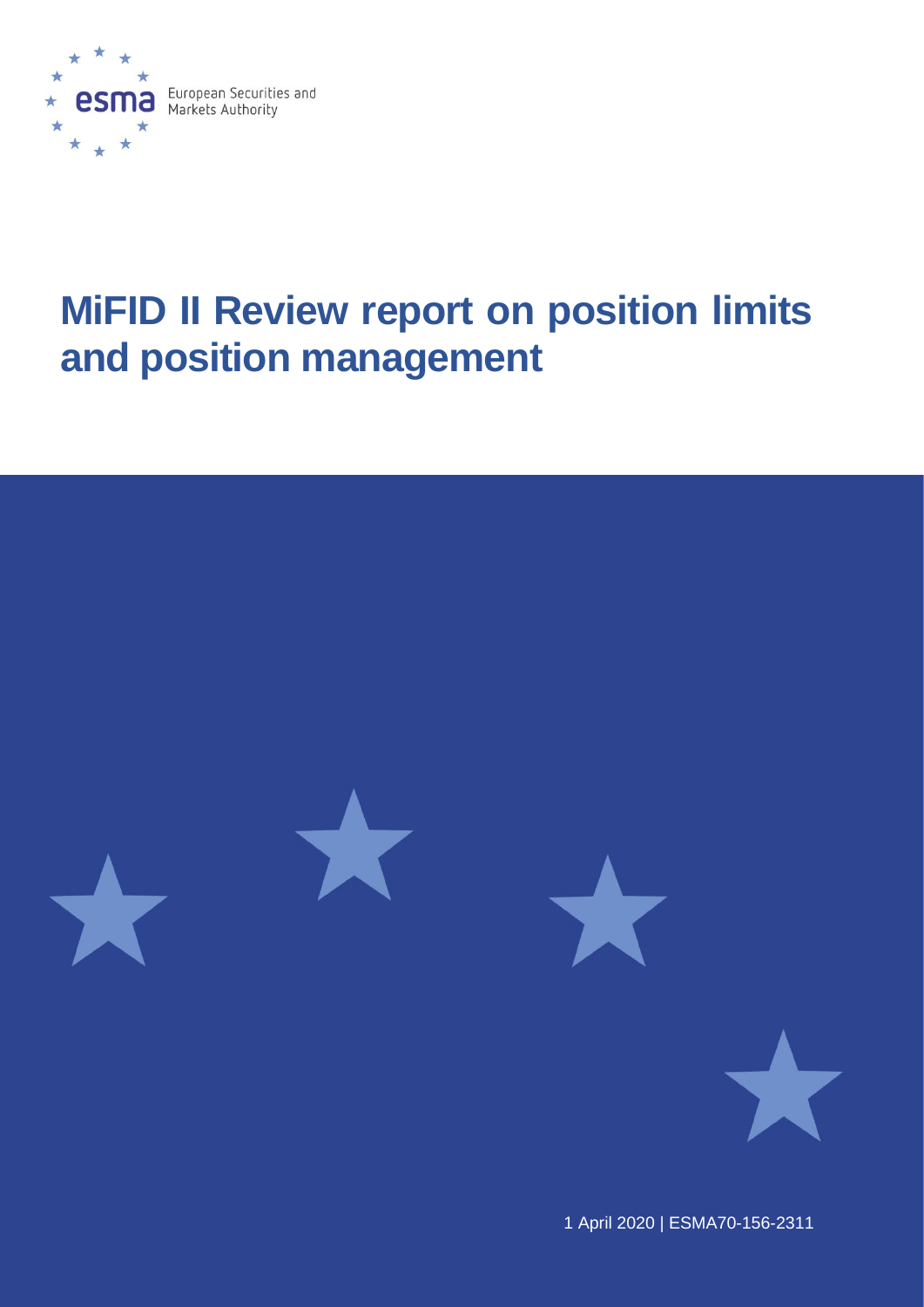

# **MiFID II Review report on position limits and position management**



1 April 2020 | [ESMA7](https://sherpa.esma.europa.eu/sites/MKT/SMK/_layouts/15/DocIdRedir.aspx?ID=ESMA70-156-1484)0-156-2311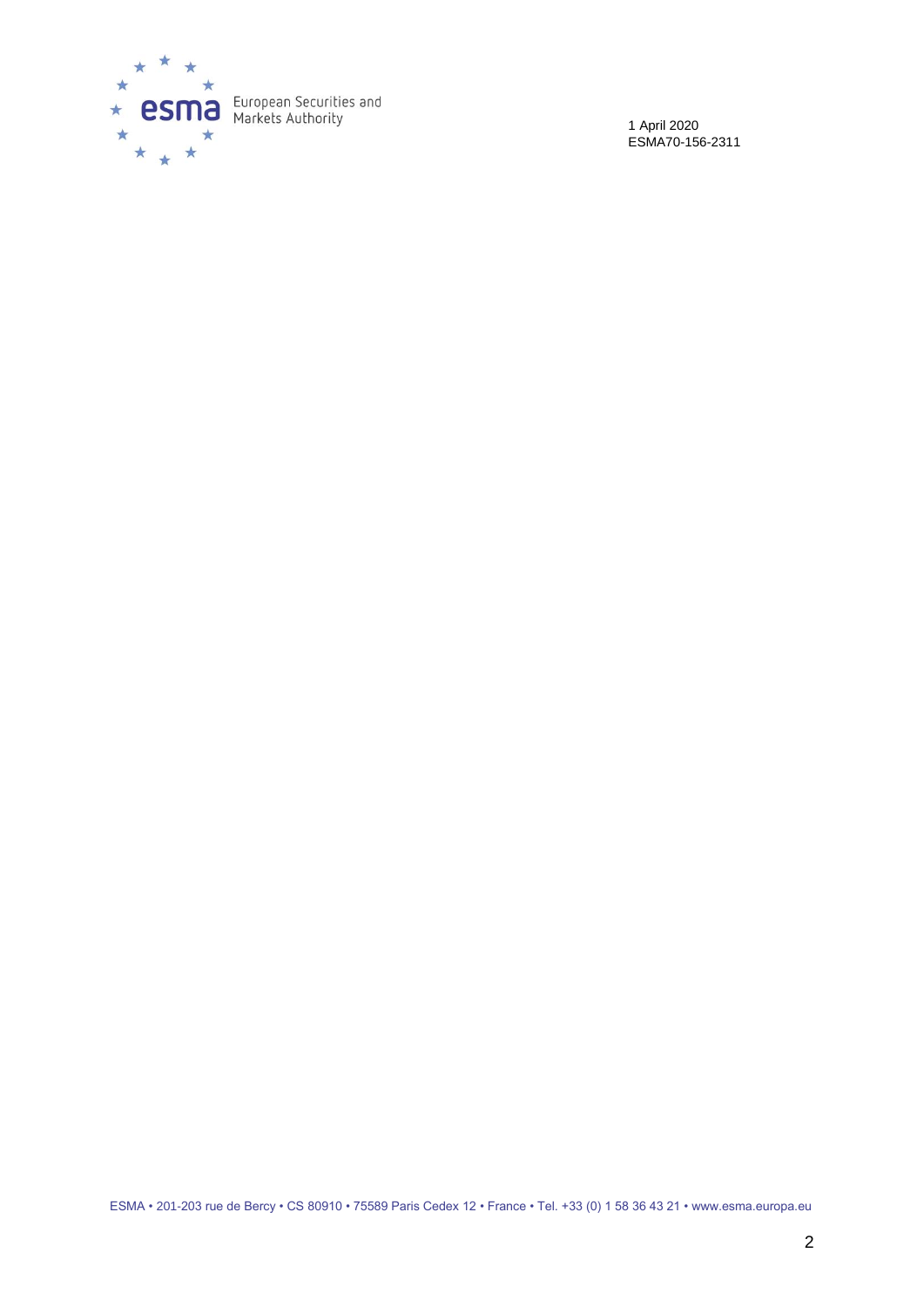

1 April 2020 ESMA70-156-2311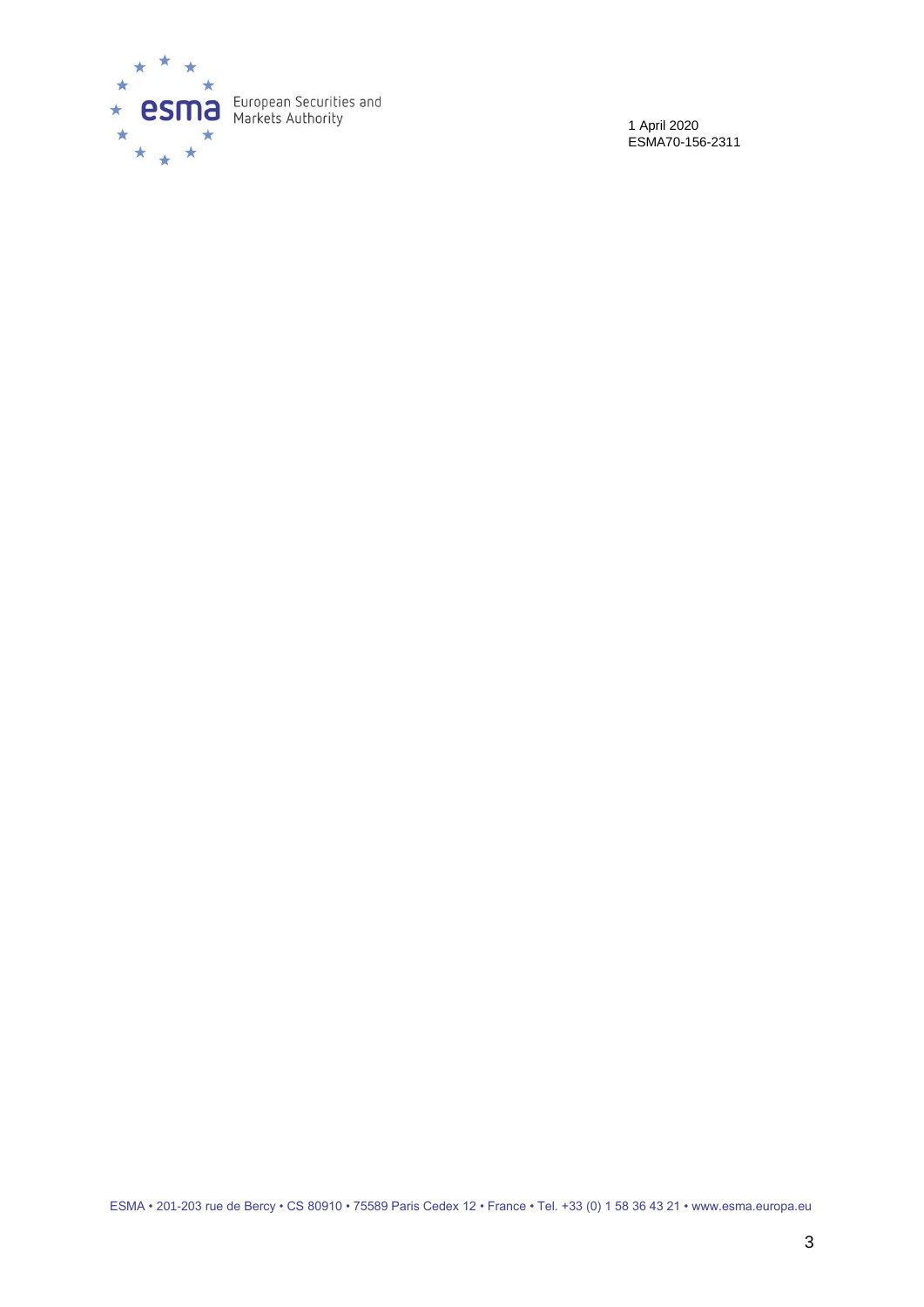

1 April 2020 ESMA70-156-2311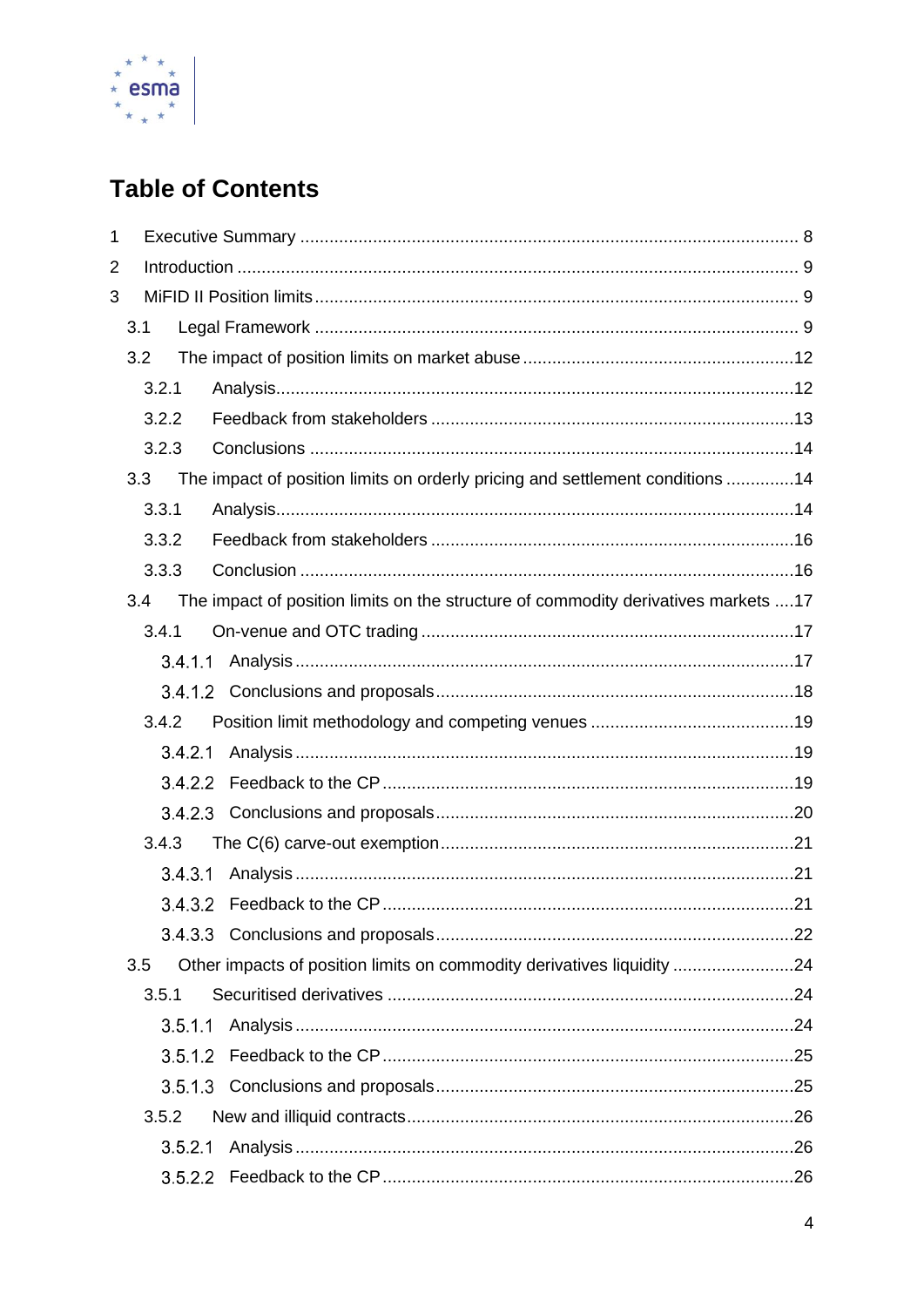

# **Table of Contents**

| $\mathbf{1}$   |         |                                                                                    |  |  |
|----------------|---------|------------------------------------------------------------------------------------|--|--|
| $\overline{2}$ |         |                                                                                    |  |  |
| 3              |         |                                                                                    |  |  |
|                | 3.1     |                                                                                    |  |  |
|                | 3.2     |                                                                                    |  |  |
|                | 3.2.1   |                                                                                    |  |  |
|                | 3.2.2   |                                                                                    |  |  |
|                | 3.2.3   |                                                                                    |  |  |
|                | 3.3     | The impact of position limits on orderly pricing and settlement conditions 14      |  |  |
|                | 3.3.1   |                                                                                    |  |  |
|                | 3.3.2   |                                                                                    |  |  |
|                | 3.3.3   |                                                                                    |  |  |
|                | 3.4     | The impact of position limits on the structure of commodity derivatives markets 17 |  |  |
|                | 3.4.1   |                                                                                    |  |  |
|                |         |                                                                                    |  |  |
|                |         |                                                                                    |  |  |
|                | 3.4.2   |                                                                                    |  |  |
|                | 3.42.1  |                                                                                    |  |  |
|                |         |                                                                                    |  |  |
|                |         |                                                                                    |  |  |
|                | 3.4.3   |                                                                                    |  |  |
|                | 3.43.1  |                                                                                    |  |  |
|                |         |                                                                                    |  |  |
|                |         |                                                                                    |  |  |
|                | 3.5     | Other impacts of position limits on commodity derivatives liquidity 24             |  |  |
|                | 3.5.1   |                                                                                    |  |  |
|                | 3.5.1.1 |                                                                                    |  |  |
|                |         |                                                                                    |  |  |
|                |         |                                                                                    |  |  |
|                | 3.5.2   |                                                                                    |  |  |
|                | 3.5.2.1 |                                                                                    |  |  |
|                |         |                                                                                    |  |  |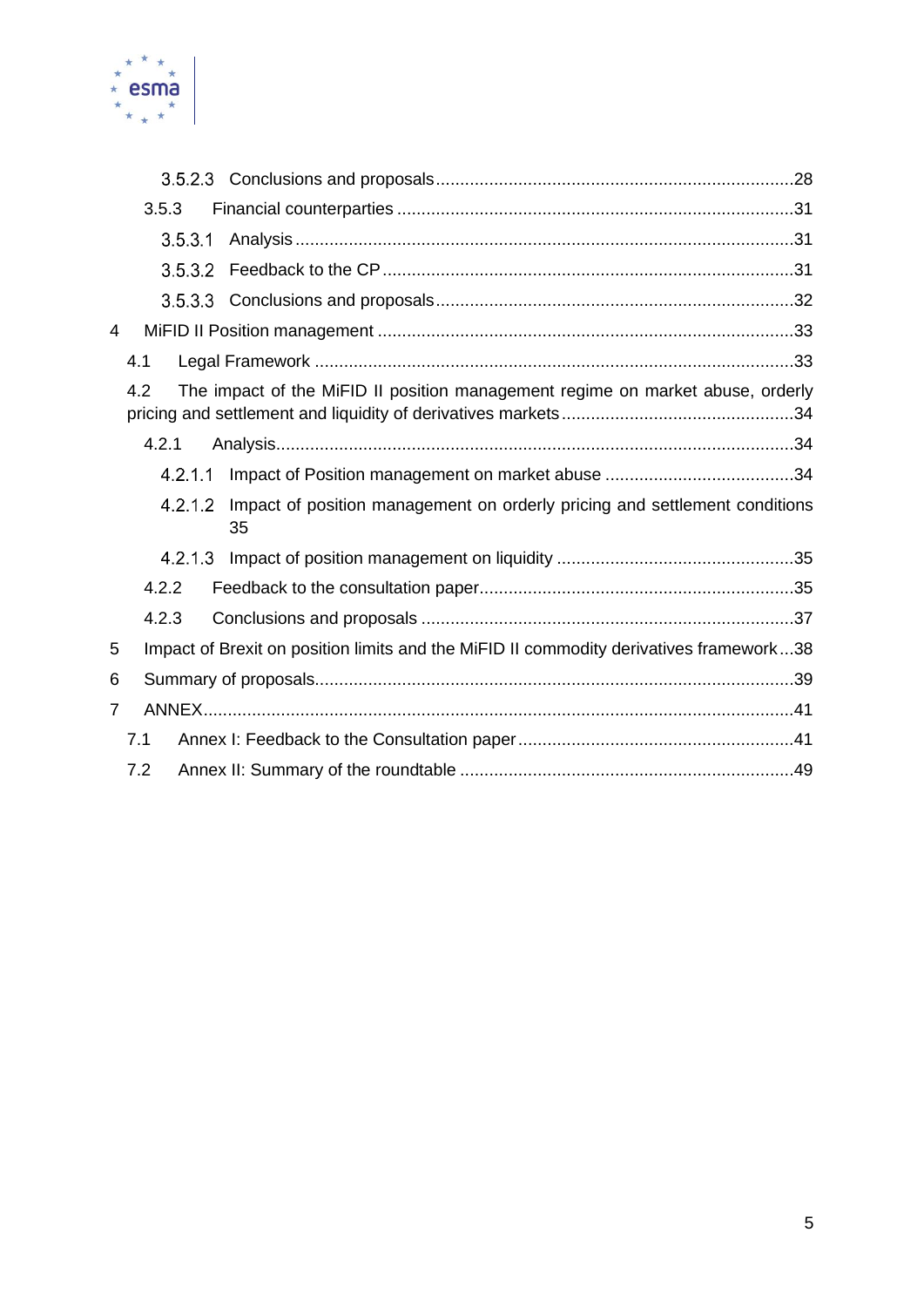

|                | 3.5.3                                                                                 |         |                                                                                        |  |  |
|----------------|---------------------------------------------------------------------------------------|---------|----------------------------------------------------------------------------------------|--|--|
|                |                                                                                       | 3.5.3.1 |                                                                                        |  |  |
|                |                                                                                       | 3.5.3.2 |                                                                                        |  |  |
|                |                                                                                       |         |                                                                                        |  |  |
| 4              |                                                                                       |         |                                                                                        |  |  |
|                | 4.1                                                                                   |         |                                                                                        |  |  |
|                | The impact of the MiFID II position management regime on market abuse, orderly<br>4.2 |         |                                                                                        |  |  |
|                | 4.2.1                                                                                 |         |                                                                                        |  |  |
|                |                                                                                       | 4.2.1.1 |                                                                                        |  |  |
|                |                                                                                       | 4.2.1.2 | Impact of position management on orderly pricing and settlement conditions<br>35       |  |  |
|                |                                                                                       | 4.2.1.3 |                                                                                        |  |  |
|                | 4.2.2                                                                                 |         |                                                                                        |  |  |
|                | 4.2.3                                                                                 |         |                                                                                        |  |  |
| 5              |                                                                                       |         | Impact of Brexit on position limits and the MiFID II commodity derivatives framework38 |  |  |
| 6              |                                                                                       |         |                                                                                        |  |  |
| $\overline{7}$ |                                                                                       |         |                                                                                        |  |  |
|                | 7.1                                                                                   |         |                                                                                        |  |  |
|                | 7.2                                                                                   |         |                                                                                        |  |  |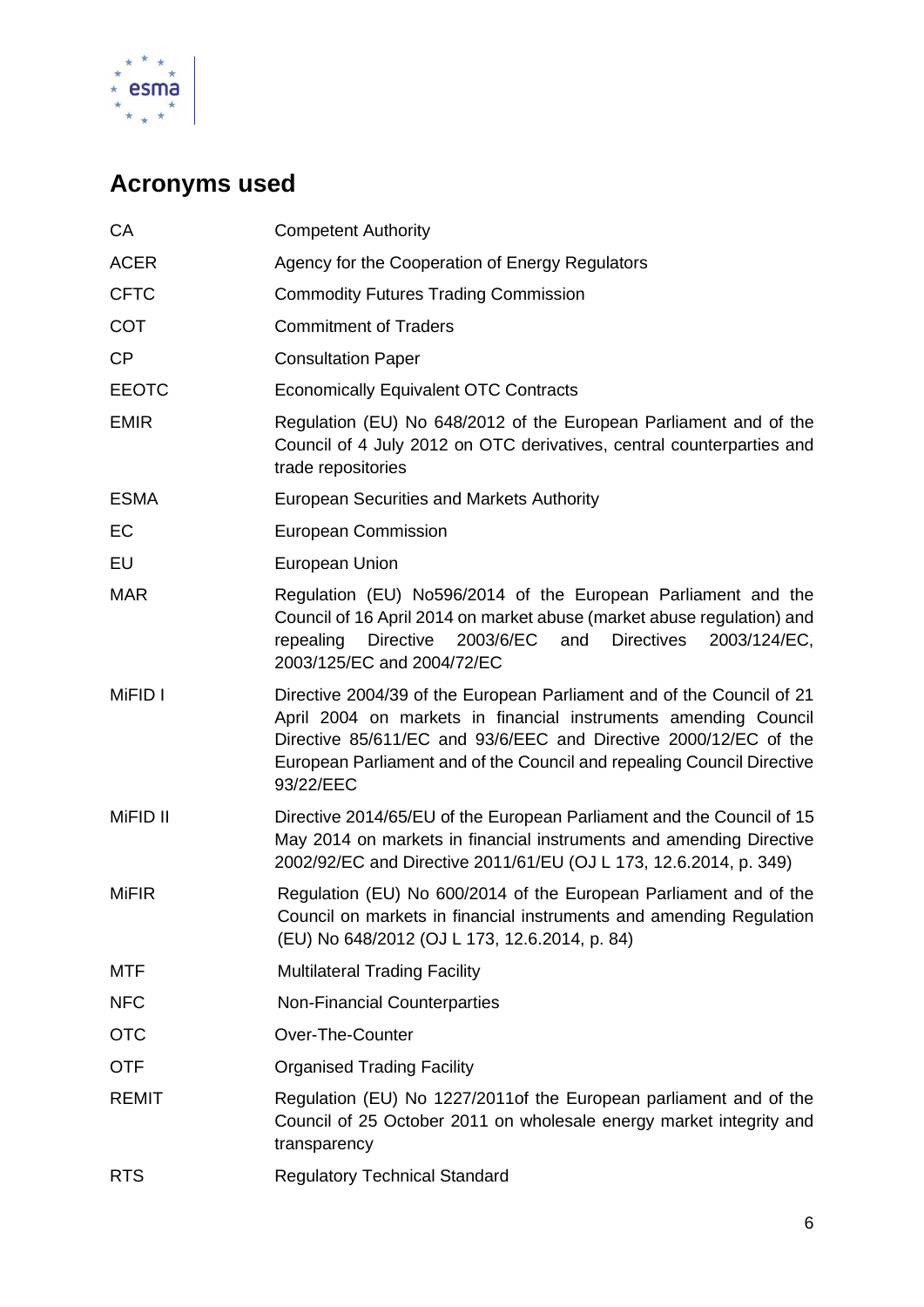

# **Acronyms used**

| CA           | <b>Competent Authority</b>                                                                                                                                                                                                                                                                          |
|--------------|-----------------------------------------------------------------------------------------------------------------------------------------------------------------------------------------------------------------------------------------------------------------------------------------------------|
| <b>ACER</b>  | Agency for the Cooperation of Energy Regulators                                                                                                                                                                                                                                                     |
| <b>CFTC</b>  | <b>Commodity Futures Trading Commission</b>                                                                                                                                                                                                                                                         |
| COT          | <b>Commitment of Traders</b>                                                                                                                                                                                                                                                                        |
| <b>CP</b>    | <b>Consultation Paper</b>                                                                                                                                                                                                                                                                           |
| <b>EEOTC</b> | <b>Economically Equivalent OTC Contracts</b>                                                                                                                                                                                                                                                        |
| <b>EMIR</b>  | Regulation (EU) No 648/2012 of the European Parliament and of the<br>Council of 4 July 2012 on OTC derivatives, central counterparties and<br>trade repositories                                                                                                                                    |
| <b>ESMA</b>  | European Securities and Markets Authority                                                                                                                                                                                                                                                           |
| EC           | <b>European Commission</b>                                                                                                                                                                                                                                                                          |
| EU           | European Union                                                                                                                                                                                                                                                                                      |
| <b>MAR</b>   | Regulation (EU) No596/2014 of the European Parliament and the<br>Council of 16 April 2014 on market abuse (market abuse regulation) and<br>Directive<br>2003/6/EC<br>and<br><b>Directives</b><br>repealing<br>2003/124/EC,<br>2003/125/EC and 2004/72/EC                                            |
| MiFID I      | Directive 2004/39 of the European Parliament and of the Council of 21<br>April 2004 on markets in financial instruments amending Council<br>Directive 85/611/EC and 93/6/EEC and Directive 2000/12/EC of the<br>European Parliament and of the Council and repealing Council Directive<br>93/22/EEC |
| MiFID II     | Directive 2014/65/EU of the European Parliament and the Council of 15<br>May 2014 on markets in financial instruments and amending Directive<br>2002/92/EC and Directive 2011/61/EU (OJ L 173, 12.6.2014, p. 349)                                                                                   |
| <b>MiFIR</b> | Regulation (EU) No 600/2014 of the European Parliament and of the<br>Council on markets in financial instruments and amending Regulation<br>(EU) No 648/2012 (OJ L 173, 12.6.2014, p. 84)                                                                                                           |
| <b>MTF</b>   | <b>Multilateral Trading Facility</b>                                                                                                                                                                                                                                                                |
| <b>NFC</b>   | <b>Non-Financial Counterparties</b>                                                                                                                                                                                                                                                                 |
| <b>OTC</b>   | Over-The-Counter                                                                                                                                                                                                                                                                                    |
| <b>OTF</b>   | <b>Organised Trading Facility</b>                                                                                                                                                                                                                                                                   |
| <b>REMIT</b> | Regulation (EU) No 1227/2011 of the European parliament and of the<br>Council of 25 October 2011 on wholesale energy market integrity and<br>transparency                                                                                                                                           |
| <b>RTS</b>   | <b>Regulatory Technical Standard</b>                                                                                                                                                                                                                                                                |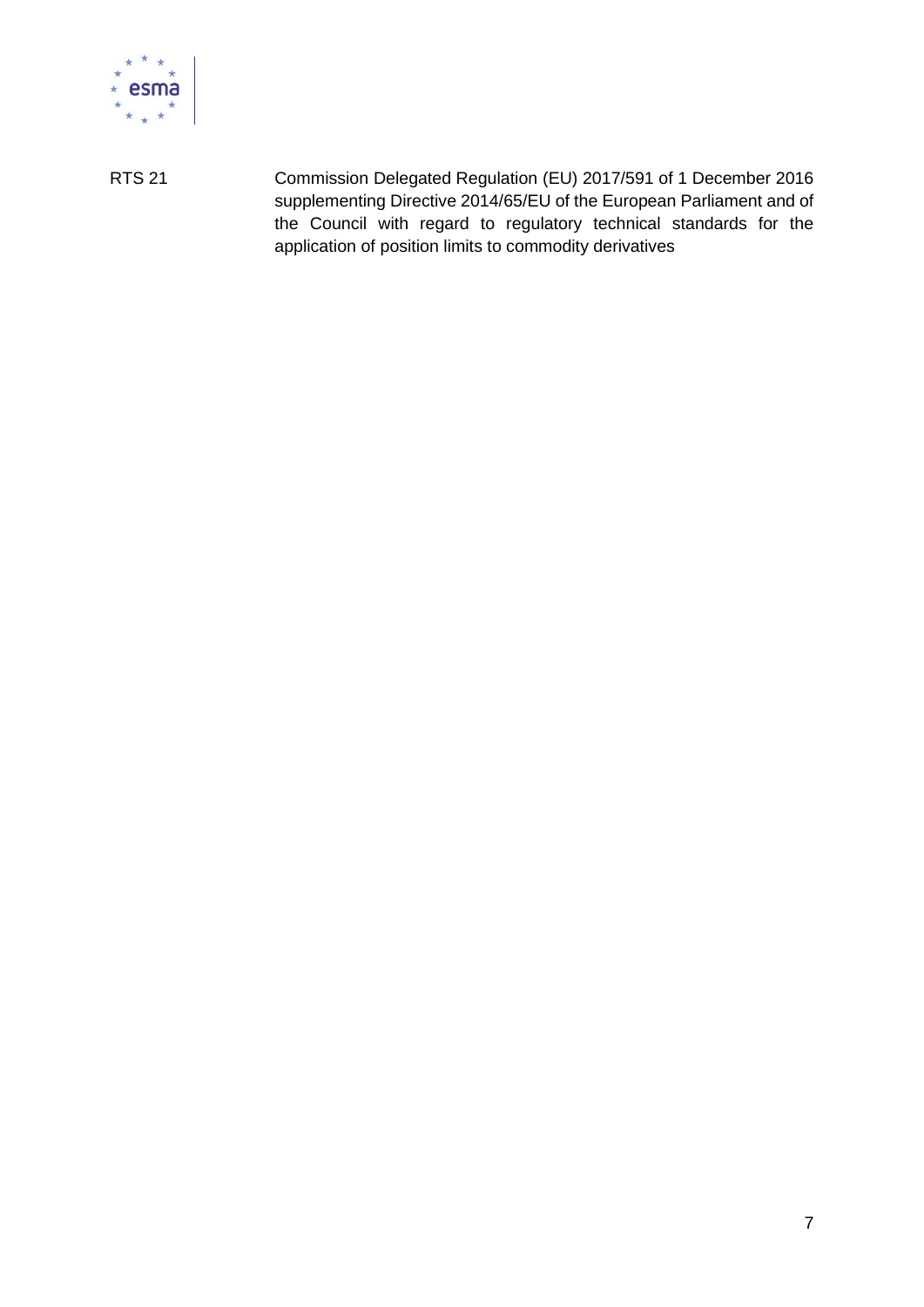

RTS 21 Commission Delegated Regulation (EU) 2017/591 of 1 December 2016 supplementing Directive 2014/65/EU of the European Parliament and of the Council with regard to regulatory technical standards for the application of position limits to commodity derivatives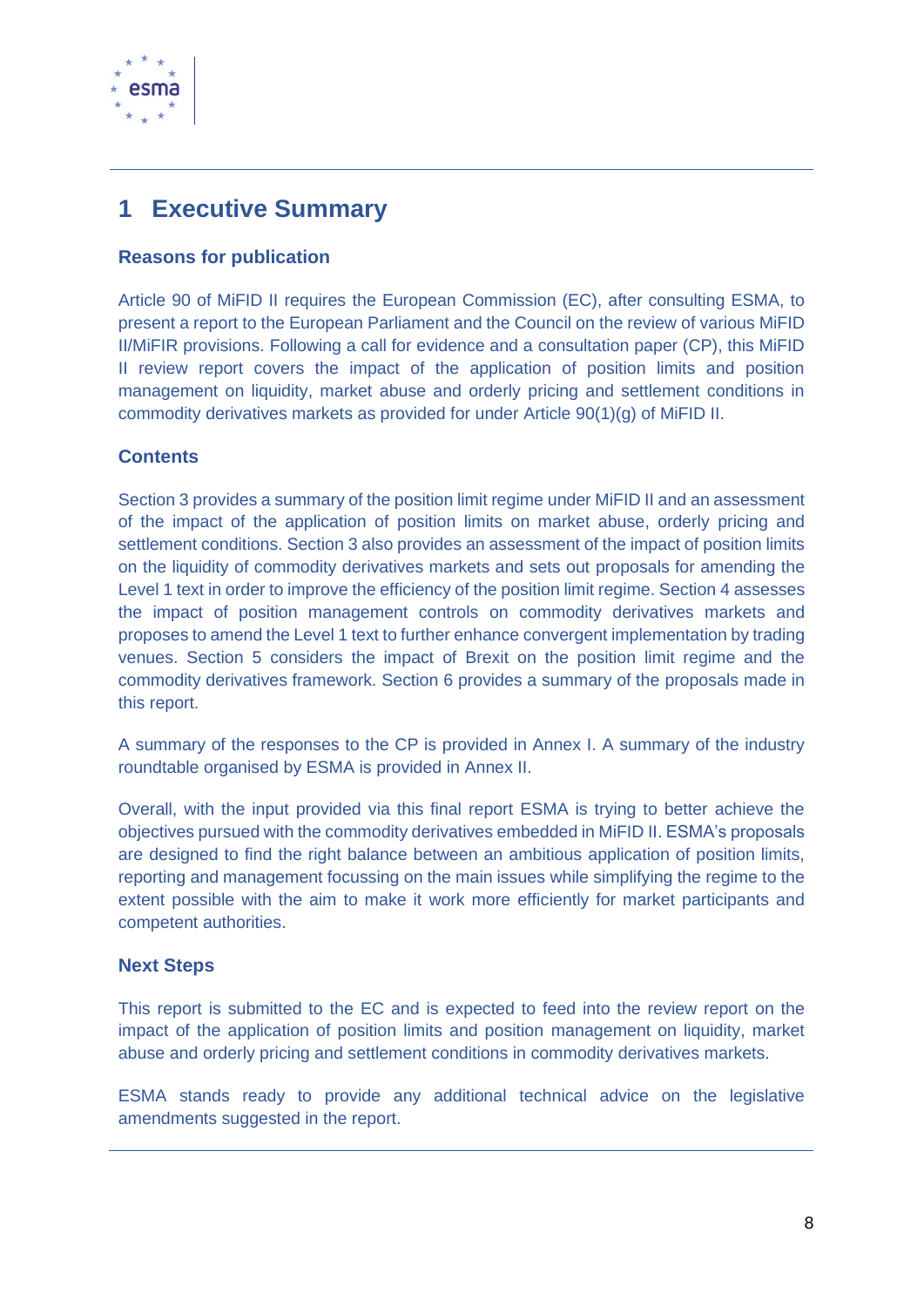

## <span id="page-7-0"></span>**1 Executive Summary**

#### **Reasons for publication**

Article 90 of MiFID II requires the European Commission (EC), after consulting ESMA, to present a report to the European Parliament and the Council on the review of various MiFID II/MiFIR provisions. Following a call for evidence and a consultation paper (CP), this MiFID II review report covers the impact of the application of position limits and position management on liquidity, market abuse and orderly pricing and settlement conditions in commodity derivatives markets as provided for under Article 90(1)(g) of MiFID II.

#### **Contents**

Section 3 provides a summary of the position limit regime under MiFID II and an assessment of the impact of the application of position limits on market abuse, orderly pricing and settlement conditions. Section 3 also provides an assessment of the impact of position limits on the liquidity of commodity derivatives markets and sets out proposals for amending the Level 1 text in order to improve the efficiency of the position limit regime. Section 4 assesses the impact of position management controls on commodity derivatives markets and proposes to amend the Level 1 text to further enhance convergent implementation by trading venues. Section 5 considers the impact of Brexit on the position limit regime and the commodity derivatives framework. Section 6 provides a summary of the proposals made in this report.

A summary of the responses to the CP is provided in Annex I. A summary of the industry roundtable organised by ESMA is provided in Annex II.

Overall, with the input provided via this final report ESMA is trying to better achieve the objectives pursued with the commodity derivatives embedded in MiFID II. ESMA's proposals are designed to find the right balance between an ambitious application of position limits, reporting and management focussing on the main issues while simplifying the regime to the extent possible with the aim to make it work more efficiently for market participants and competent authorities.

#### **Next Steps**

This report is submitted to the EC and is expected to feed into the review report on the impact of the application of position limits and position management on liquidity, market abuse and orderly pricing and settlement conditions in commodity derivatives markets.

ESMA stands ready to provide any additional technical advice on the legislative amendments suggested in the report.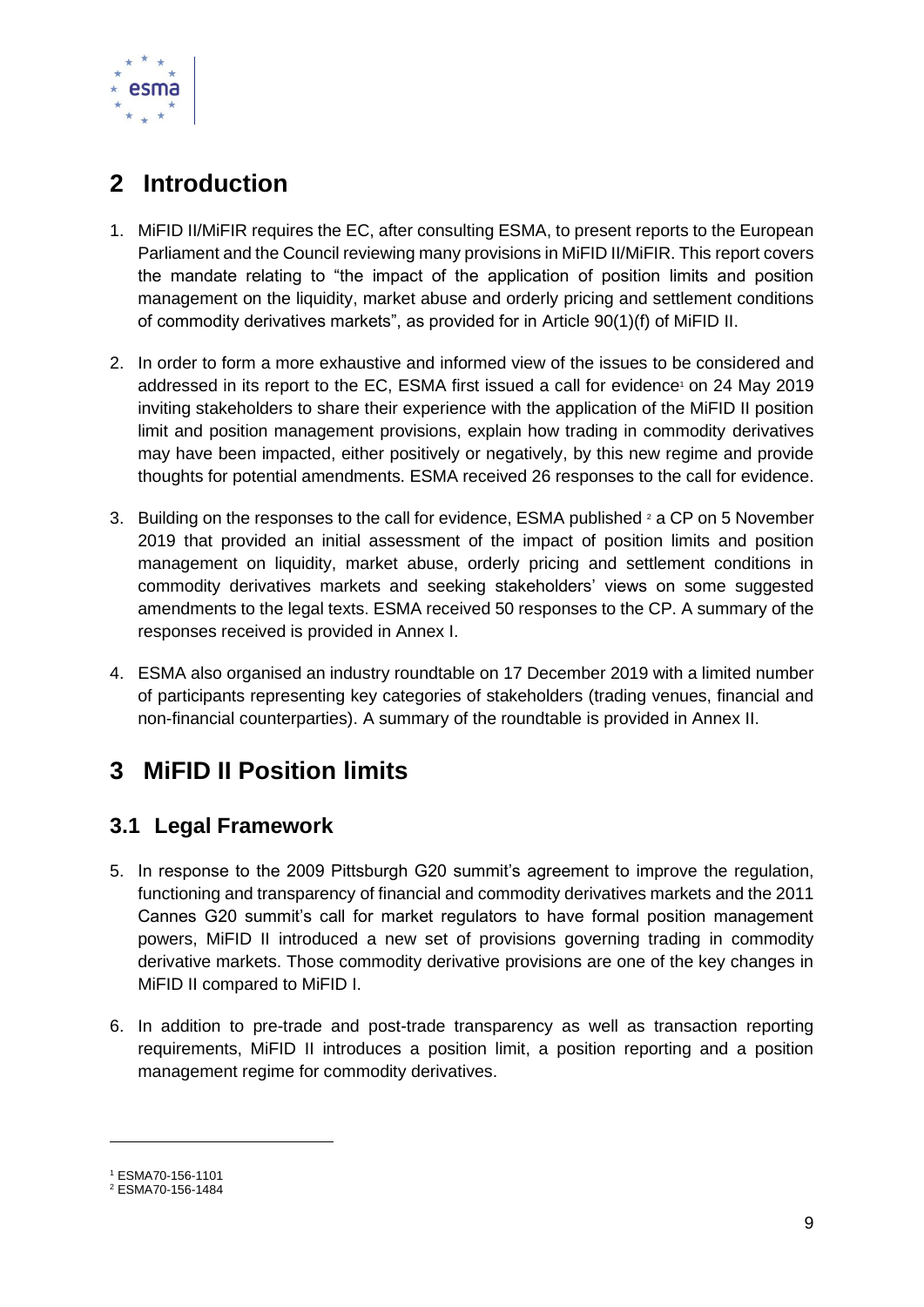

# <span id="page-8-0"></span>**2 Introduction**

- 1. MiFID II/MiFIR requires the EC, after consulting ESMA, to present reports to the European Parliament and the Council reviewing many provisions in MiFID II/MiFIR. This report covers the mandate relating to "the impact of the application of position limits and position management on the liquidity, market abuse and orderly pricing and settlement conditions of commodity derivatives markets", as provided for in Article 90(1)(f) of MiFID II.
- 2. In order to form a more exhaustive and informed view of the issues to be considered and addressed in its report to the EC, ESMA first issued a call for evidence<sup>1</sup> on 24 May 2019 inviting stakeholders to share their experience with the application of the MiFID II position limit and position management provisions, explain how trading in commodity derivatives may have been impacted, either positively or negatively, by this new regime and provide thoughts for potential amendments. ESMA received 26 responses to the call for evidence.
- 3. Building on the responses to the call for evidence, ESMA published  $2$  a CP on 5 November 2019 that provided an initial assessment of the impact of position limits and position management on liquidity, market abuse, orderly pricing and settlement conditions in commodity derivatives markets and seeking stakeholders' views on some suggested amendments to the legal texts. ESMA received 50 responses to the CP. A summary of the responses received is provided in Annex I.
- 4. ESMA also organised an industry roundtable on 17 December 2019 with a limited number of participants representing key categories of stakeholders (trading venues, financial and non-financial counterparties). A summary of the roundtable is provided in Annex II.

# <span id="page-8-1"></span>**3 MiFID II Position limits**

### <span id="page-8-2"></span>**3.1 Legal Framework**

- 5. In response to the 2009 Pittsburgh G20 summit's agreement to improve the regulation, functioning and transparency of financial and commodity derivatives markets and the 2011 Cannes G20 summit's call for market regulators to have formal position management powers, MiFID II introduced a new set of provisions governing trading in commodity derivative markets. Those commodity derivative provisions are one of the key changes in MiFID II compared to MiFID I.
- 6. In addition to pre-trade and post-trade transparency as well as transaction reporting requirements, MiFID II introduces a position limit, a position reporting and a position management regime for commodity derivatives.

<sup>1</sup> ESMA70-156-1101

<sup>2</sup> ESMA70-156-1484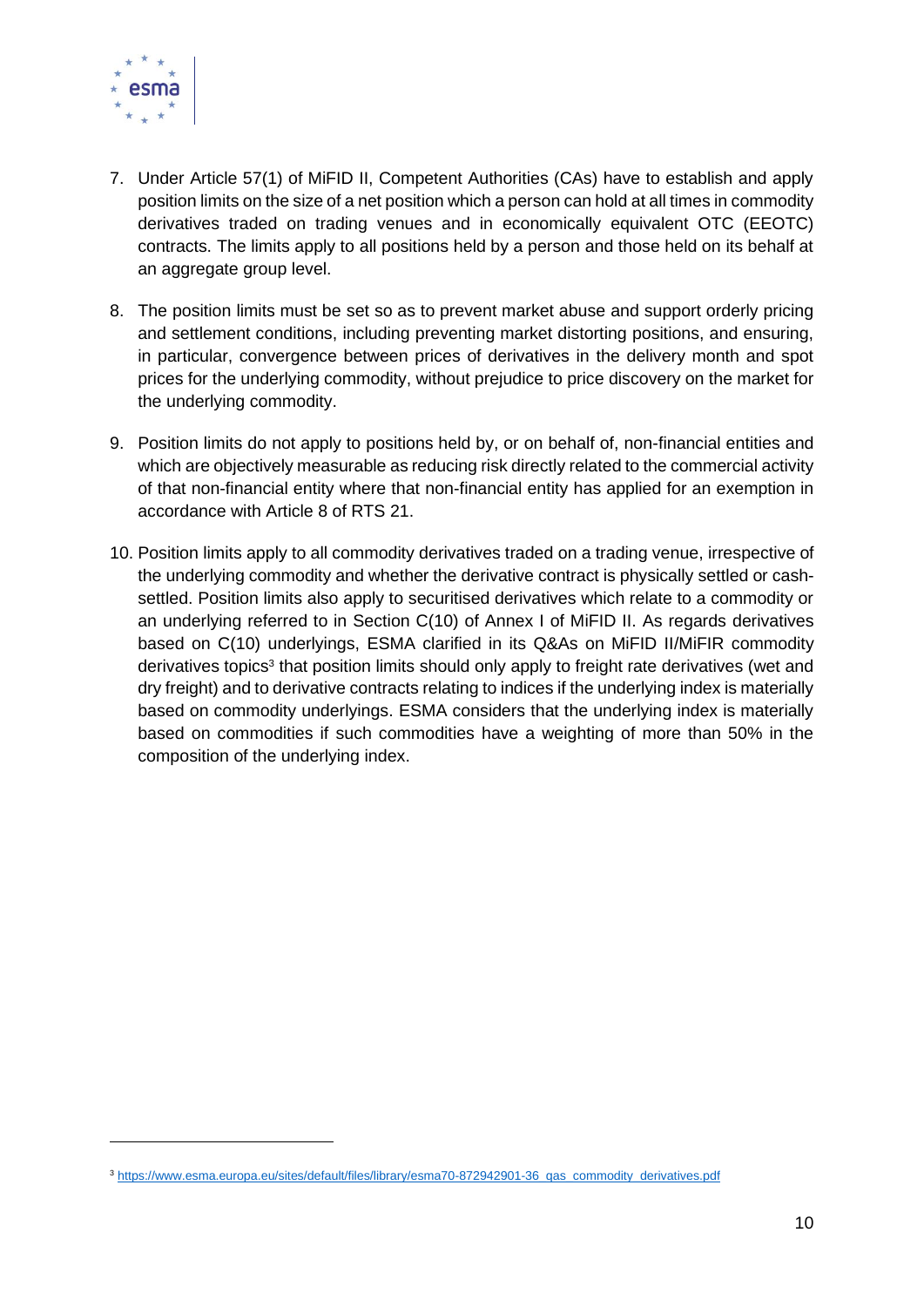

- 7. Under Article 57(1) of MiFID II, Competent Authorities (CAs) have to establish and apply position limits on the size of a net position which a person can hold at all times in commodity derivatives traded on trading venues and in economically equivalent OTC (EEOTC) contracts. The limits apply to all positions held by a person and those held on its behalf at an aggregate group level.
- 8. The position limits must be set so as to prevent market abuse and support orderly pricing and settlement conditions, including preventing market distorting positions, and ensuring, in particular, convergence between prices of derivatives in the delivery month and spot prices for the underlying commodity, without prejudice to price discovery on the market for the underlying commodity.
- 9. Position limits do not apply to positions held by, or on behalf of, non-financial entities and which are objectively measurable as reducing risk directly related to the commercial activity of that non-financial entity where that non-financial entity has applied for an exemption in accordance with Article 8 of RTS 21.
- 10. Position limits apply to all commodity derivatives traded on a trading venue, irrespective of the underlying commodity and whether the derivative contract is physically settled or cashsettled. Position limits also apply to securitised derivatives which relate to a commodity or an underlying referred to in Section C(10) of Annex I of MiFID II. As regards derivatives based on C(10) underlyings, ESMA clarified in its Q&As on MiFID II/MiFIR commodity derivatives topics<sup>3</sup> that position limits should only apply to freight rate derivatives (wet and dry freight) and to derivative contracts relating to indices if the underlying index is materially based on commodity underlyings. ESMA considers that the underlying index is materially based on commodities if such commodities have a weighting of more than 50% in the composition of the underlying index.

<sup>3</sup> [https://www.esma.europa.eu/sites/default/files/library/esma70-872942901-36\\_qas\\_commodity\\_derivatives.pdf](https://www.esma.europa.eu/sites/default/files/library/esma70-872942901-36_qas_commodity_derivatives.pdf)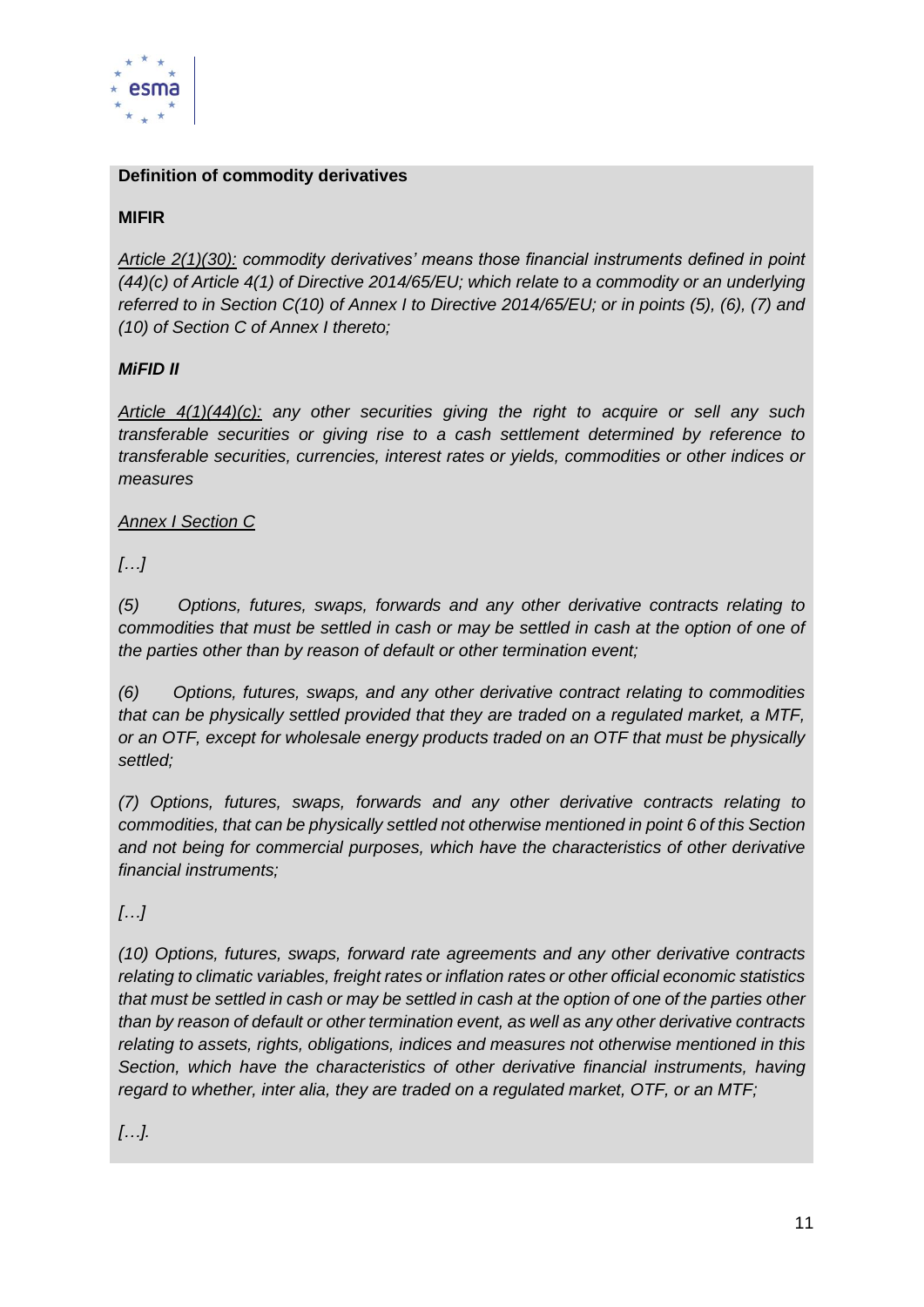

#### **Definition of commodity derivatives**

#### **MIFIR**

*Article 2(1)(30): commodity derivatives' means those financial instruments defined in point (44)(c) of Article 4(1) of Directive 2014/65/EU; which relate to a commodity or an underlying referred to in Section C(10) of Annex I to Directive 2014/65/EU; or in points (5), (6), (7) and (10) of Section C of Annex I thereto;*

#### *MiFID II*

*Article 4(1)(44)(c): any other securities giving the right to acquire or sell any such transferable securities or giving rise to a cash settlement determined by reference to transferable securities, currencies, interest rates or yields, commodities or other indices or measures*

#### *Annex I Section C*

*[…]*

*(5) Options, futures, swaps, forwards and any other derivative contracts relating to commodities that must be settled in cash or may be settled in cash at the option of one of the parties other than by reason of default or other termination event;*

*(6) Options, futures, swaps, and any other derivative contract relating to commodities that can be physically settled provided that they are traded on a regulated market, a MTF, or an OTF, except for wholesale energy products traded on an OTF that must be physically settled;*

*(7) Options, futures, swaps, forwards and any other derivative contracts relating to commodities, that can be physically settled not otherwise mentioned in point 6 of this Section and not being for commercial purposes, which have the characteristics of other derivative financial instruments;*

#### *[…]*

*(10) Options, futures, swaps, forward rate agreements and any other derivative contracts relating to climatic variables, freight rates or inflation rates or other official economic statistics that must be settled in cash or may be settled in cash at the option of one of the parties other than by reason of default or other termination event, as well as any other derivative contracts relating to assets, rights, obligations, indices and measures not otherwise mentioned in this Section, which have the characteristics of other derivative financial instruments, having regard to whether, inter alia, they are traded on a regulated market, OTF, or an MTF;*

*[…].*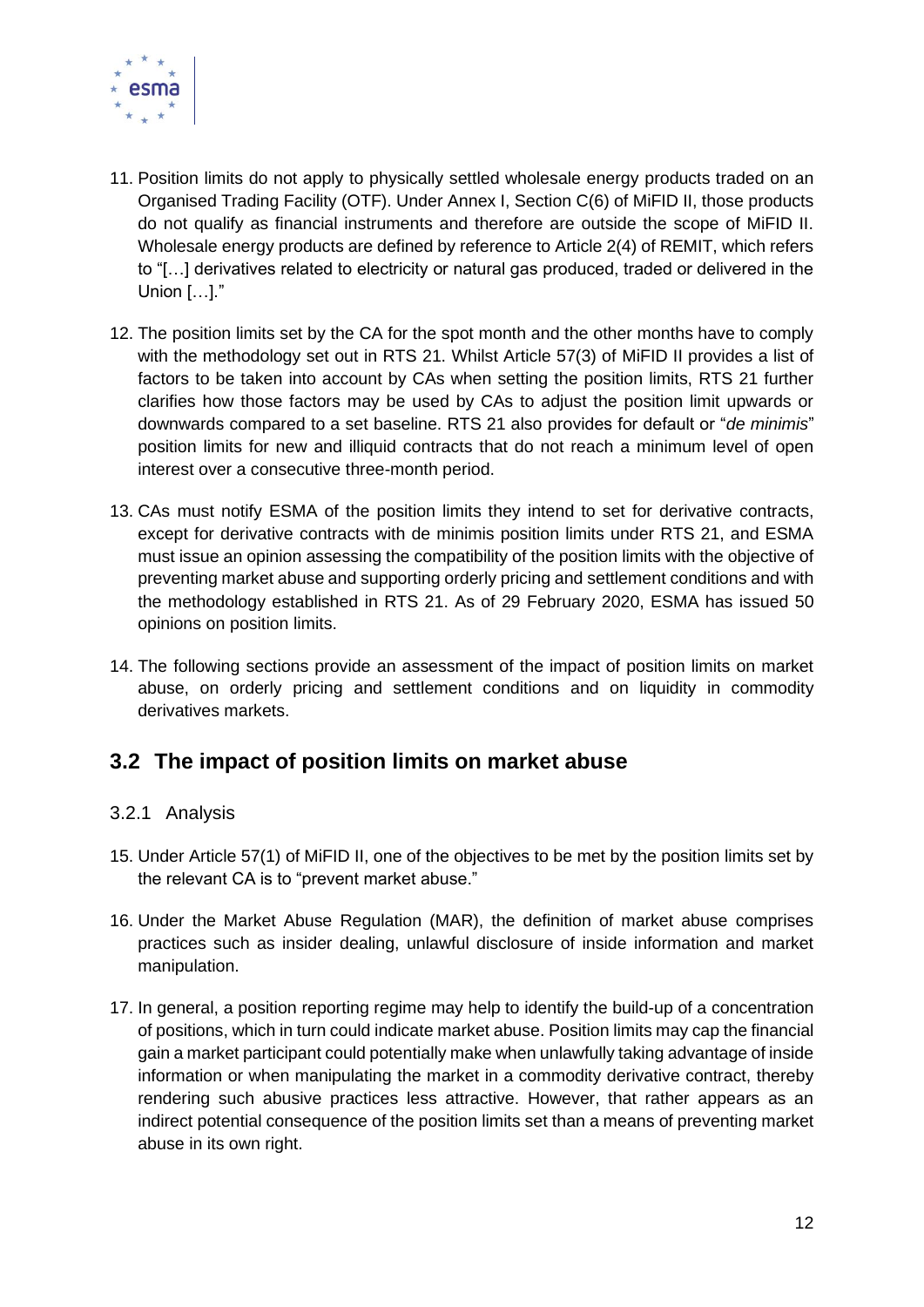

- 11. Position limits do not apply to physically settled wholesale energy products traded on an Organised Trading Facility (OTF). Under Annex I, Section C(6) of MiFID II, those products do not qualify as financial instruments and therefore are outside the scope of MiFID II. Wholesale energy products are defined by reference to Article 2(4) of REMIT, which refers to "[…] derivatives related to electricity or natural gas produced, traded or delivered in the Union […]."
- 12. The position limits set by the CA for the spot month and the other months have to comply with the methodology set out in RTS 21. Whilst Article 57(3) of MiFID II provides a list of factors to be taken into account by CAs when setting the position limits, RTS 21 further clarifies how those factors may be used by CAs to adjust the position limit upwards or downwards compared to a set baseline. RTS 21 also provides for default or "*de minimis*" position limits for new and illiquid contracts that do not reach a minimum level of open interest over a consecutive three-month period.
- 13. CAs must notify ESMA of the position limits they intend to set for derivative contracts, except for derivative contracts with de minimis position limits under RTS 21, and ESMA must issue an opinion assessing the compatibility of the position limits with the objective of preventing market abuse and supporting orderly pricing and settlement conditions and with the methodology established in RTS 21. As of 29 February 2020, ESMA has issued 50 opinions on position limits.
- 14. The following sections provide an assessment of the impact of position limits on market abuse, on orderly pricing and settlement conditions and on liquidity in commodity derivatives markets.

### <span id="page-11-0"></span>**3.2 The impact of position limits on market abuse**

#### <span id="page-11-1"></span>3.2.1 Analysis

- 15. Under Article 57(1) of MiFID II, one of the objectives to be met by the position limits set by the relevant CA is to "prevent market abuse."
- 16. Under the Market Abuse Regulation (MAR), the definition of market abuse comprises practices such as insider dealing, unlawful disclosure of inside information and market manipulation.
- 17. In general, a position reporting regime may help to identify the build-up of a concentration of positions, which in turn could indicate market abuse. Position limits may cap the financial gain a market participant could potentially make when unlawfully taking advantage of inside information or when manipulating the market in a commodity derivative contract, thereby rendering such abusive practices less attractive. However, that rather appears as an indirect potential consequence of the position limits set than a means of preventing market abuse in its own right.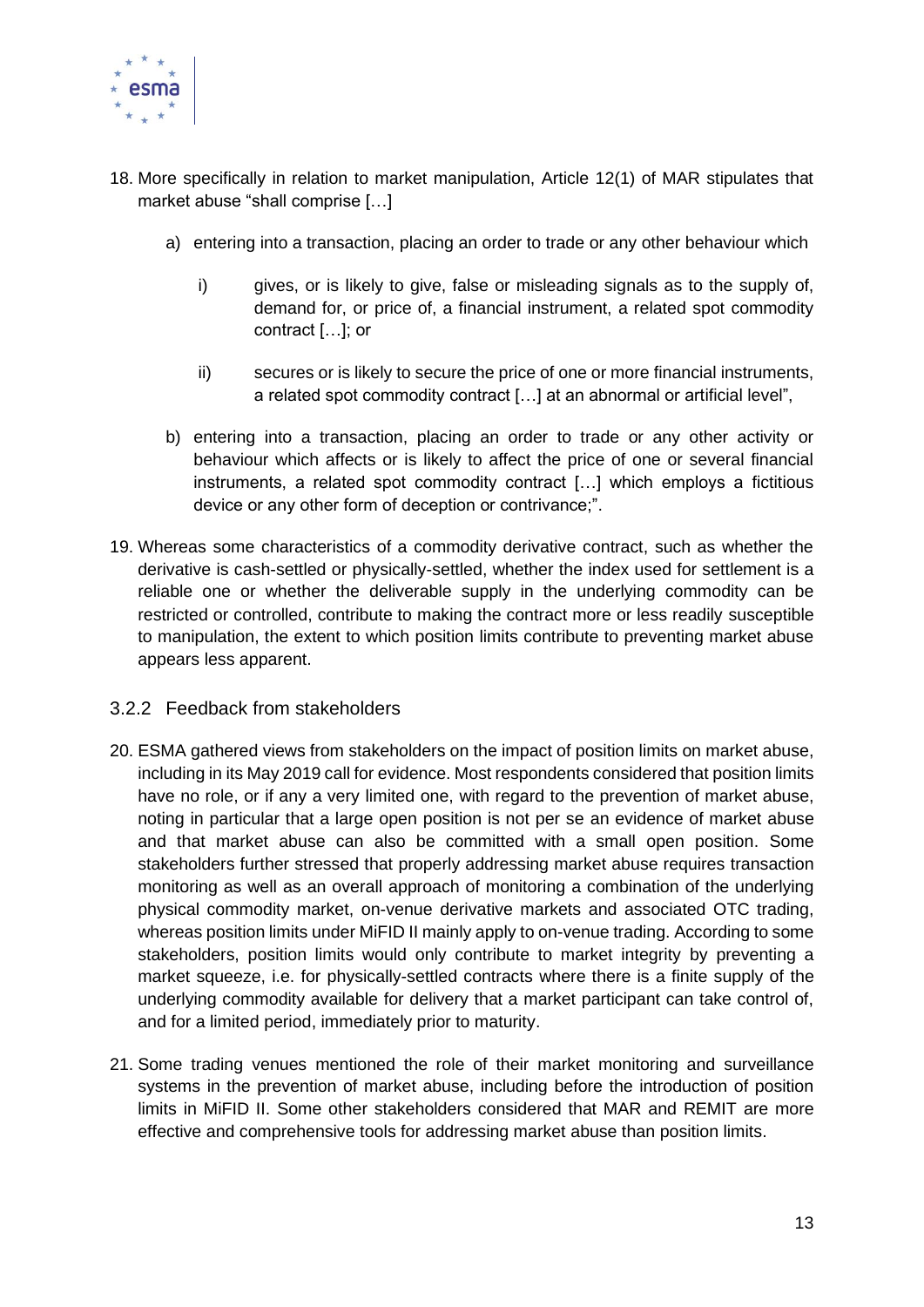

- 18. More specifically in relation to market manipulation, Article 12(1) of MAR stipulates that market abuse "shall comprise […]
	- a) entering into a transaction, placing an order to trade or any other behaviour which
		- i) gives, or is likely to give, false or misleading signals as to the supply of, demand for, or price of, a financial instrument, a related spot commodity contract […]; or
		- ii) secures or is likely to secure the price of one or more financial instruments, a related spot commodity contract […] at an abnormal or artificial level",
	- b) entering into a transaction, placing an order to trade or any other activity or behaviour which affects or is likely to affect the price of one or several financial instruments, a related spot commodity contract […] which employs a fictitious device or any other form of deception or contrivance;".
- 19. Whereas some characteristics of a commodity derivative contract, such as whether the derivative is cash-settled or physically-settled, whether the index used for settlement is a reliable one or whether the deliverable supply in the underlying commodity can be restricted or controlled, contribute to making the contract more or less readily susceptible to manipulation, the extent to which position limits contribute to preventing market abuse appears less apparent.
- <span id="page-12-0"></span>3.2.2 Feedback from stakeholders
- 20. ESMA gathered views from stakeholders on the impact of position limits on market abuse, including in its May 2019 call for evidence. Most respondents considered that position limits have no role, or if any a very limited one, with regard to the prevention of market abuse, noting in particular that a large open position is not per se an evidence of market abuse and that market abuse can also be committed with a small open position. Some stakeholders further stressed that properly addressing market abuse requires transaction monitoring as well as an overall approach of monitoring a combination of the underlying physical commodity market, on-venue derivative markets and associated OTC trading, whereas position limits under MiFID II mainly apply to on-venue trading. According to some stakeholders, position limits would only contribute to market integrity by preventing a market squeeze, i.e. for physically-settled contracts where there is a finite supply of the underlying commodity available for delivery that a market participant can take control of, and for a limited period, immediately prior to maturity.
- 21. Some trading venues mentioned the role of their market monitoring and surveillance systems in the prevention of market abuse, including before the introduction of position limits in MiFID II. Some other stakeholders considered that MAR and REMIT are more effective and comprehensive tools for addressing market abuse than position limits.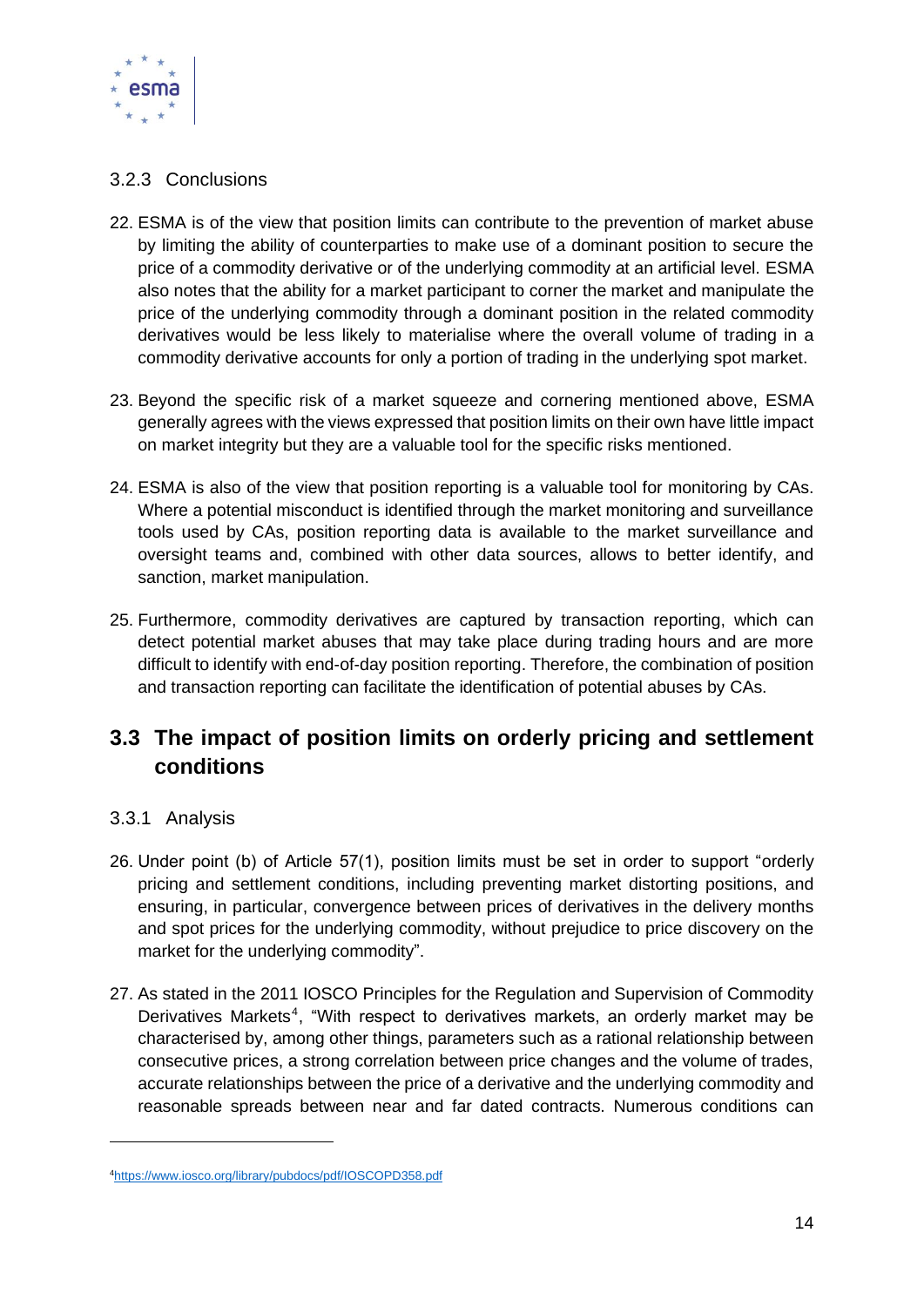

#### <span id="page-13-0"></span>3.2.3 Conclusions

- 22. ESMA is of the view that position limits can contribute to the prevention of market abuse by limiting the ability of counterparties to make use of a dominant position to secure the price of a commodity derivative or of the underlying commodity at an artificial level. ESMA also notes that the ability for a market participant to corner the market and manipulate the price of the underlying commodity through a dominant position in the related commodity derivatives would be less likely to materialise where the overall volume of trading in a commodity derivative accounts for only a portion of trading in the underlying spot market.
- 23. Beyond the specific risk of a market squeeze and cornering mentioned above, ESMA generally agrees with the views expressed that position limits on their own have little impact on market integrity but they are a valuable tool for the specific risks mentioned.
- 24. ESMA is also of the view that position reporting is a valuable tool for monitoring by CAs. Where a potential misconduct is identified through the market monitoring and surveillance tools used by CAs, position reporting data is available to the market surveillance and oversight teams and, combined with other data sources, allows to better identify, and sanction, market manipulation.
- 25. Furthermore, commodity derivatives are captured by transaction reporting, which can detect potential market abuses that may take place during trading hours and are more difficult to identify with end-of-day position reporting. Therefore, the combination of position and transaction reporting can facilitate the identification of potential abuses by CAs.

### <span id="page-13-1"></span>**3.3 The impact of position limits on orderly pricing and settlement conditions**

#### <span id="page-13-2"></span>3.3.1 Analysis

- 26. Under point (b) of Article 57(1), position limits must be set in order to support "orderly pricing and settlement conditions, including preventing market distorting positions, and ensuring, in particular, convergence between prices of derivatives in the delivery months and spot prices for the underlying commodity, without prejudice to price discovery on the market for the underlying commodity".
- 27. As stated in the 2011 IOSCO Principles for the Regulation and Supervision of Commodity Derivatives Markets<sup>4</sup>, "With respect to derivatives markets, an orderly market may be characterised by, among other things, parameters such as a rational relationship between consecutive prices, a strong correlation between price changes and the volume of trades, accurate relationships between the price of a derivative and the underlying commodity and reasonable spreads between near and far dated contracts. Numerous conditions can

<sup>4</sup><https://www.iosco.org/library/pubdocs/pdf/IOSCOPD358.pdf>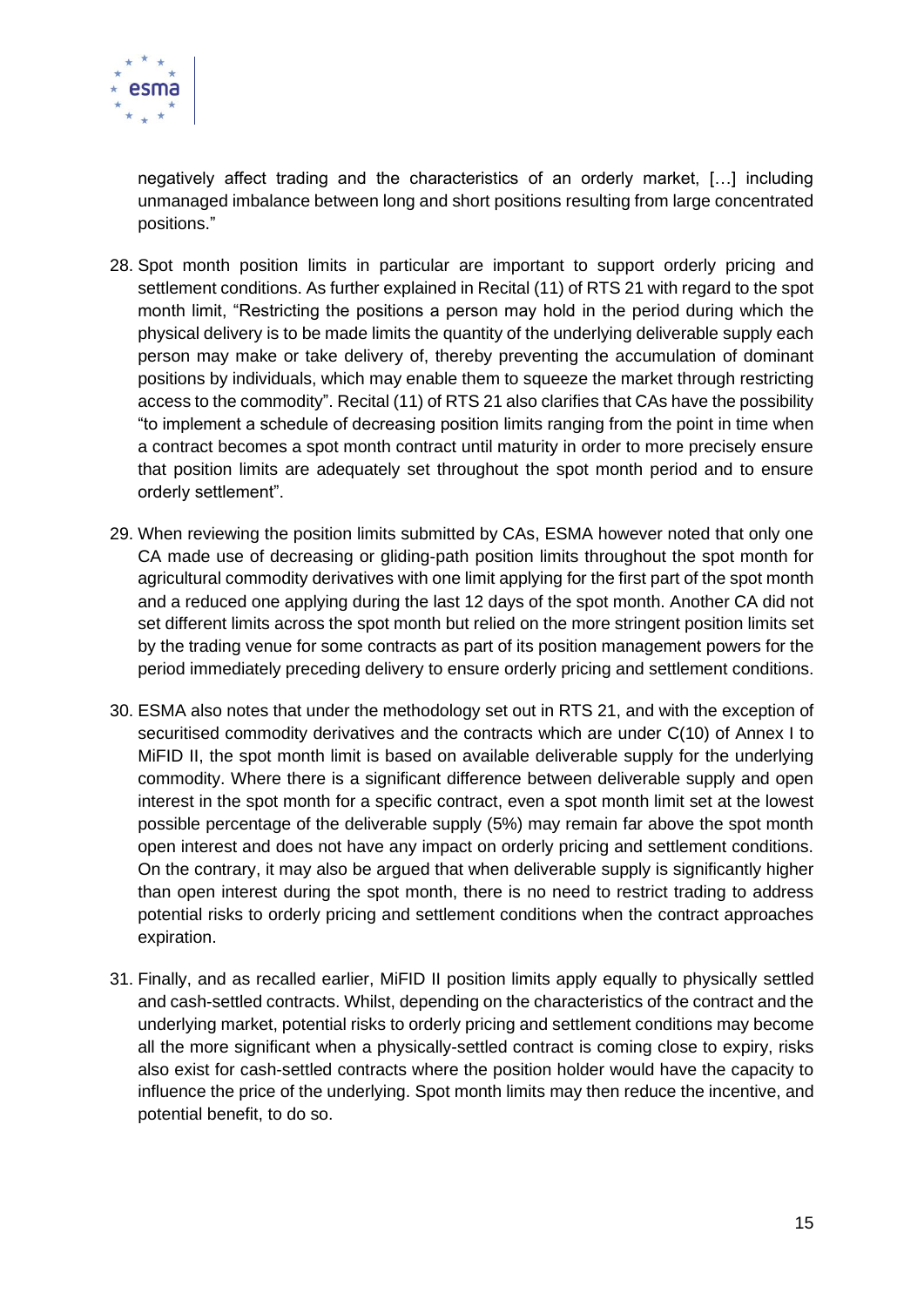

negatively affect trading and the characteristics of an orderly market, […] including unmanaged imbalance between long and short positions resulting from large concentrated positions."

- 28. Spot month position limits in particular are important to support orderly pricing and settlement conditions. As further explained in Recital (11) of RTS 21 with regard to the spot month limit, "Restricting the positions a person may hold in the period during which the physical delivery is to be made limits the quantity of the underlying deliverable supply each person may make or take delivery of, thereby preventing the accumulation of dominant positions by individuals, which may enable them to squeeze the market through restricting access to the commodity". Recital (11) of RTS 21 also clarifies that CAs have the possibility "to implement a schedule of decreasing position limits ranging from the point in time when a contract becomes a spot month contract until maturity in order to more precisely ensure that position limits are adequately set throughout the spot month period and to ensure orderly settlement".
- 29. When reviewing the position limits submitted by CAs, ESMA however noted that only one CA made use of decreasing or gliding-path position limits throughout the spot month for agricultural commodity derivatives with one limit applying for the first part of the spot month and a reduced one applying during the last 12 days of the spot month. Another CA did not set different limits across the spot month but relied on the more stringent position limits set by the trading venue for some contracts as part of its position management powers for the period immediately preceding delivery to ensure orderly pricing and settlement conditions.
- 30. ESMA also notes that under the methodology set out in RTS 21, and with the exception of securitised commodity derivatives and the contracts which are under C(10) of Annex I to MiFID II, the spot month limit is based on available deliverable supply for the underlying commodity. Where there is a significant difference between deliverable supply and open interest in the spot month for a specific contract, even a spot month limit set at the lowest possible percentage of the deliverable supply (5%) may remain far above the spot month open interest and does not have any impact on orderly pricing and settlement conditions. On the contrary, it may also be argued that when deliverable supply is significantly higher than open interest during the spot month, there is no need to restrict trading to address potential risks to orderly pricing and settlement conditions when the contract approaches expiration.
- 31. Finally, and as recalled earlier, MiFID II position limits apply equally to physically settled and cash-settled contracts. Whilst, depending on the characteristics of the contract and the underlying market, potential risks to orderly pricing and settlement conditions may become all the more significant when a physically-settled contract is coming close to expiry, risks also exist for cash-settled contracts where the position holder would have the capacity to influence the price of the underlying. Spot month limits may then reduce the incentive, and potential benefit, to do so.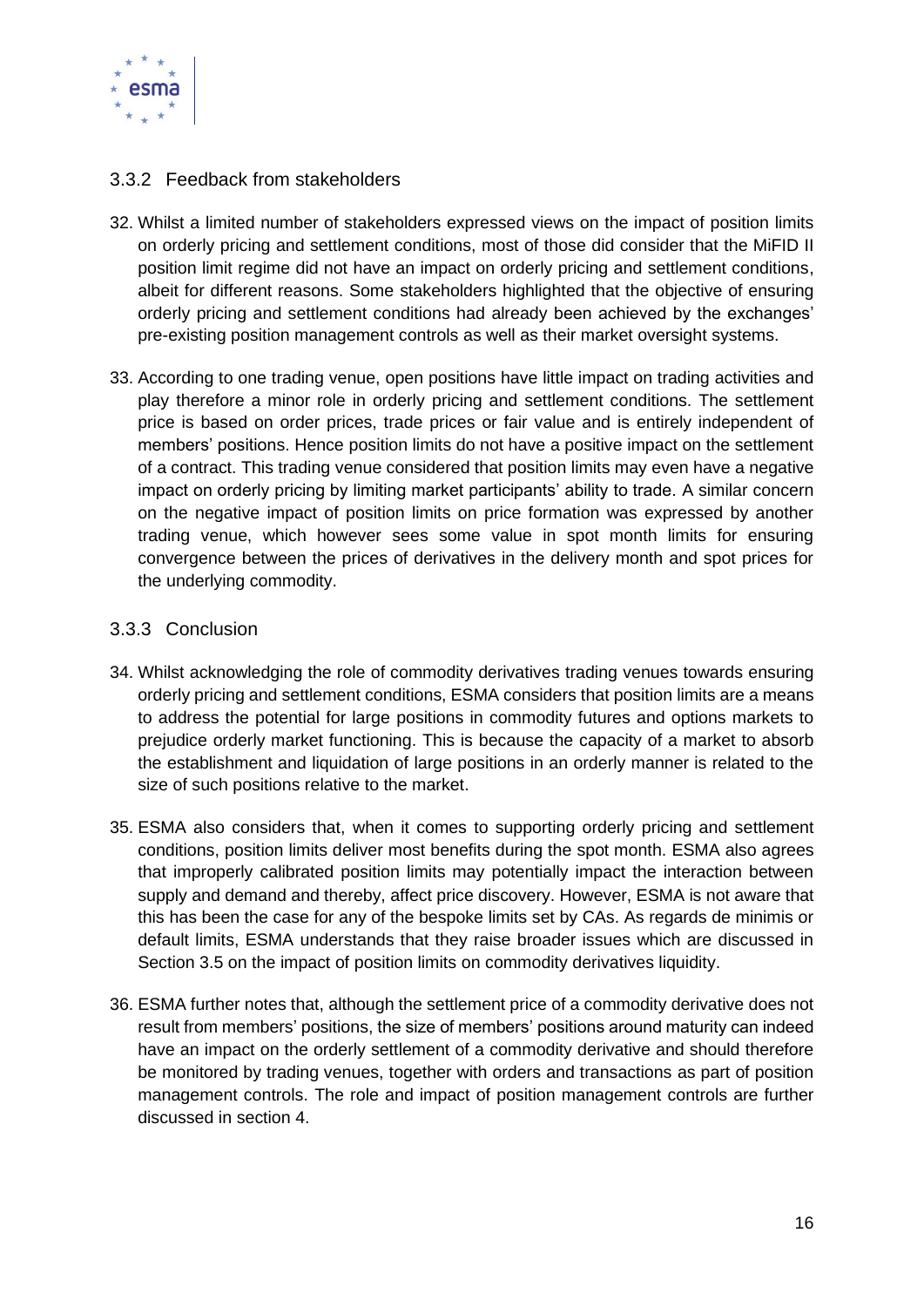

#### <span id="page-15-0"></span>3.3.2 Feedback from stakeholders

- 32. Whilst a limited number of stakeholders expressed views on the impact of position limits on orderly pricing and settlement conditions, most of those did consider that the MiFID II position limit regime did not have an impact on orderly pricing and settlement conditions, albeit for different reasons. Some stakeholders highlighted that the objective of ensuring orderly pricing and settlement conditions had already been achieved by the exchanges' pre-existing position management controls as well as their market oversight systems.
- 33. According to one trading venue, open positions have little impact on trading activities and play therefore a minor role in orderly pricing and settlement conditions. The settlement price is based on order prices, trade prices or fair value and is entirely independent of members' positions. Hence position limits do not have a positive impact on the settlement of a contract. This trading venue considered that position limits may even have a negative impact on orderly pricing by limiting market participants' ability to trade. A similar concern on the negative impact of position limits on price formation was expressed by another trading venue, which however sees some value in spot month limits for ensuring convergence between the prices of derivatives in the delivery month and spot prices for the underlying commodity.

#### <span id="page-15-1"></span>3.3.3 Conclusion

- 34. Whilst acknowledging the role of commodity derivatives trading venues towards ensuring orderly pricing and settlement conditions, ESMA considers that position limits are a means to address the potential for large positions in commodity futures and options markets to prejudice orderly market functioning. This is because the capacity of a market to absorb the establishment and liquidation of large positions in an orderly manner is related to the size of such positions relative to the market.
- 35. ESMA also considers that, when it comes to supporting orderly pricing and settlement conditions, position limits deliver most benefits during the spot month. ESMA also agrees that improperly calibrated position limits may potentially impact the interaction between supply and demand and thereby, affect price discovery. However, ESMA is not aware that this has been the case for any of the bespoke limits set by CAs. As regards de minimis or default limits, ESMA understands that they raise broader issues which are discussed in Section 3.5 on the impact of position limits on commodity derivatives liquidity.
- 36. ESMA further notes that, although the settlement price of a commodity derivative does not result from members' positions, the size of members' positions around maturity can indeed have an impact on the orderly settlement of a commodity derivative and should therefore be monitored by trading venues, together with orders and transactions as part of position management controls. The role and impact of position management controls are further discussed in section 4.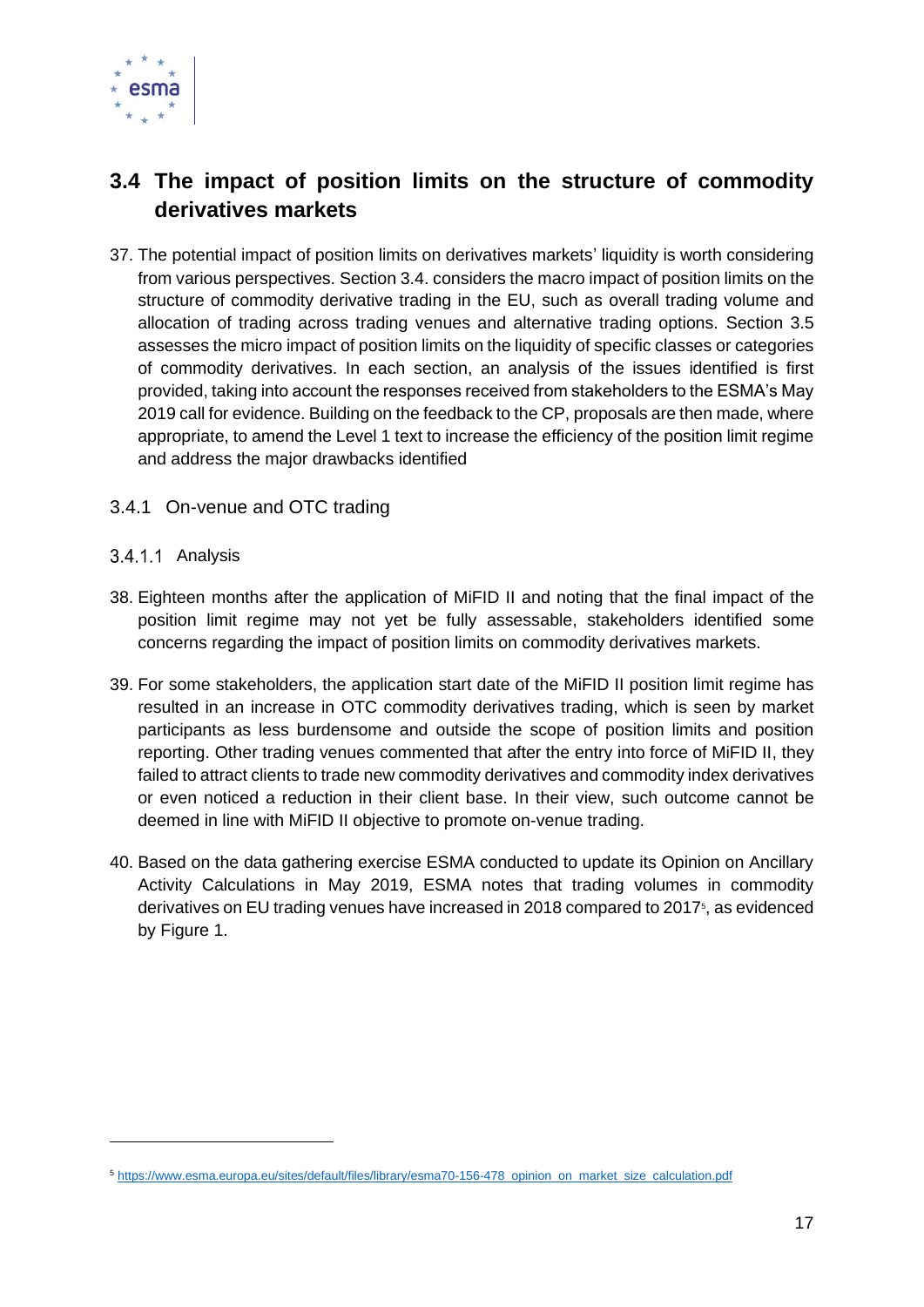

### <span id="page-16-0"></span>**3.4 The impact of position limits on the structure of commodity derivatives markets**

- 37. The potential impact of position limits on derivatives markets' liquidity is worth considering from various perspectives. Section 3.4. considers the macro impact of position limits on the structure of commodity derivative trading in the EU, such as overall trading volume and allocation of trading across trading venues and alternative trading options. Section 3.5 assesses the micro impact of position limits on the liquidity of specific classes or categories of commodity derivatives. In each section, an analysis of the issues identified is first provided, taking into account the responses received from stakeholders to the ESMA's May 2019 call for evidence. Building on the feedback to the CP, proposals are then made, where appropriate, to amend the Level 1 text to increase the efficiency of the position limit regime and address the major drawbacks identified
- <span id="page-16-1"></span>3.4.1 On-venue and OTC trading
- <span id="page-16-2"></span>3.4.1.1 Analysis
- 38. Eighteen months after the application of MiFID II and noting that the final impact of the position limit regime may not yet be fully assessable, stakeholders identified some concerns regarding the impact of position limits on commodity derivatives markets.
- 39. For some stakeholders, the application start date of the MiFID II position limit regime has resulted in an increase in OTC commodity derivatives trading, which is seen by market participants as less burdensome and outside the scope of position limits and position reporting. Other trading venues commented that after the entry into force of MiFID II, they failed to attract clients to trade new commodity derivatives and commodity index derivatives or even noticed a reduction in their client base. In their view, such outcome cannot be deemed in line with MiFID II objective to promote on-venue trading.
- 40. Based on the data gathering exercise ESMA conducted to update its Opinion on Ancillary Activity Calculations in May 2019, ESMA notes that trading volumes in commodity derivatives on EU trading venues have increased in 2018 compared to 2017<sup>5</sup>, as evidenced by Figure 1.

<sup>5</sup> [https://www.esma.europa.eu/sites/default/files/library/esma70-156-478\\_opinion\\_on\\_market\\_size\\_calculation.pdf](https://www.esma.europa.eu/sites/default/files/library/esma70-156-478_opinion_on_market_size_calculation.pdf)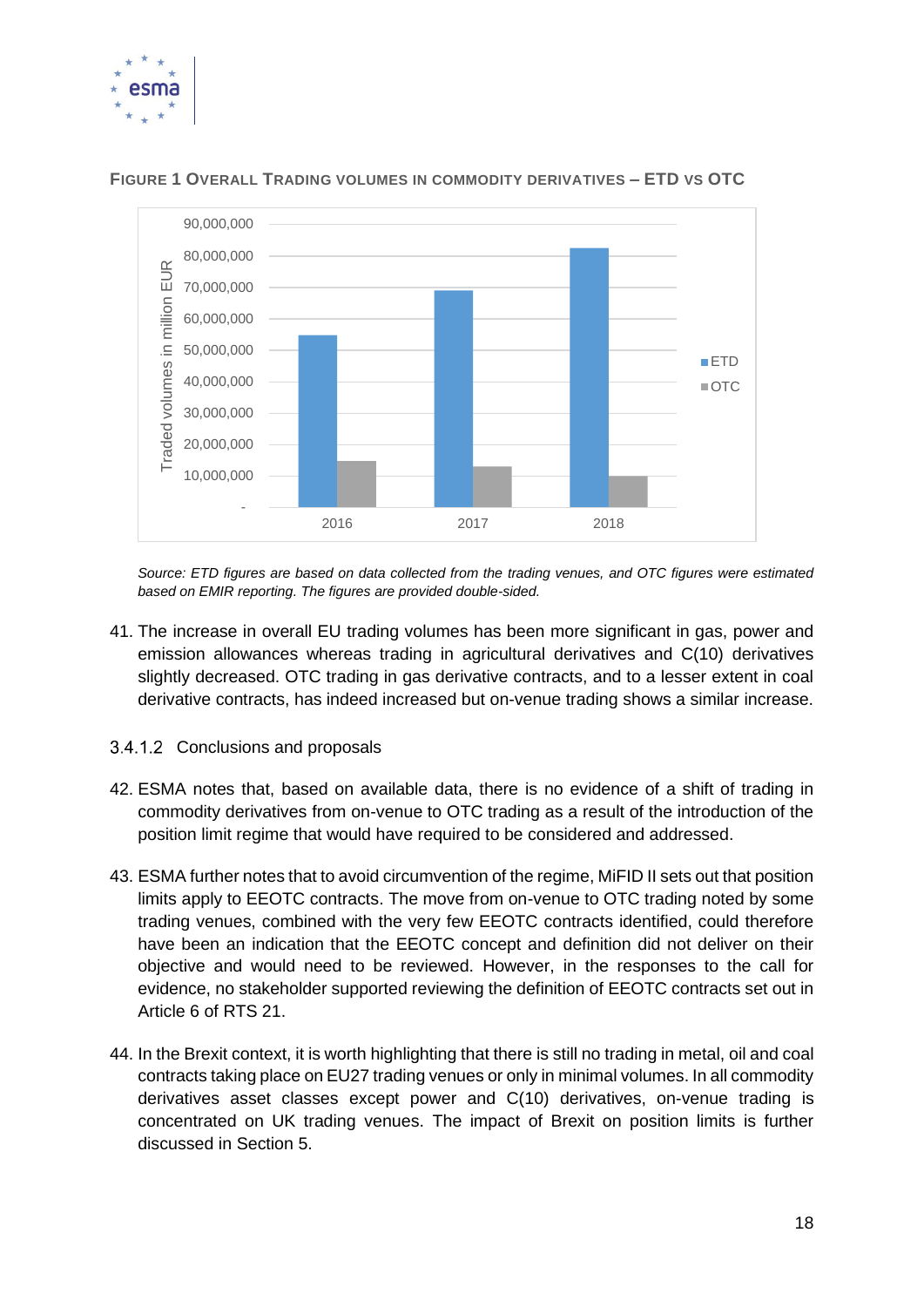



**FIGURE 1 OVERALL TRADING VOLUMES IN COMMODITY DERIVATIVES – ETD VS OTC**

*Source: ETD figures are based on data collected from the trading venues, and OTC figures were estimated based on EMIR reporting. The figures are provided double-sided.* 

- 41. The increase in overall EU trading volumes has been more significant in gas, power and emission allowances whereas trading in agricultural derivatives and C(10) derivatives slightly decreased. OTC trading in gas derivative contracts, and to a lesser extent in coal derivative contracts, has indeed increased but on-venue trading shows a similar increase.
- <span id="page-17-0"></span>3.4.1.2 Conclusions and proposals
- 42. ESMA notes that, based on available data, there is no evidence of a shift of trading in commodity derivatives from on-venue to OTC trading as a result of the introduction of the position limit regime that would have required to be considered and addressed.
- 43. ESMA further notes that to avoid circumvention of the regime, MiFID II sets out that position limits apply to EEOTC contracts. The move from on-venue to OTC trading noted by some trading venues, combined with the very few EEOTC contracts identified, could therefore have been an indication that the EEOTC concept and definition did not deliver on their objective and would need to be reviewed. However, in the responses to the call for evidence, no stakeholder supported reviewing the definition of EEOTC contracts set out in Article 6 of RTS 21.
- 44. In the Brexit context, it is worth highlighting that there is still no trading in metal, oil and coal contracts taking place on EU27 trading venues or only in minimal volumes. In all commodity derivatives asset classes except power and C(10) derivatives, on-venue trading is concentrated on UK trading venues. The impact of Brexit on position limits is further discussed in Section 5.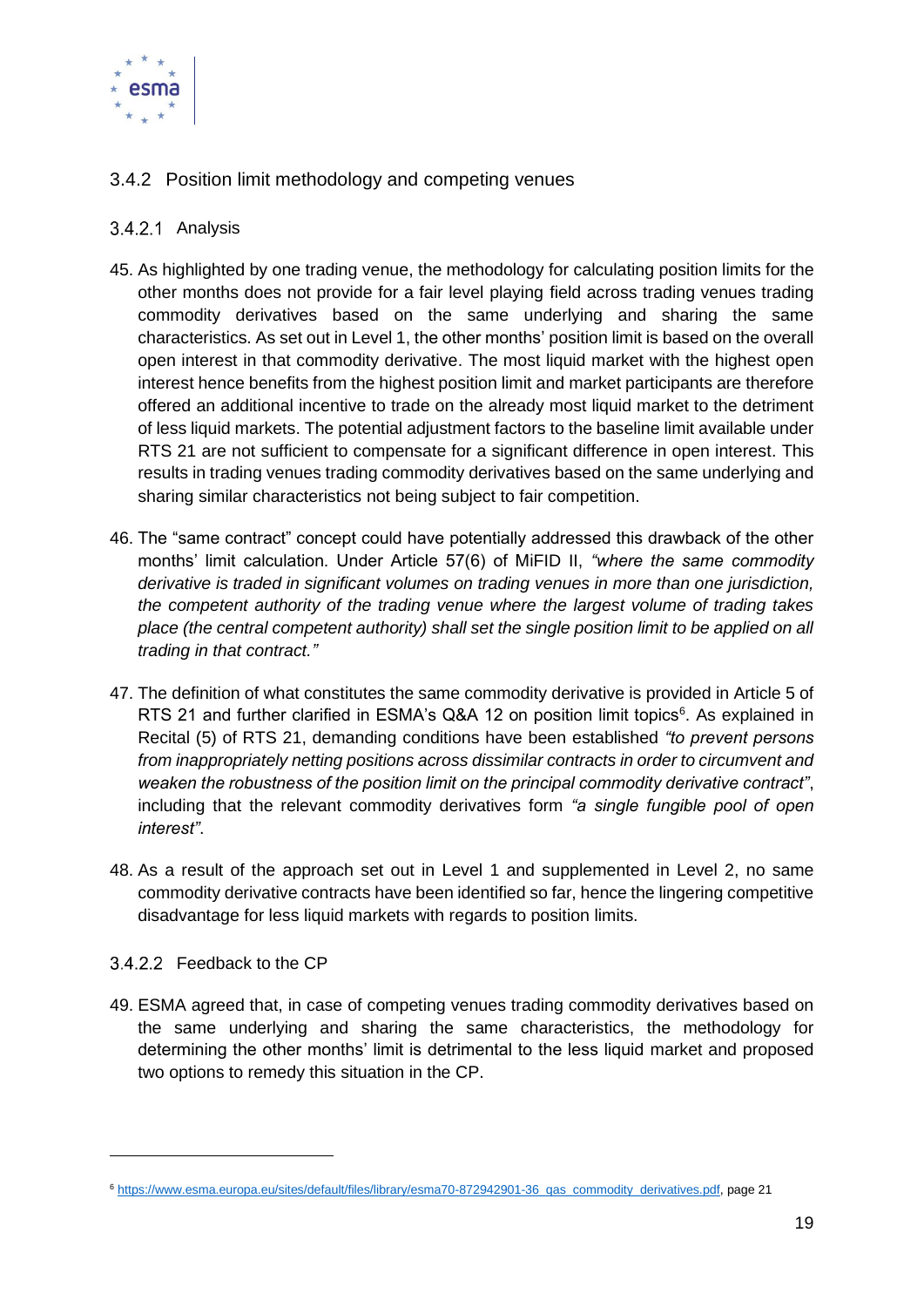

#### <span id="page-18-0"></span>3.4.2 Position limit methodology and competing venues

#### <span id="page-18-1"></span>3.4.2.1 Analysis

- 45. As highlighted by one trading venue, the methodology for calculating position limits for the other months does not provide for a fair level playing field across trading venues trading commodity derivatives based on the same underlying and sharing the same characteristics. As set out in Level 1, the other months' position limit is based on the overall open interest in that commodity derivative. The most liquid market with the highest open interest hence benefits from the highest position limit and market participants are therefore offered an additional incentive to trade on the already most liquid market to the detriment of less liquid markets. The potential adjustment factors to the baseline limit available under RTS 21 are not sufficient to compensate for a significant difference in open interest. This results in trading venues trading commodity derivatives based on the same underlying and sharing similar characteristics not being subject to fair competition.
- 46. The "same contract" concept could have potentially addressed this drawback of the other months' limit calculation. Under Article 57(6) of MiFID II, *"where the same commodity derivative is traded in significant volumes on trading venues in more than one jurisdiction, the competent authority of the trading venue where the largest volume of trading takes place (the central competent authority) shall set the single position limit to be applied on all trading in that contract."*
- 47. The definition of what constitutes the same commodity derivative is provided in Article 5 of RTS 21 and further clarified in ESMA's Q&A 12 on position limit topics<sup>6</sup>. As explained in Recital (5) of RTS 21, demanding conditions have been established *"to prevent persons from inappropriately netting positions across dissimilar contracts in order to circumvent and weaken the robustness of the position limit on the principal commodity derivative contract"*, including that the relevant commodity derivatives form *"a single fungible pool of open interest"*.
- 48. As a result of the approach set out in Level 1 and supplemented in Level 2, no same commodity derivative contracts have been identified so far, hence the lingering competitive disadvantage for less liquid markets with regards to position limits.

#### <span id="page-18-2"></span>3.4.2.2 Feedback to the CP

49. ESMA agreed that, in case of competing venues trading commodity derivatives based on the same underlying and sharing the same characteristics, the methodology for determining the other months' limit is detrimental to the less liquid market and proposed two options to remedy this situation in the CP.

<sup>6</sup> [https://www.esma.europa.eu/sites/default/files/library/esma70-872942901-36\\_qas\\_commodity\\_derivatives.pdf,](https://www.esma.europa.eu/sites/default/files/library/esma70-872942901-36_qas_commodity_derivatives.pdf) page 21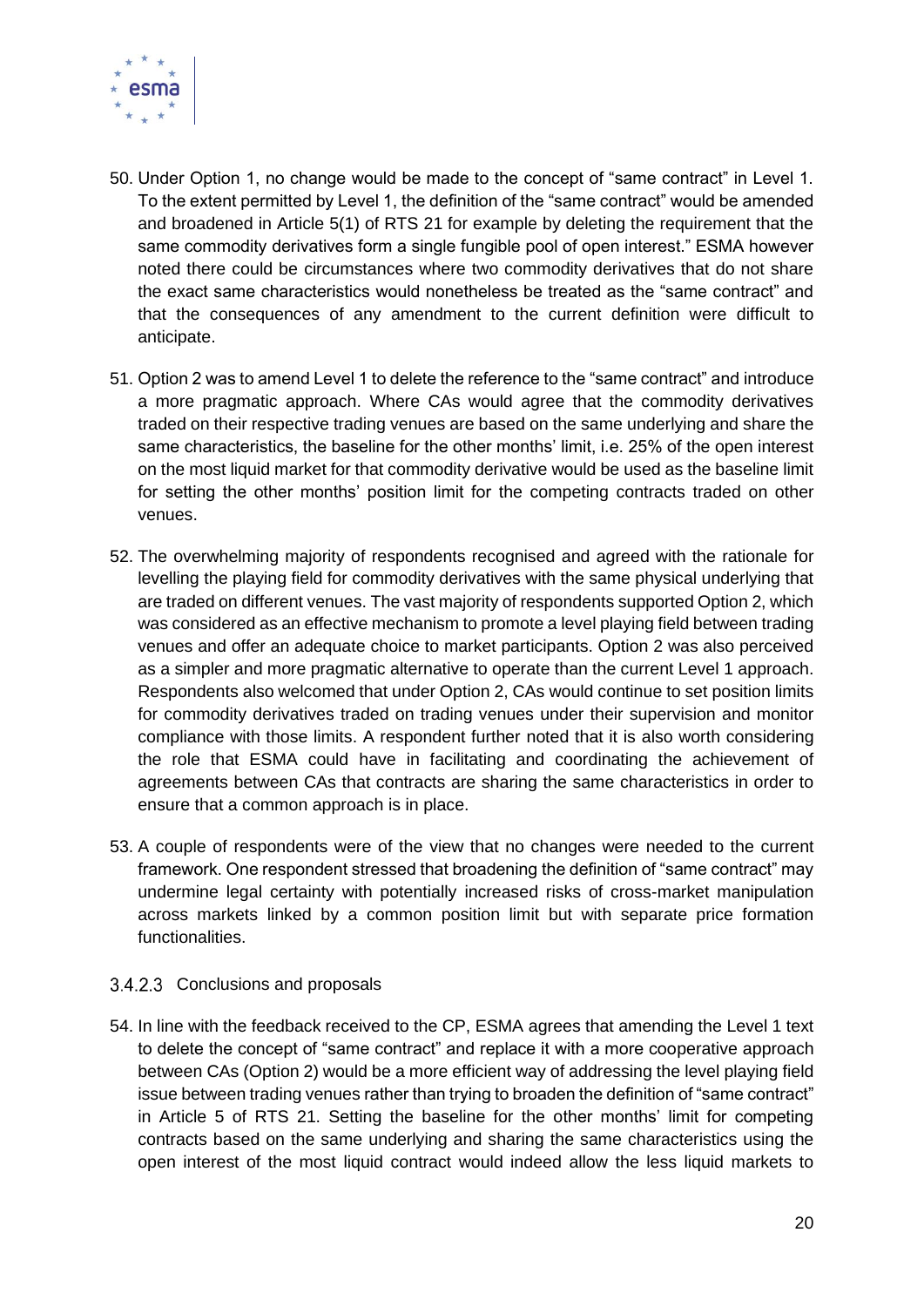

- 50. Under Option 1, no change would be made to the concept of "same contract" in Level 1. To the extent permitted by Level 1, the definition of the "same contract" would be amended and broadened in Article 5(1) of RTS 21 for example by deleting the requirement that the same commodity derivatives form a single fungible pool of open interest." ESMA however noted there could be circumstances where two commodity derivatives that do not share the exact same characteristics would nonetheless be treated as the "same contract" and that the consequences of any amendment to the current definition were difficult to anticipate.
- 51. Option 2 was to amend Level 1 to delete the reference to the "same contract" and introduce a more pragmatic approach. Where CAs would agree that the commodity derivatives traded on their respective trading venues are based on the same underlying and share the same characteristics, the baseline for the other months' limit, i.e. 25% of the open interest on the most liquid market for that commodity derivative would be used as the baseline limit for setting the other months' position limit for the competing contracts traded on other venues.
- 52. The overwhelming majority of respondents recognised and agreed with the rationale for levelling the playing field for commodity derivatives with the same physical underlying that are traded on different venues. The vast majority of respondents supported Option 2, which was considered as an effective mechanism to promote a level playing field between trading venues and offer an adequate choice to market participants. Option 2 was also perceived as a simpler and more pragmatic alternative to operate than the current Level 1 approach. Respondents also welcomed that under Option 2, CAs would continue to set position limits for commodity derivatives traded on trading venues under their supervision and monitor compliance with those limits. A respondent further noted that it is also worth considering the role that ESMA could have in facilitating and coordinating the achievement of agreements between CAs that contracts are sharing the same characteristics in order to ensure that a common approach is in place.
- 53. A couple of respondents were of the view that no changes were needed to the current framework. One respondent stressed that broadening the definition of "same contract" may undermine legal certainty with potentially increased risks of cross-market manipulation across markets linked by a common position limit but with separate price formation functionalities.
- <span id="page-19-0"></span>3.4.2.3 Conclusions and proposals
- 54. In line with the feedback received to the CP, ESMA agrees that amending the Level 1 text to delete the concept of "same contract" and replace it with a more cooperative approach between CAs (Option 2) would be a more efficient way of addressing the level playing field issue between trading venues rather than trying to broaden the definition of "same contract" in Article 5 of RTS 21. Setting the baseline for the other months' limit for competing contracts based on the same underlying and sharing the same characteristics using the open interest of the most liquid contract would indeed allow the less liquid markets to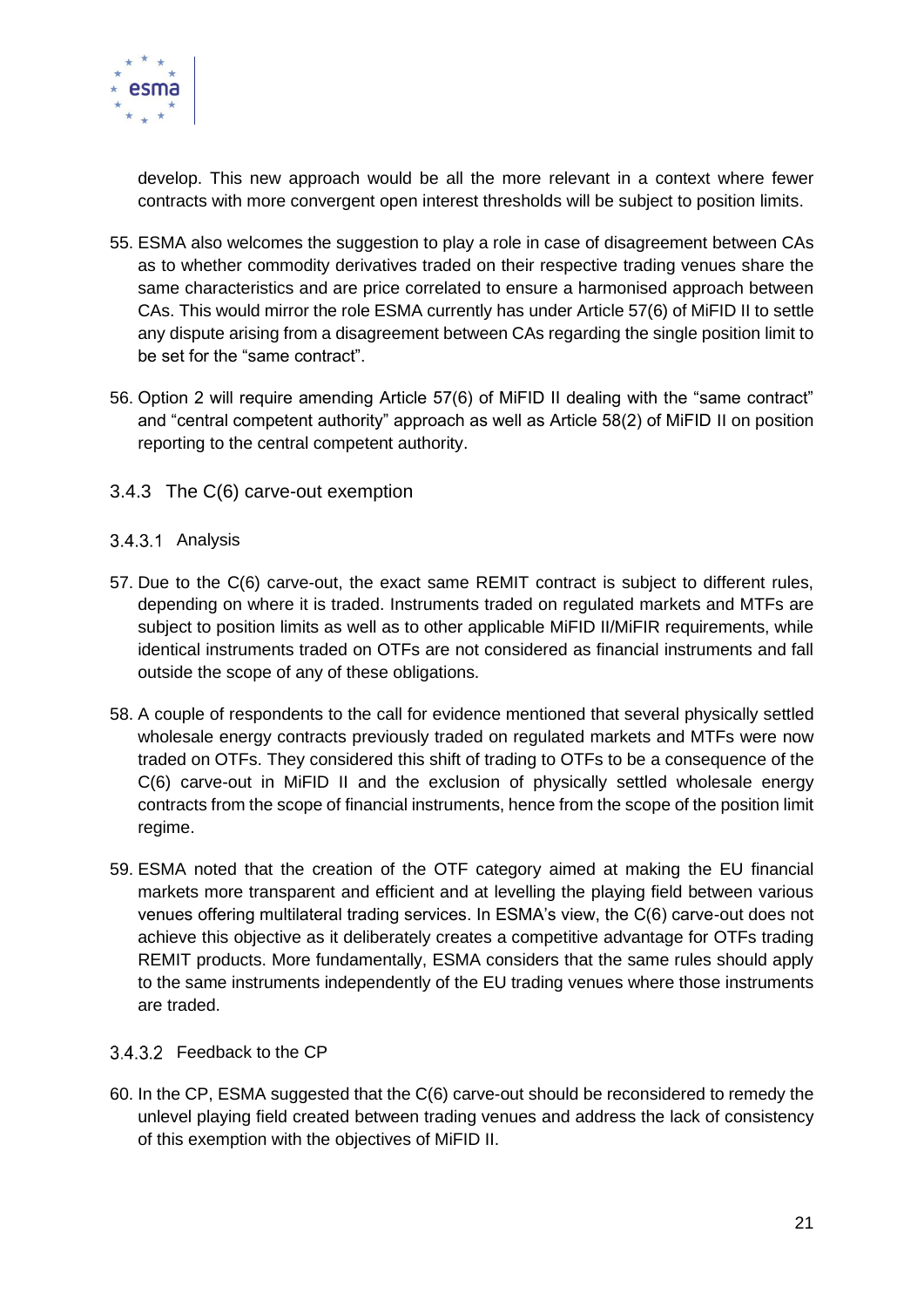

develop. This new approach would be all the more relevant in a context where fewer contracts with more convergent open interest thresholds will be subject to position limits.

- 55. ESMA also welcomes the suggestion to play a role in case of disagreement between CAs as to whether commodity derivatives traded on their respective trading venues share the same characteristics and are price correlated to ensure a harmonised approach between CAs. This would mirror the role ESMA currently has under Article 57(6) of MiFID II to settle any dispute arising from a disagreement between CAs regarding the single position limit to be set for the "same contract".
- 56. Option 2 will require amending Article 57(6) of MiFID II dealing with the "same contract" and "central competent authority" approach as well as Article 58(2) of MiFID II on position reporting to the central competent authority.
- <span id="page-20-0"></span>3.4.3 The C(6) carve-out exemption

#### <span id="page-20-1"></span>3.4.3.1 Analysis

- 57. Due to the C(6) carve-out, the exact same REMIT contract is subject to different rules, depending on where it is traded. Instruments traded on regulated markets and MTFs are subject to position limits as well as to other applicable MiFID II/MiFIR requirements, while identical instruments traded on OTFs are not considered as financial instruments and fall outside the scope of any of these obligations.
- 58. A couple of respondents to the call for evidence mentioned that several physically settled wholesale energy contracts previously traded on regulated markets and MTFs were now traded on OTFs. They considered this shift of trading to OTFs to be a consequence of the C(6) carve-out in MiFID II and the exclusion of physically settled wholesale energy contracts from the scope of financial instruments, hence from the scope of the position limit regime.
- 59. ESMA noted that the creation of the OTF category aimed at making the EU financial markets more transparent and efficient and at levelling the playing field between various venues offering multilateral trading services. In ESMA's view, the C(6) carve-out does not achieve this objective as it deliberately creates a competitive advantage for OTFs trading REMIT products. More fundamentally, ESMA considers that the same rules should apply to the same instruments independently of the EU trading venues where those instruments are traded.

#### <span id="page-20-2"></span>3.4.3.2 Feedback to the CP

60. In the CP, ESMA suggested that the C(6) carve-out should be reconsidered to remedy the unlevel playing field created between trading venues and address the lack of consistency of this exemption with the objectives of MiFID II.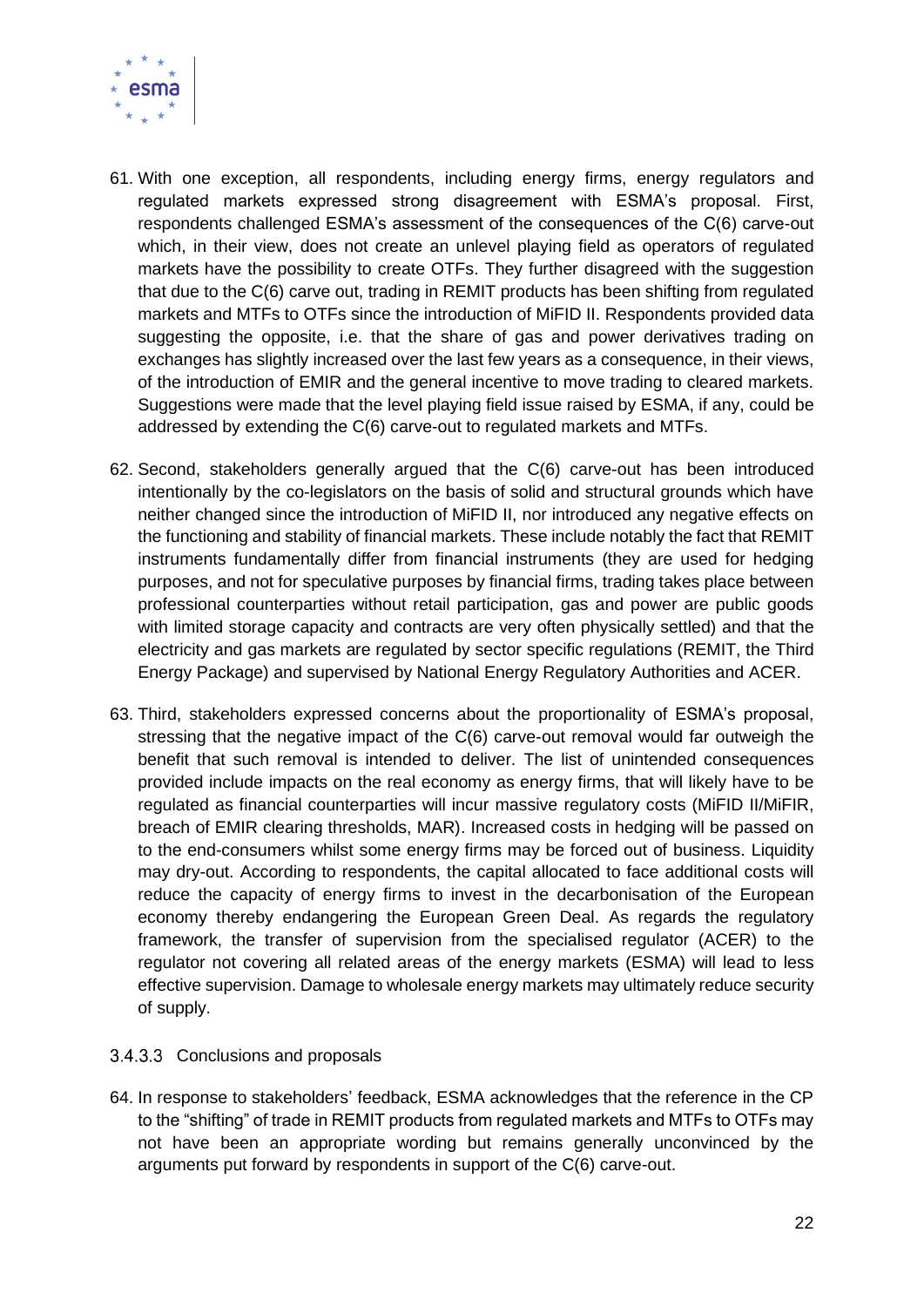

- 61. With one exception, all respondents, including energy firms, energy regulators and regulated markets expressed strong disagreement with ESMA's proposal. First, respondents challenged ESMA's assessment of the consequences of the C(6) carve-out which, in their view, does not create an unlevel playing field as operators of regulated markets have the possibility to create OTFs. They further disagreed with the suggestion that due to the C(6) carve out, trading in REMIT products has been shifting from regulated markets and MTFs to OTFs since the introduction of MiFID II. Respondents provided data suggesting the opposite, i.e. that the share of gas and power derivatives trading on exchanges has slightly increased over the last few years as a consequence, in their views, of the introduction of EMIR and the general incentive to move trading to cleared markets. Suggestions were made that the level playing field issue raised by ESMA, if any, could be addressed by extending the C(6) carve-out to regulated markets and MTFs.
- 62. Second, stakeholders generally argued that the C(6) carve-out has been introduced intentionally by the co-legislators on the basis of solid and structural grounds which have neither changed since the introduction of MiFID II, nor introduced any negative effects on the functioning and stability of financial markets. These include notably the fact that REMIT instruments fundamentally differ from financial instruments (they are used for hedging purposes, and not for speculative purposes by financial firms, trading takes place between professional counterparties without retail participation, gas and power are public goods with limited storage capacity and contracts are very often physically settled) and that the electricity and gas markets are regulated by sector specific regulations (REMIT, the Third Energy Package) and supervised by National Energy Regulatory Authorities and ACER.
- 63. Third, stakeholders expressed concerns about the proportionality of ESMA's proposal, stressing that the negative impact of the C(6) carve-out removal would far outweigh the benefit that such removal is intended to deliver. The list of unintended consequences provided include impacts on the real economy as energy firms, that will likely have to be regulated as financial counterparties will incur massive regulatory costs (MiFID II/MiFIR, breach of EMIR clearing thresholds, MAR). Increased costs in hedging will be passed on to the end-consumers whilst some energy firms may be forced out of business. Liquidity may dry-out. According to respondents, the capital allocated to face additional costs will reduce the capacity of energy firms to invest in the decarbonisation of the European economy thereby endangering the European Green Deal. As regards the regulatory framework, the transfer of supervision from the specialised regulator (ACER) to the regulator not covering all related areas of the energy markets (ESMA) will lead to less effective supervision. Damage to wholesale energy markets may ultimately reduce security of supply.

#### <span id="page-21-0"></span>3.4.3.3 Conclusions and proposals

64. In response to stakeholders' feedback, ESMA acknowledges that the reference in the CP to the "shifting" of trade in REMIT products from regulated markets and MTFs to OTFs may not have been an appropriate wording but remains generally unconvinced by the arguments put forward by respondents in support of the C(6) carve-out.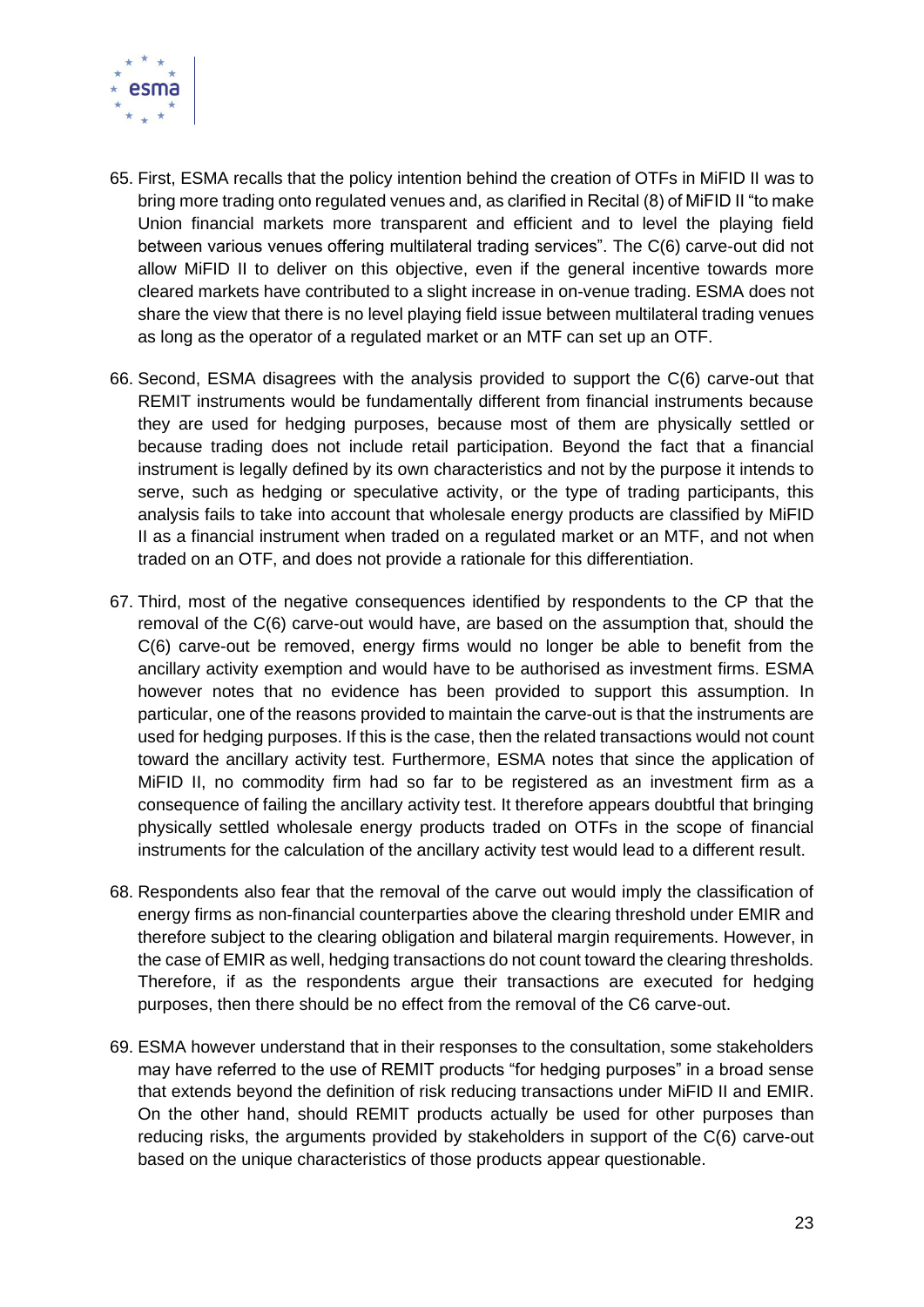

- 65. First, ESMA recalls that the policy intention behind the creation of OTFs in MiFID II was to bring more trading onto regulated venues and, as clarified in Recital (8) of MiFID II "to make Union financial markets more transparent and efficient and to level the playing field between various venues offering multilateral trading services". The C(6) carve-out did not allow MiFID II to deliver on this objective, even if the general incentive towards more cleared markets have contributed to a slight increase in on-venue trading. ESMA does not share the view that there is no level playing field issue between multilateral trading venues as long as the operator of a regulated market or an MTF can set up an OTF.
- 66. Second, ESMA disagrees with the analysis provided to support the C(6) carve-out that REMIT instruments would be fundamentally different from financial instruments because they are used for hedging purposes, because most of them are physically settled or because trading does not include retail participation. Beyond the fact that a financial instrument is legally defined by its own characteristics and not by the purpose it intends to serve, such as hedging or speculative activity, or the type of trading participants, this analysis fails to take into account that wholesale energy products are classified by MiFID II as a financial instrument when traded on a regulated market or an MTF, and not when traded on an OTF, and does not provide a rationale for this differentiation.
- 67. Third, most of the negative consequences identified by respondents to the CP that the removal of the C(6) carve-out would have, are based on the assumption that, should the C(6) carve-out be removed, energy firms would no longer be able to benefit from the ancillary activity exemption and would have to be authorised as investment firms. ESMA however notes that no evidence has been provided to support this assumption. In particular, one of the reasons provided to maintain the carve-out is that the instruments are used for hedging purposes. If this is the case, then the related transactions would not count toward the ancillary activity test. Furthermore, ESMA notes that since the application of MiFID II, no commodity firm had so far to be registered as an investment firm as a consequence of failing the ancillary activity test. It therefore appears doubtful that bringing physically settled wholesale energy products traded on OTFs in the scope of financial instruments for the calculation of the ancillary activity test would lead to a different result.
- 68. Respondents also fear that the removal of the carve out would imply the classification of energy firms as non-financial counterparties above the clearing threshold under EMIR and therefore subject to the clearing obligation and bilateral margin requirements. However, in the case of EMIR as well, hedging transactions do not count toward the clearing thresholds. Therefore, if as the respondents argue their transactions are executed for hedging purposes, then there should be no effect from the removal of the C6 carve-out.
- 69. ESMA however understand that in their responses to the consultation, some stakeholders may have referred to the use of REMIT products "for hedging purposes" in a broad sense that extends beyond the definition of risk reducing transactions under MiFID II and EMIR. On the other hand, should REMIT products actually be used for other purposes than reducing risks, the arguments provided by stakeholders in support of the C(6) carve-out based on the unique characteristics of those products appear questionable.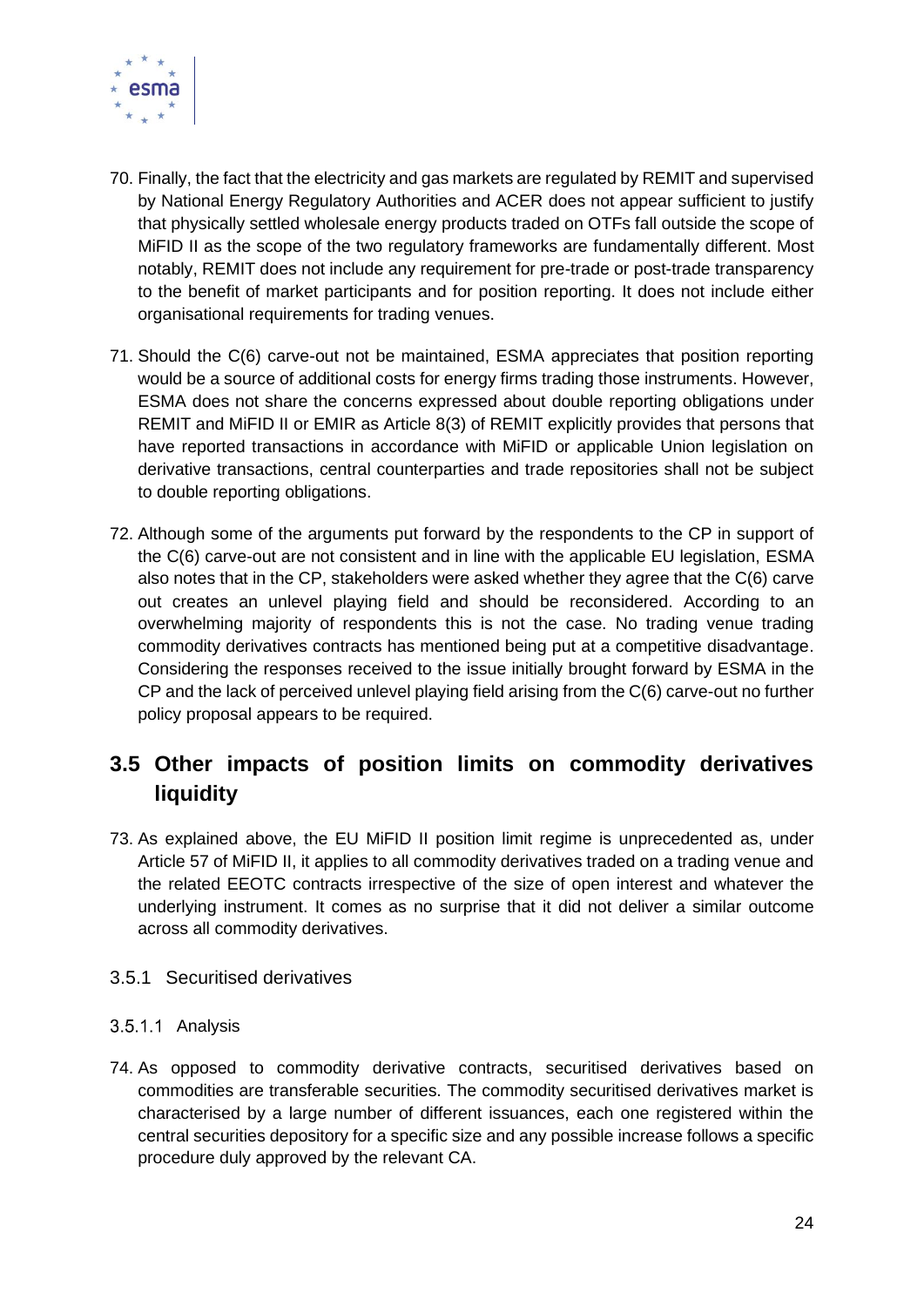

- 70. Finally, the fact that the electricity and gas markets are regulated by REMIT and supervised by National Energy Regulatory Authorities and ACER does not appear sufficient to justify that physically settled wholesale energy products traded on OTFs fall outside the scope of MiFID II as the scope of the two regulatory frameworks are fundamentally different. Most notably, REMIT does not include any requirement for pre-trade or post-trade transparency to the benefit of market participants and for position reporting. It does not include either organisational requirements for trading venues.
- 71. Should the C(6) carve-out not be maintained, ESMA appreciates that position reporting would be a source of additional costs for energy firms trading those instruments. However, ESMA does not share the concerns expressed about double reporting obligations under REMIT and MiFID II or EMIR as Article 8(3) of REMIT explicitly provides that persons that have reported transactions in accordance with MiFID or applicable Union legislation on derivative transactions, central counterparties and trade repositories shall not be subject to double reporting obligations.
- 72. Although some of the arguments put forward by the respondents to the CP in support of the C(6) carve-out are not consistent and in line with the applicable EU legislation, ESMA also notes that in the CP, stakeholders were asked whether they agree that the C(6) carve out creates an unlevel playing field and should be reconsidered. According to an overwhelming majority of respondents this is not the case. No trading venue trading commodity derivatives contracts has mentioned being put at a competitive disadvantage. Considering the responses received to the issue initially brought forward by ESMA in the CP and the lack of perceived unlevel playing field arising from the C(6) carve-out no further policy proposal appears to be required.

### <span id="page-23-0"></span>**3.5 Other impacts of position limits on commodity derivatives liquidity**

73. As explained above, the EU MiFID II position limit regime is unprecedented as, under Article 57 of MiFID II, it applies to all commodity derivatives traded on a trading venue and the related EEOTC contracts irrespective of the size of open interest and whatever the underlying instrument. It comes as no surprise that it did not deliver a similar outcome across all commodity derivatives.

#### <span id="page-23-1"></span>3.5.1 Securitised derivatives

#### <span id="page-23-2"></span>3.5.1.1 Analysis

74. As opposed to commodity derivative contracts, securitised derivatives based on commodities are transferable securities. The commodity securitised derivatives market is characterised by a large number of different issuances, each one registered within the central securities depository for a specific size and any possible increase follows a specific procedure duly approved by the relevant CA.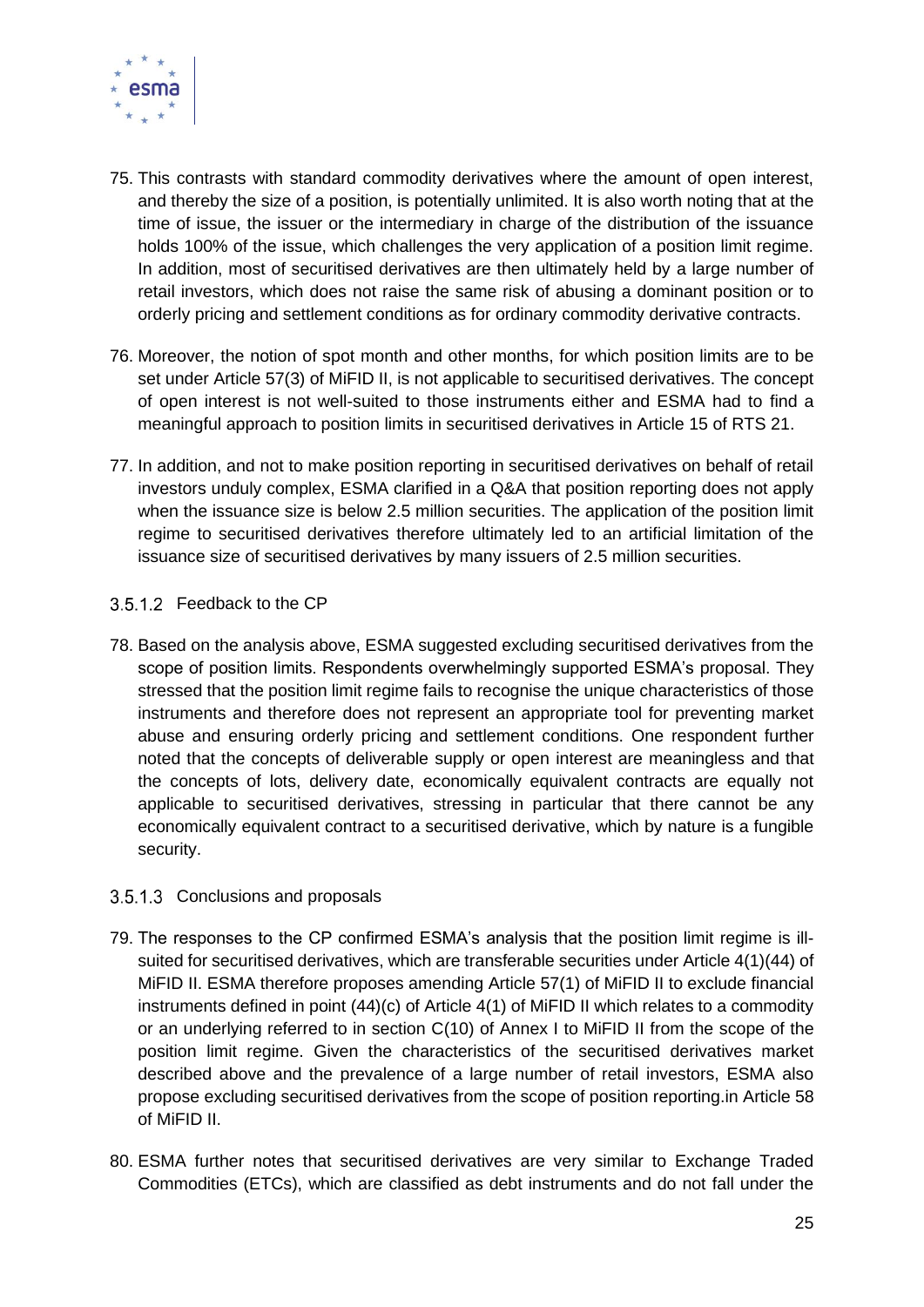

- 75. This contrasts with standard commodity derivatives where the amount of open interest, and thereby the size of a position, is potentially unlimited. It is also worth noting that at the time of issue, the issuer or the intermediary in charge of the distribution of the issuance holds 100% of the issue, which challenges the very application of a position limit regime. In addition, most of securitised derivatives are then ultimately held by a large number of retail investors, which does not raise the same risk of abusing a dominant position or to orderly pricing and settlement conditions as for ordinary commodity derivative contracts.
- 76. Moreover, the notion of spot month and other months, for which position limits are to be set under Article 57(3) of MiFID II, is not applicable to securitised derivatives. The concept of open interest is not well-suited to those instruments either and ESMA had to find a meaningful approach to position limits in securitised derivatives in Article 15 of RTS 21.
- 77. In addition, and not to make position reporting in securitised derivatives on behalf of retail investors unduly complex, ESMA clarified in a Q&A that position reporting does not apply when the issuance size is below 2.5 million securities. The application of the position limit regime to securitised derivatives therefore ultimately led to an artificial limitation of the issuance size of securitised derivatives by many issuers of 2.5 million securities.

#### <span id="page-24-0"></span>3.5.1.2 Feedback to the CP

78. Based on the analysis above, ESMA suggested excluding securitised derivatives from the scope of position limits. Respondents overwhelmingly supported ESMA's proposal. They stressed that the position limit regime fails to recognise the unique characteristics of those instruments and therefore does not represent an appropriate tool for preventing market abuse and ensuring orderly pricing and settlement conditions. One respondent further noted that the concepts of deliverable supply or open interest are meaningless and that the concepts of lots, delivery date, economically equivalent contracts are equally not applicable to securitised derivatives, stressing in particular that there cannot be any economically equivalent contract to a securitised derivative, which by nature is a fungible security.

#### <span id="page-24-1"></span>3.5.1.3 Conclusions and proposals

- 79. The responses to the CP confirmed ESMA's analysis that the position limit regime is illsuited for securitised derivatives, which are transferable securities under Article 4(1)(44) of MiFID II. ESMA therefore proposes amending Article 57(1) of MiFID II to exclude financial instruments defined in point (44)(c) of Article 4(1) of MiFID II which relates to a commodity or an underlying referred to in section C(10) of Annex I to MiFID II from the scope of the position limit regime. Given the characteristics of the securitised derivatives market described above and the prevalence of a large number of retail investors, ESMA also propose excluding securitised derivatives from the scope of position reporting.in Article 58 of MiFID II.
- 80. ESMA further notes that securitised derivatives are very similar to Exchange Traded Commodities (ETCs), which are classified as debt instruments and do not fall under the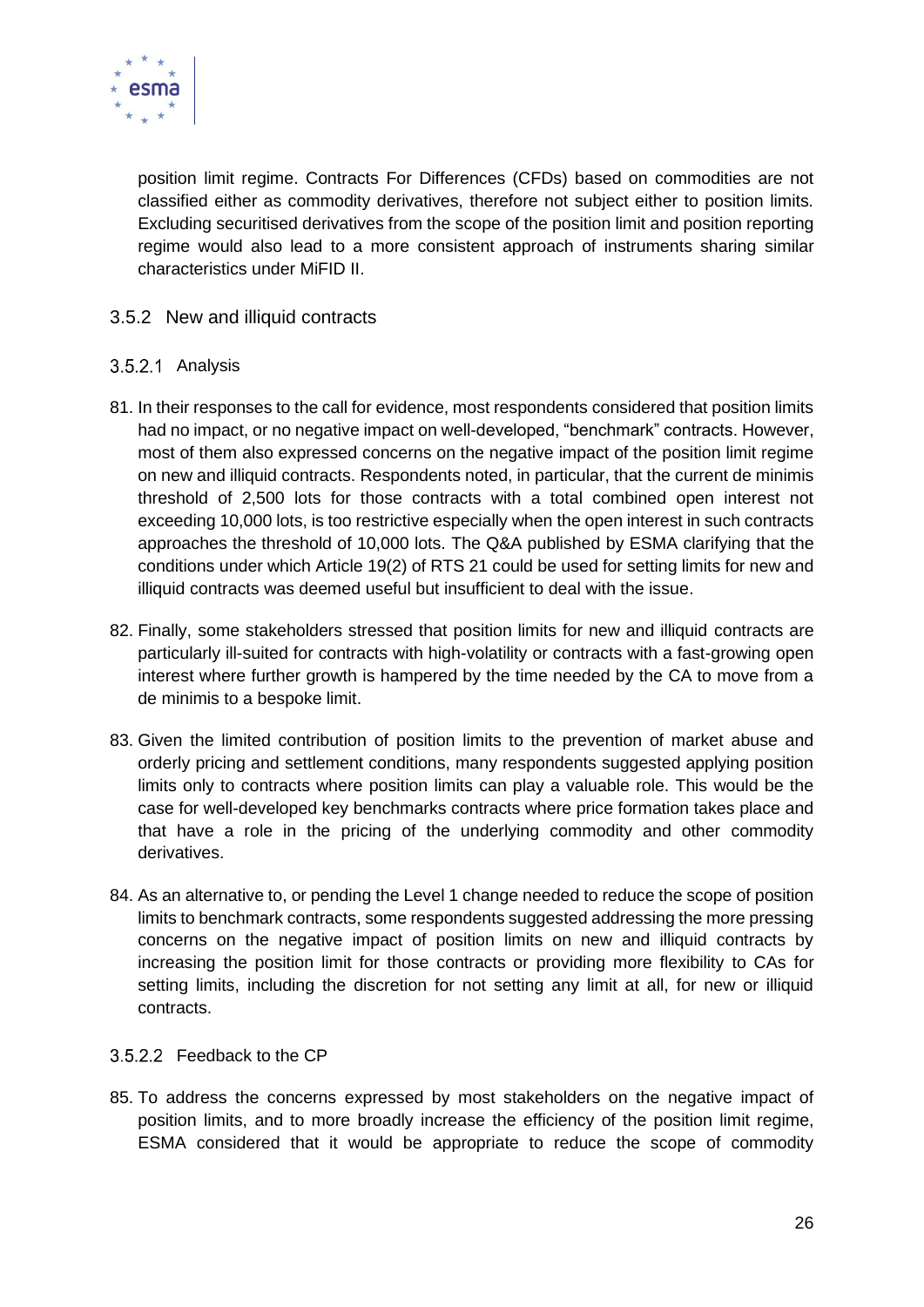

position limit regime. Contracts For Differences (CFDs) based on commodities are not classified either as commodity derivatives, therefore not subject either to position limits. Excluding securitised derivatives from the scope of the position limit and position reporting regime would also lead to a more consistent approach of instruments sharing similar characteristics under MiFID II.

#### <span id="page-25-0"></span>3.5.2 New and illiquid contracts

#### <span id="page-25-1"></span>3.5.2.1 Analysis

- 81. In their responses to the call for evidence, most respondents considered that position limits had no impact, or no negative impact on well-developed, "benchmark" contracts. However, most of them also expressed concerns on the negative impact of the position limit regime on new and illiquid contracts. Respondents noted, in particular, that the current de minimis threshold of 2,500 lots for those contracts with a total combined open interest not exceeding 10,000 lots, is too restrictive especially when the open interest in such contracts approaches the threshold of 10,000 lots. The Q&A published by ESMA clarifying that the conditions under which Article 19(2) of RTS 21 could be used for setting limits for new and illiquid contracts was deemed useful but insufficient to deal with the issue.
- 82. Finally, some stakeholders stressed that position limits for new and illiquid contracts are particularly ill-suited for contracts with high-volatility or contracts with a fast-growing open interest where further growth is hampered by the time needed by the CA to move from a de minimis to a bespoke limit.
- 83. Given the limited contribution of position limits to the prevention of market abuse and orderly pricing and settlement conditions, many respondents suggested applying position limits only to contracts where position limits can play a valuable role. This would be the case for well-developed key benchmarks contracts where price formation takes place and that have a role in the pricing of the underlying commodity and other commodity derivatives.
- 84. As an alternative to, or pending the Level 1 change needed to reduce the scope of position limits to benchmark contracts, some respondents suggested addressing the more pressing concerns on the negative impact of position limits on new and illiquid contracts by increasing the position limit for those contracts or providing more flexibility to CAs for setting limits, including the discretion for not setting any limit at all, for new or illiquid contracts.

#### <span id="page-25-2"></span>3.5.2.2 Feedback to the CP

85. To address the concerns expressed by most stakeholders on the negative impact of position limits, and to more broadly increase the efficiency of the position limit regime, ESMA considered that it would be appropriate to reduce the scope of commodity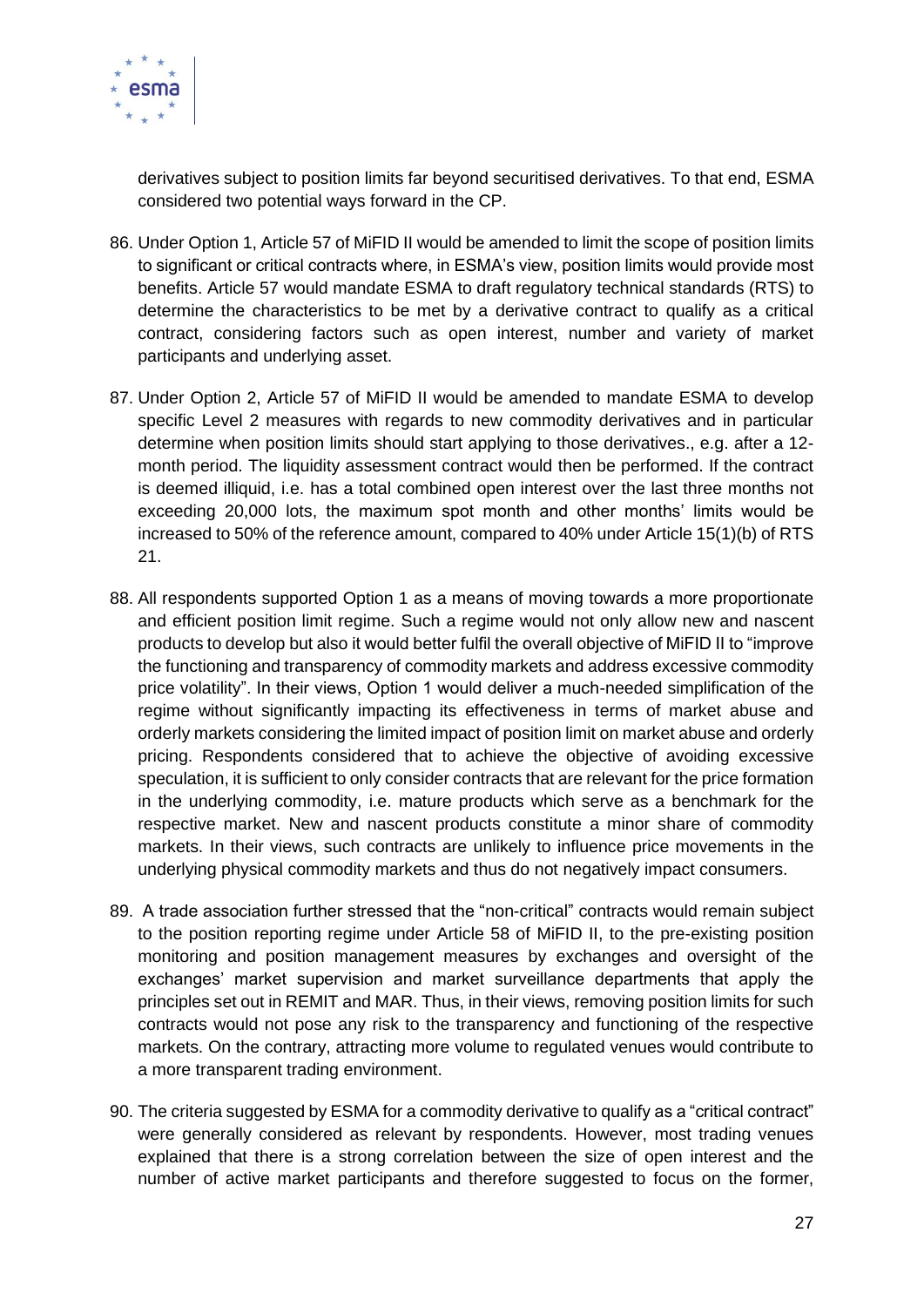

derivatives subject to position limits far beyond securitised derivatives. To that end, ESMA considered two potential ways forward in the CP.

- 86. Under Option 1, Article 57 of MiFID II would be amended to limit the scope of position limits to significant or critical contracts where, in ESMA's view, position limits would provide most benefits. Article 57 would mandate ESMA to draft regulatory technical standards (RTS) to determine the characteristics to be met by a derivative contract to qualify as a critical contract, considering factors such as open interest, number and variety of market participants and underlying asset.
- 87. Under Option 2, Article 57 of MiFID II would be amended to mandate ESMA to develop specific Level 2 measures with regards to new commodity derivatives and in particular determine when position limits should start applying to those derivatives., e.g. after a 12 month period. The liquidity assessment contract would then be performed. If the contract is deemed illiquid, i.e. has a total combined open interest over the last three months not exceeding 20,000 lots, the maximum spot month and other months' limits would be increased to 50% of the reference amount, compared to 40% under Article 15(1)(b) of RTS 21.
- 88. All respondents supported Option 1 as a means of moving towards a more proportionate and efficient position limit regime. Such a regime would not only allow new and nascent products to develop but also it would better fulfil the overall objective of MiFID II to "improve the functioning and transparency of commodity markets and address excessive commodity price volatility". In their views, Option 1 would deliver a much-needed simplification of the regime without significantly impacting its effectiveness in terms of market abuse and orderly markets considering the limited impact of position limit on market abuse and orderly pricing. Respondents considered that to achieve the objective of avoiding excessive speculation, it is sufficient to only consider contracts that are relevant for the price formation in the underlying commodity, i.e. mature products which serve as a benchmark for the respective market. New and nascent products constitute a minor share of commodity markets. In their views, such contracts are unlikely to influence price movements in the underlying physical commodity markets and thus do not negatively impact consumers.
- 89. A trade association further stressed that the "non-critical" contracts would remain subject to the position reporting regime under Article 58 of MiFID II, to the pre-existing position monitoring and position management measures by exchanges and oversight of the exchanges' market supervision and market surveillance departments that apply the principles set out in REMIT and MAR. Thus, in their views, removing position limits for such contracts would not pose any risk to the transparency and functioning of the respective markets. On the contrary, attracting more volume to regulated venues would contribute to a more transparent trading environment.
- 90. The criteria suggested by ESMA for a commodity derivative to qualify as a "critical contract" were generally considered as relevant by respondents. However, most trading venues explained that there is a strong correlation between the size of open interest and the number of active market participants and therefore suggested to focus on the former,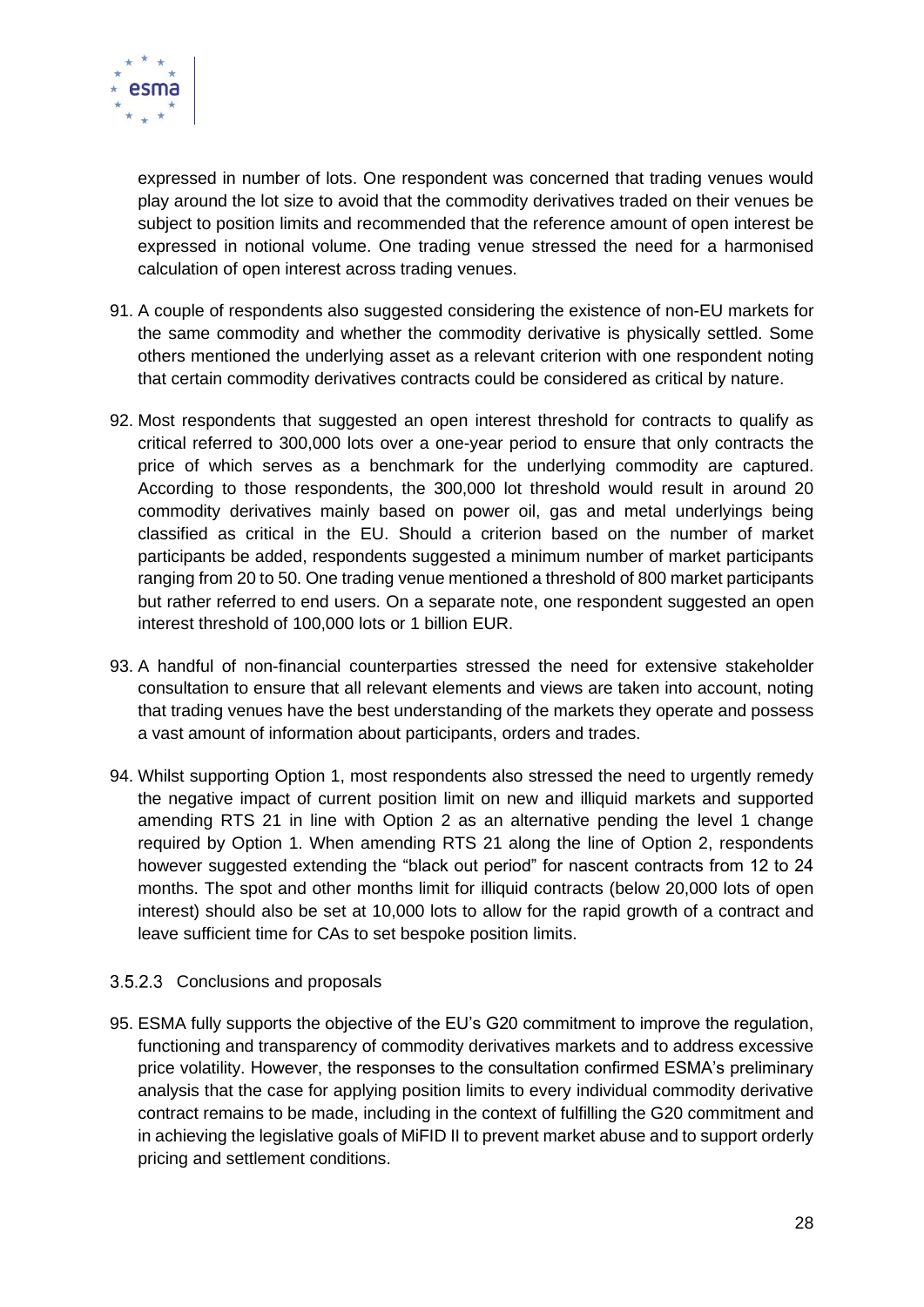

expressed in number of lots. One respondent was concerned that trading venues would play around the lot size to avoid that the commodity derivatives traded on their venues be subject to position limits and recommended that the reference amount of open interest be expressed in notional volume. One trading venue stressed the need for a harmonised calculation of open interest across trading venues.

- 91. A couple of respondents also suggested considering the existence of non-EU markets for the same commodity and whether the commodity derivative is physically settled. Some others mentioned the underlying asset as a relevant criterion with one respondent noting that certain commodity derivatives contracts could be considered as critical by nature.
- 92. Most respondents that suggested an open interest threshold for contracts to qualify as critical referred to 300,000 lots over a one-year period to ensure that only contracts the price of which serves as a benchmark for the underlying commodity are captured. According to those respondents, the 300,000 lot threshold would result in around 20 commodity derivatives mainly based on power oil, gas and metal underlyings being classified as critical in the EU. Should a criterion based on the number of market participants be added, respondents suggested a minimum number of market participants ranging from 20 to 50. One trading venue mentioned a threshold of 800 market participants but rather referred to end users. On a separate note, one respondent suggested an open interest threshold of 100,000 lots or 1 billion EUR.
- 93. A handful of non-financial counterparties stressed the need for extensive stakeholder consultation to ensure that all relevant elements and views are taken into account, noting that trading venues have the best understanding of the markets they operate and possess a vast amount of information about participants, orders and trades.
- 94. Whilst supporting Option 1, most respondents also stressed the need to urgently remedy the negative impact of current position limit on new and illiquid markets and supported amending RTS 21 in line with Option 2 as an alternative pending the level 1 change required by Option 1. When amending RTS 21 along the line of Option 2, respondents however suggested extending the "black out period" for nascent contracts from 12 to 24 months. The spot and other months limit for illiquid contracts (below 20,000 lots of open interest) should also be set at 10,000 lots to allow for the rapid growth of a contract and leave sufficient time for CAs to set bespoke position limits.

#### <span id="page-27-0"></span>3.5.2.3 Conclusions and proposals

95. ESMA fully supports the objective of the EU's G20 commitment to improve the regulation, functioning and transparency of commodity derivatives markets and to address excessive price volatility. However, the responses to the consultation confirmed ESMA's preliminary analysis that the case for applying position limits to every individual commodity derivative contract remains to be made, including in the context of fulfilling the G20 commitment and in achieving the legislative goals of MiFID II to prevent market abuse and to support orderly pricing and settlement conditions.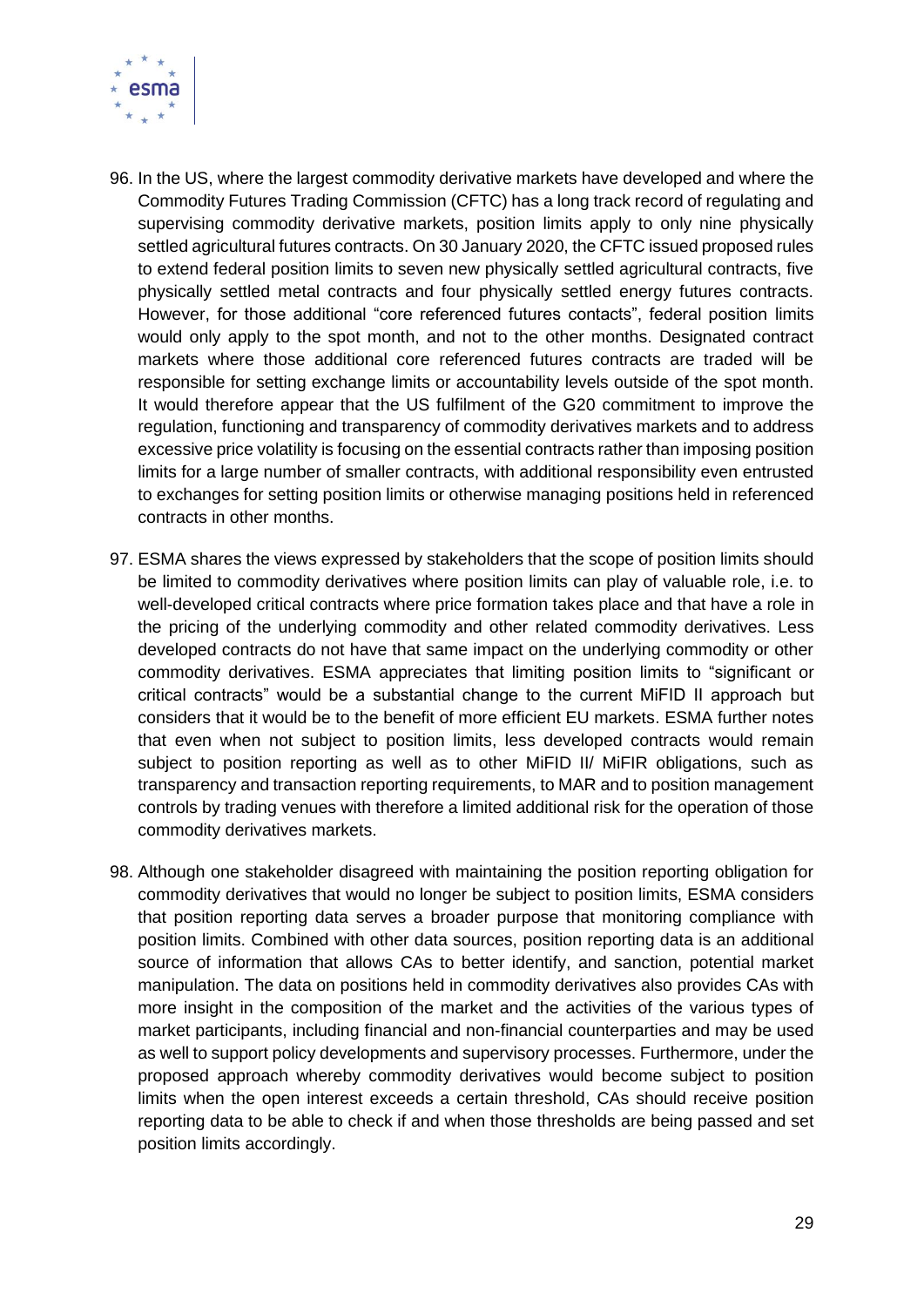

- 96. In the US, where the largest commodity derivative markets have developed and where the Commodity Futures Trading Commission (CFTC) has a long track record of regulating and supervising commodity derivative markets, position limits apply to only nine physically settled agricultural futures contracts. On 30 January 2020, the CFTC issued proposed rules to extend federal position limits to seven new physically settled agricultural contracts, five physically settled metal contracts and four physically settled energy futures contracts. However, for those additional "core referenced futures contacts", federal position limits would only apply to the spot month, and not to the other months. Designated contract markets where those additional core referenced futures contracts are traded will be responsible for setting exchange limits or accountability levels outside of the spot month. It would therefore appear that the US fulfilment of the G20 commitment to improve the regulation, functioning and transparency of commodity derivatives markets and to address excessive price volatility is focusing on the essential contracts rather than imposing position limits for a large number of smaller contracts, with additional responsibility even entrusted to exchanges for setting position limits or otherwise managing positions held in referenced contracts in other months.
- 97. ESMA shares the views expressed by stakeholders that the scope of position limits should be limited to commodity derivatives where position limits can play of valuable role, i.e. to well-developed critical contracts where price formation takes place and that have a role in the pricing of the underlying commodity and other related commodity derivatives. Less developed contracts do not have that same impact on the underlying commodity or other commodity derivatives. ESMA appreciates that limiting position limits to "significant or critical contracts" would be a substantial change to the current MiFID II approach but considers that it would be to the benefit of more efficient EU markets. ESMA further notes that even when not subject to position limits, less developed contracts would remain subject to position reporting as well as to other MiFID II/ MiFIR obligations, such as transparency and transaction reporting requirements, to MAR and to position management controls by trading venues with therefore a limited additional risk for the operation of those commodity derivatives markets.
- 98. Although one stakeholder disagreed with maintaining the position reporting obligation for commodity derivatives that would no longer be subject to position limits, ESMA considers that position reporting data serves a broader purpose that monitoring compliance with position limits. Combined with other data sources, position reporting data is an additional source of information that allows CAs to better identify, and sanction, potential market manipulation. The data on positions held in commodity derivatives also provides CAs with more insight in the composition of the market and the activities of the various types of market participants, including financial and non-financial counterparties and may be used as well to support policy developments and supervisory processes. Furthermore, under the proposed approach whereby commodity derivatives would become subject to position limits when the open interest exceeds a certain threshold, CAs should receive position reporting data to be able to check if and when those thresholds are being passed and set position limits accordingly.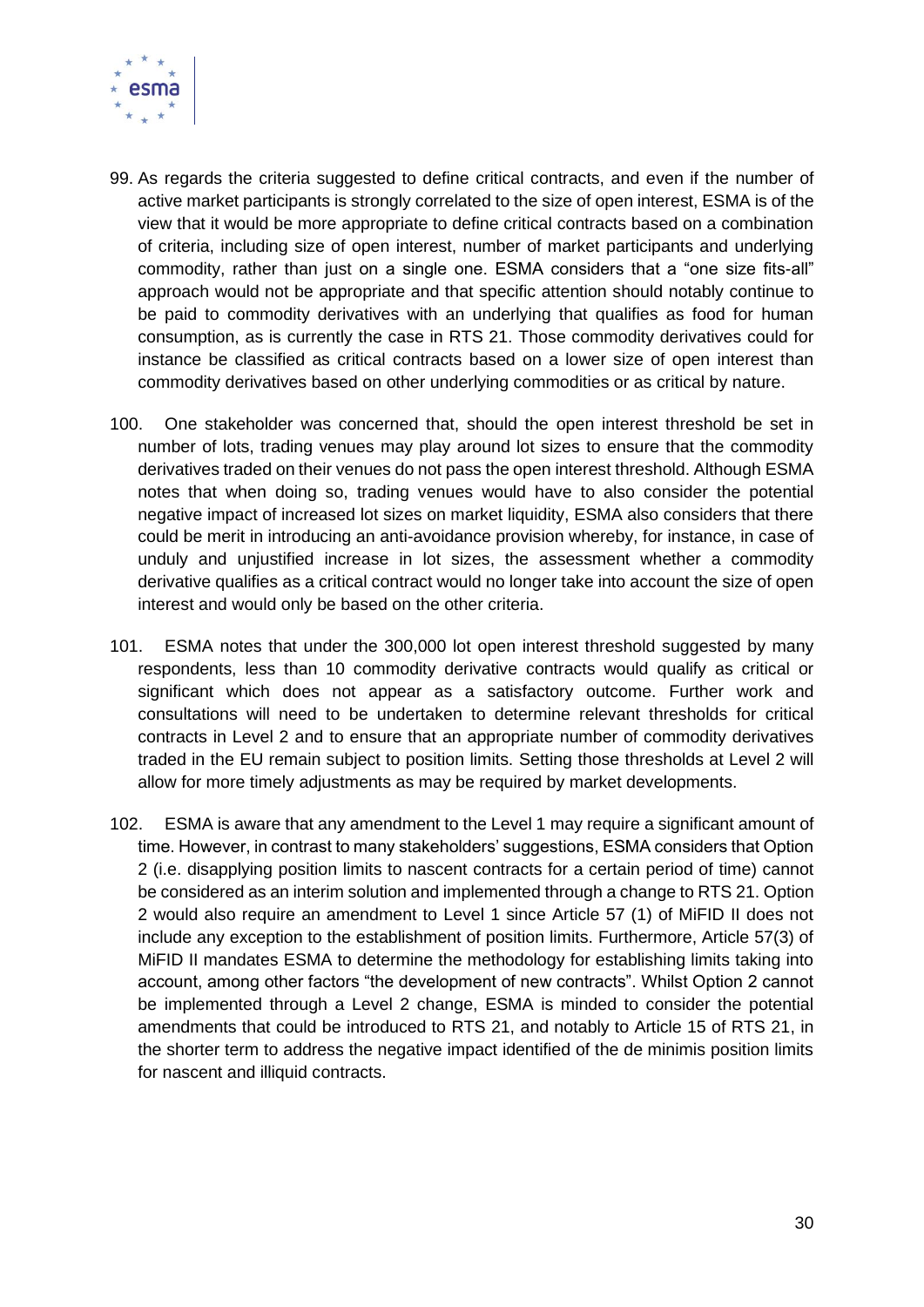

- 99. As regards the criteria suggested to define critical contracts, and even if the number of active market participants is strongly correlated to the size of open interest, ESMA is of the view that it would be more appropriate to define critical contracts based on a combination of criteria, including size of open interest, number of market participants and underlying commodity, rather than just on a single one. ESMA considers that a "one size fits-all" approach would not be appropriate and that specific attention should notably continue to be paid to commodity derivatives with an underlying that qualifies as food for human consumption, as is currently the case in RTS 21. Those commodity derivatives could for instance be classified as critical contracts based on a lower size of open interest than commodity derivatives based on other underlying commodities or as critical by nature.
- 100. One stakeholder was concerned that, should the open interest threshold be set in number of lots, trading venues may play around lot sizes to ensure that the commodity derivatives traded on their venues do not pass the open interest threshold. Although ESMA notes that when doing so, trading venues would have to also consider the potential negative impact of increased lot sizes on market liquidity, ESMA also considers that there could be merit in introducing an anti-avoidance provision whereby, for instance, in case of unduly and unjustified increase in lot sizes, the assessment whether a commodity derivative qualifies as a critical contract would no longer take into account the size of open interest and would only be based on the other criteria.
- 101. ESMA notes that under the 300,000 lot open interest threshold suggested by many respondents, less than 10 commodity derivative contracts would qualify as critical or significant which does not appear as a satisfactory outcome. Further work and consultations will need to be undertaken to determine relevant thresholds for critical contracts in Level 2 and to ensure that an appropriate number of commodity derivatives traded in the EU remain subject to position limits. Setting those thresholds at Level 2 will allow for more timely adjustments as may be required by market developments.
- 102. ESMA is aware that any amendment to the Level 1 may require a significant amount of time. However, in contrast to many stakeholders' suggestions, ESMA considers that Option 2 (i.e. disapplying position limits to nascent contracts for a certain period of time) cannot be considered as an interim solution and implemented through a change to RTS 21. Option 2 would also require an amendment to Level 1 since Article 57 (1) of MiFID II does not include any exception to the establishment of position limits. Furthermore, Article 57(3) of MiFID II mandates ESMA to determine the methodology for establishing limits taking into account, among other factors "the development of new contracts". Whilst Option 2 cannot be implemented through a Level 2 change, ESMA is minded to consider the potential amendments that could be introduced to RTS 21, and notably to Article 15 of RTS 21, in the shorter term to address the negative impact identified of the de minimis position limits for nascent and illiquid contracts.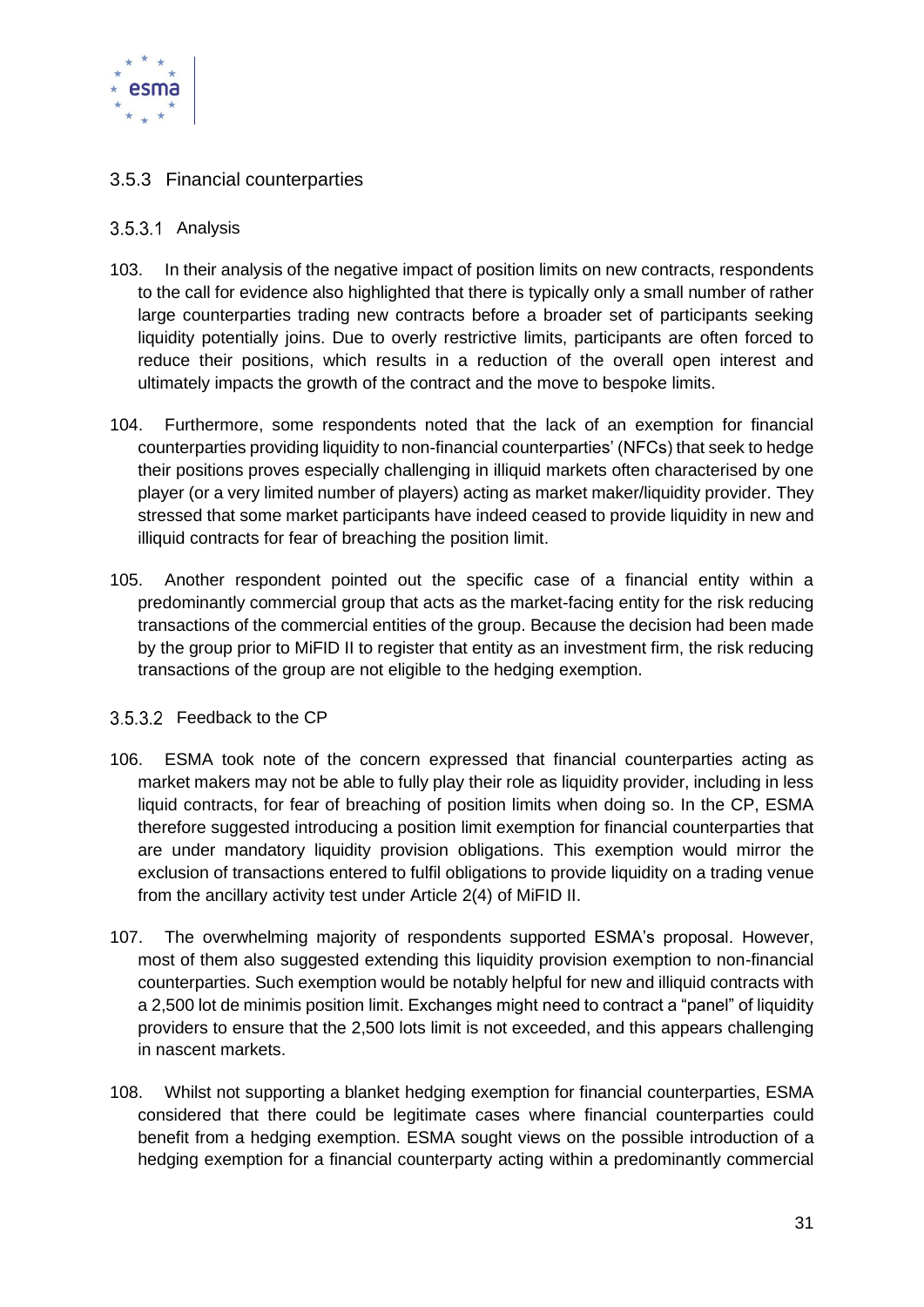

#### <span id="page-30-0"></span>3.5.3 Financial counterparties

#### <span id="page-30-1"></span>3.5.3.1 Analysis

- 103. In their analysis of the negative impact of position limits on new contracts, respondents to the call for evidence also highlighted that there is typically only a small number of rather large counterparties trading new contracts before a broader set of participants seeking liquidity potentially joins. Due to overly restrictive limits, participants are often forced to reduce their positions, which results in a reduction of the overall open interest and ultimately impacts the growth of the contract and the move to bespoke limits.
- 104. Furthermore, some respondents noted that the lack of an exemption for financial counterparties providing liquidity to non-financial counterparties' (NFCs) that seek to hedge their positions proves especially challenging in illiquid markets often characterised by one player (or a very limited number of players) acting as market maker/liquidity provider. They stressed that some market participants have indeed ceased to provide liquidity in new and illiquid contracts for fear of breaching the position limit.
- 105. Another respondent pointed out the specific case of a financial entity within a predominantly commercial group that acts as the market-facing entity for the risk reducing transactions of the commercial entities of the group. Because the decision had been made by the group prior to MiFID II to register that entity as an investment firm, the risk reducing transactions of the group are not eligible to the hedging exemption.

#### <span id="page-30-2"></span>3.5.3.2 Feedback to the CP

- 106. ESMA took note of the concern expressed that financial counterparties acting as market makers may not be able to fully play their role as liquidity provider, including in less liquid contracts, for fear of breaching of position limits when doing so. In the CP, ESMA therefore suggested introducing a position limit exemption for financial counterparties that are under mandatory liquidity provision obligations. This exemption would mirror the exclusion of transactions entered to fulfil obligations to provide liquidity on a trading venue from the ancillary activity test under Article 2(4) of MiFID II.
- 107. The overwhelming majority of respondents supported ESMA's proposal. However, most of them also suggested extending this liquidity provision exemption to non-financial counterparties. Such exemption would be notably helpful for new and illiquid contracts with a 2,500 lot de minimis position limit. Exchanges might need to contract a "panel" of liquidity providers to ensure that the 2,500 lots limit is not exceeded, and this appears challenging in nascent markets.
- 108. Whilst not supporting a blanket hedging exemption for financial counterparties, ESMA considered that there could be legitimate cases where financial counterparties could benefit from a hedging exemption. ESMA sought views on the possible introduction of a hedging exemption for a financial counterparty acting within a predominantly commercial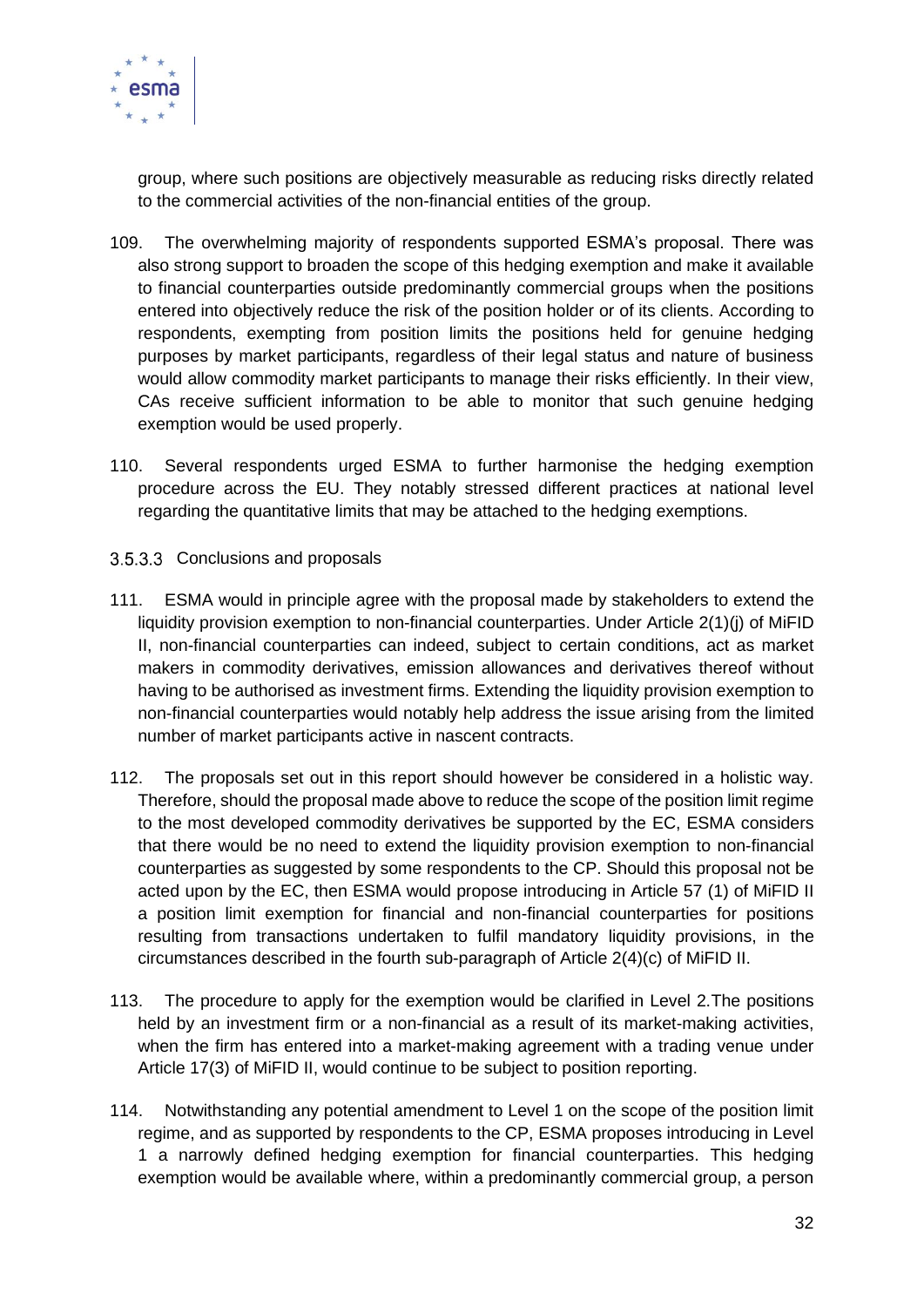

group, where such positions are objectively measurable as reducing risks directly related to the commercial activities of the non-financial entities of the group.

- 109. The overwhelming majority of respondents supported ESMA's proposal. There was also strong support to broaden the scope of this hedging exemption and make it available to financial counterparties outside predominantly commercial groups when the positions entered into objectively reduce the risk of the position holder or of its clients. According to respondents, exempting from position limits the positions held for genuine hedging purposes by market participants, regardless of their legal status and nature of business would allow commodity market participants to manage their risks efficiently. In their view, CAs receive sufficient information to be able to monitor that such genuine hedging exemption would be used properly.
- 110. Several respondents urged ESMA to further harmonise the hedging exemption procedure across the EU. They notably stressed different practices at national level regarding the quantitative limits that may be attached to the hedging exemptions.
- <span id="page-31-0"></span>3.5.3.3 Conclusions and proposals
- 111. ESMA would in principle agree with the proposal made by stakeholders to extend the liquidity provision exemption to non-financial counterparties. Under Article 2(1)(j) of MiFID II, non-financial counterparties can indeed, subject to certain conditions, act as market makers in commodity derivatives, emission allowances and derivatives thereof without having to be authorised as investment firms. Extending the liquidity provision exemption to non-financial counterparties would notably help address the issue arising from the limited number of market participants active in nascent contracts.
- 112. The proposals set out in this report should however be considered in a holistic way. Therefore, should the proposal made above to reduce the scope of the position limit regime to the most developed commodity derivatives be supported by the EC, ESMA considers that there would be no need to extend the liquidity provision exemption to non-financial counterparties as suggested by some respondents to the CP. Should this proposal not be acted upon by the EC, then ESMA would propose introducing in Article 57 (1) of MiFID II a position limit exemption for financial and non-financial counterparties for positions resulting from transactions undertaken to fulfil mandatory liquidity provisions, in the circumstances described in the fourth sub-paragraph of Article 2(4)(c) of MiFID II.
- 113. The procedure to apply for the exemption would be clarified in Level 2.The positions held by an investment firm or a non-financial as a result of its market-making activities, when the firm has entered into a market-making agreement with a trading venue under Article 17(3) of MiFID II, would continue to be subject to position reporting.
- 114. Notwithstanding any potential amendment to Level 1 on the scope of the position limit regime, and as supported by respondents to the CP, ESMA proposes introducing in Level 1 a narrowly defined hedging exemption for financial counterparties. This hedging exemption would be available where, within a predominantly commercial group, a person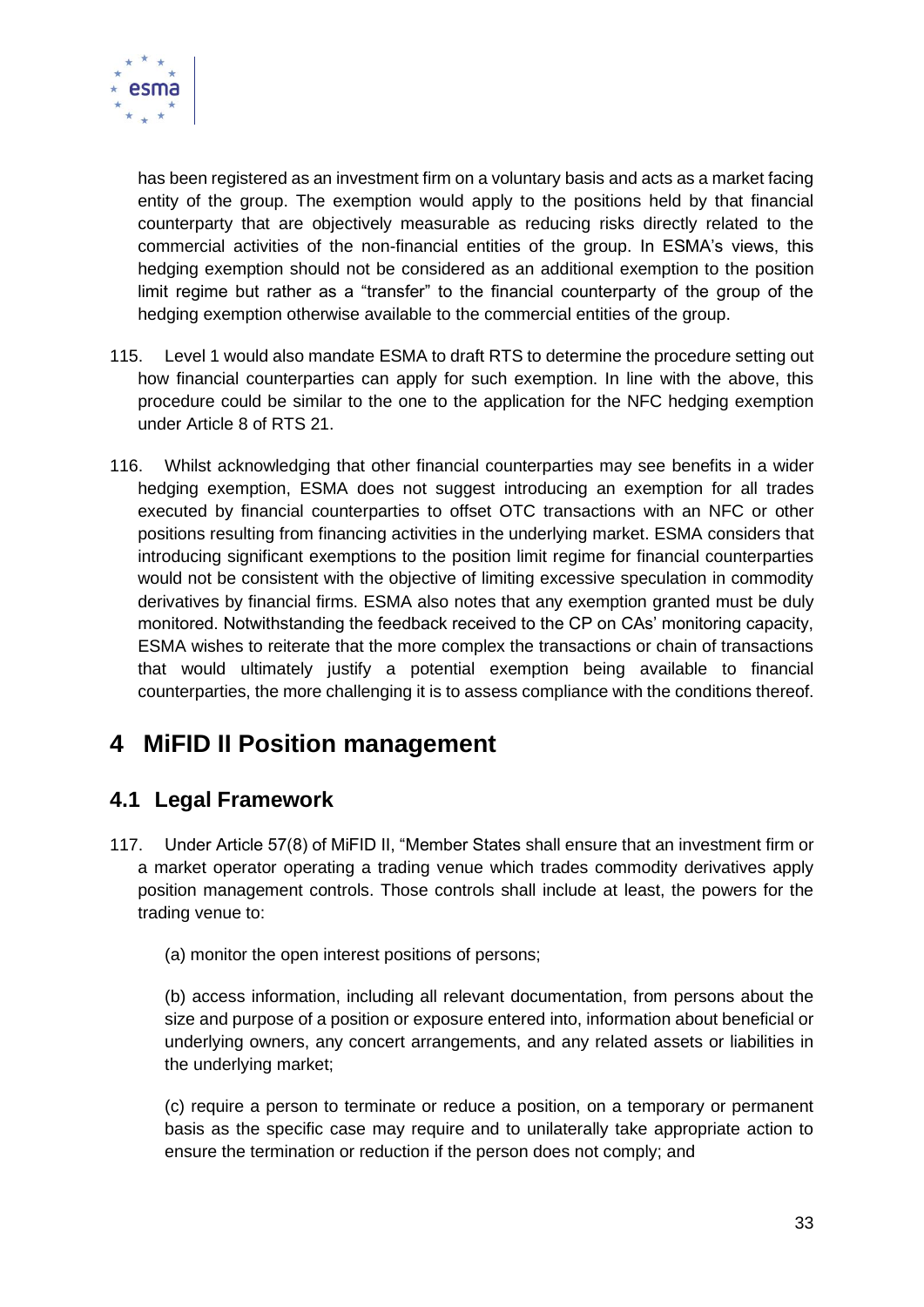

has been registered as an investment firm on a voluntary basis and acts as a market facing entity of the group. The exemption would apply to the positions held by that financial counterparty that are objectively measurable as reducing risks directly related to the commercial activities of the non-financial entities of the group. In ESMA's views, this hedging exemption should not be considered as an additional exemption to the position limit regime but rather as a "transfer" to the financial counterparty of the group of the hedging exemption otherwise available to the commercial entities of the group.

- 115. Level 1 would also mandate ESMA to draft RTS to determine the procedure setting out how financial counterparties can apply for such exemption. In line with the above, this procedure could be similar to the one to the application for the NFC hedging exemption under Article 8 of RTS 21.
- 116. Whilst acknowledging that other financial counterparties may see benefits in a wider hedging exemption, ESMA does not suggest introducing an exemption for all trades executed by financial counterparties to offset OTC transactions with an NFC or other positions resulting from financing activities in the underlying market. ESMA considers that introducing significant exemptions to the position limit regime for financial counterparties would not be consistent with the objective of limiting excessive speculation in commodity derivatives by financial firms. ESMA also notes that any exemption granted must be duly monitored. Notwithstanding the feedback received to the CP on CAs' monitoring capacity, ESMA wishes to reiterate that the more complex the transactions or chain of transactions that would ultimately justify a potential exemption being available to financial counterparties, the more challenging it is to assess compliance with the conditions thereof.

# <span id="page-32-0"></span>**4 MiFID II Position management**

### <span id="page-32-1"></span>**4.1 Legal Framework**

- 117. Under Article 57(8) of MiFID II, "Member States shall ensure that an investment firm or a market operator operating a trading venue which trades commodity derivatives apply position management controls. Those controls shall include at least, the powers for the trading venue to:
	- (a) monitor the open interest positions of persons;

(b) access information, including all relevant documentation, from persons about the size and purpose of a position or exposure entered into, information about beneficial or underlying owners, any concert arrangements, and any related assets or liabilities in the underlying market;

(c) require a person to terminate or reduce a position, on a temporary or permanent basis as the specific case may require and to unilaterally take appropriate action to ensure the termination or reduction if the person does not comply; and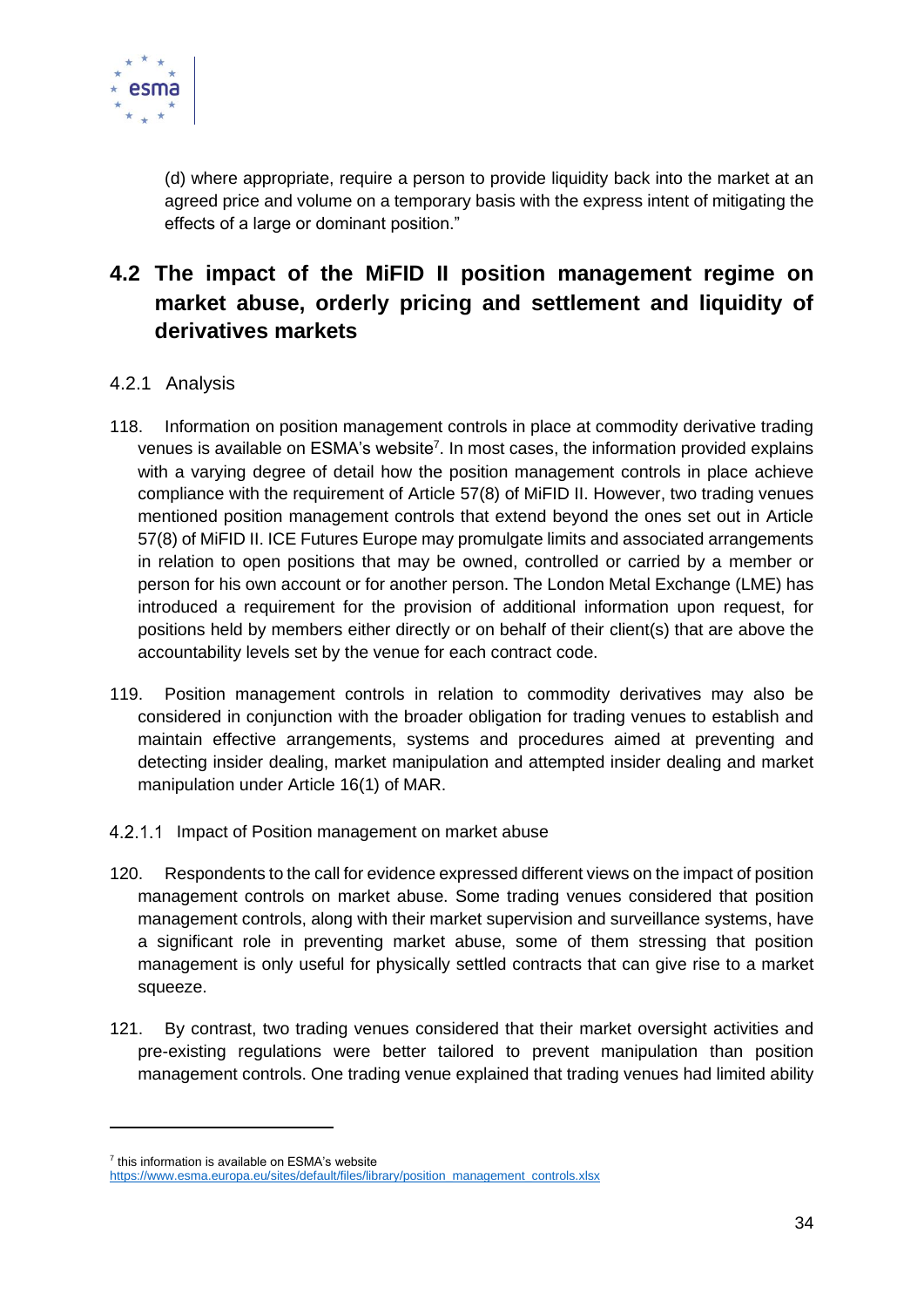

(d) where appropriate, require a person to provide liquidity back into the market at an agreed price and volume on a temporary basis with the express intent of mitigating the effects of a large or dominant position."

### <span id="page-33-0"></span>**4.2 The impact of the MiFID II position management regime on market abuse, orderly pricing and settlement and liquidity of derivatives markets**

#### <span id="page-33-1"></span>4.2.1 Analysis

- 118. Information on position management controls in place at commodity derivative trading venues is available on ESMA's website<sup>7</sup>. In most cases, the information provided explains with a varying degree of detail how the position management controls in place achieve compliance with the requirement of Article 57(8) of MiFID II. However, two trading venues mentioned position management controls that extend beyond the ones set out in Article 57(8) of MiFID II. ICE Futures Europe may promulgate limits and associated arrangements in relation to open positions that may be owned, controlled or carried by a member or person for his own account or for another person. The London Metal Exchange (LME) has introduced a requirement for the provision of additional information upon request, for positions held by members either directly or on behalf of their client(s) that are above the accountability levels set by the venue for each contract code.
- 119. Position management controls in relation to commodity derivatives may also be considered in conjunction with the broader obligation for trading venues to establish and maintain effective arrangements, systems and procedures aimed at preventing and detecting insider dealing, market manipulation and attempted insider dealing and market manipulation under Article 16(1) of MAR.
- <span id="page-33-2"></span>4.2.1.1 Impact of Position management on market abuse
- 120. Respondents to the call for evidence expressed different views on the impact of position management controls on market abuse. Some trading venues considered that position management controls, along with their market supervision and surveillance systems, have a significant role in preventing market abuse, some of them stressing that position management is only useful for physically settled contracts that can give rise to a market squeeze.
- 121. By contrast, two trading venues considered that their market oversight activities and pre-existing regulations were better tailored to prevent manipulation than position management controls. One trading venue explained that trading venues had limited ability

<sup>&</sup>lt;sup>7</sup> this information is available on ESMA's website

[https://www.esma.europa.eu/sites/default/files/library/position\\_management\\_controls.xlsx](https://www.esma.europa.eu/sites/default/files/library/position_management_controls.xlsx)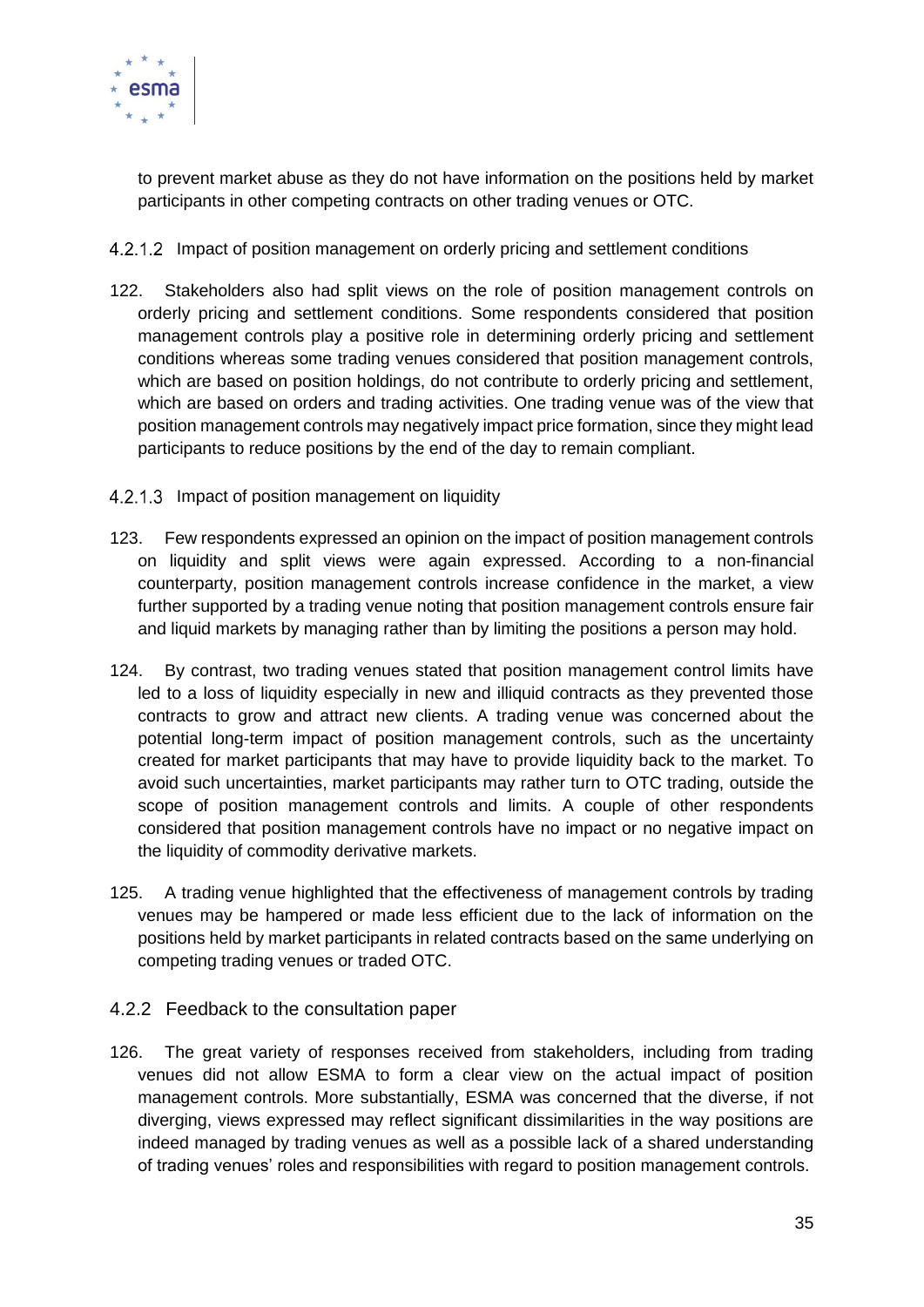

to prevent market abuse as they do not have information on the positions held by market participants in other competing contracts on other trading venues or OTC.

- <span id="page-34-0"></span>4.2.1.2 Impact of position management on orderly pricing and settlement conditions
- 122. Stakeholders also had split views on the role of position management controls on orderly pricing and settlement conditions. Some respondents considered that position management controls play a positive role in determining orderly pricing and settlement conditions whereas some trading venues considered that position management controls, which are based on position holdings, do not contribute to orderly pricing and settlement, which are based on orders and trading activities. One trading venue was of the view that position management controls may negatively impact price formation, since they might lead participants to reduce positions by the end of the day to remain compliant.
- <span id="page-34-1"></span>4.2.1.3 Impact of position management on liquidity
- 123. Few respondents expressed an opinion on the impact of position management controls on liquidity and split views were again expressed. According to a non-financial counterparty, position management controls increase confidence in the market, a view further supported by a trading venue noting that position management controls ensure fair and liquid markets by managing rather than by limiting the positions a person may hold.
- 124. By contrast, two trading venues stated that position management control limits have led to a loss of liquidity especially in new and illiquid contracts as they prevented those contracts to grow and attract new clients. A trading venue was concerned about the potential long-term impact of position management controls, such as the uncertainty created for market participants that may have to provide liquidity back to the market. To avoid such uncertainties, market participants may rather turn to OTC trading, outside the scope of position management controls and limits. A couple of other respondents considered that position management controls have no impact or no negative impact on the liquidity of commodity derivative markets.
- 125. A trading venue highlighted that the effectiveness of management controls by trading venues may be hampered or made less efficient due to the lack of information on the positions held by market participants in related contracts based on the same underlying on competing trading venues or traded OTC.
- <span id="page-34-2"></span>4.2.2 Feedback to the consultation paper
- 126. The great variety of responses received from stakeholders, including from trading venues did not allow ESMA to form a clear view on the actual impact of position management controls. More substantially, ESMA was concerned that the diverse, if not diverging, views expressed may reflect significant dissimilarities in the way positions are indeed managed by trading venues as well as a possible lack of a shared understanding of trading venues' roles and responsibilities with regard to position management controls.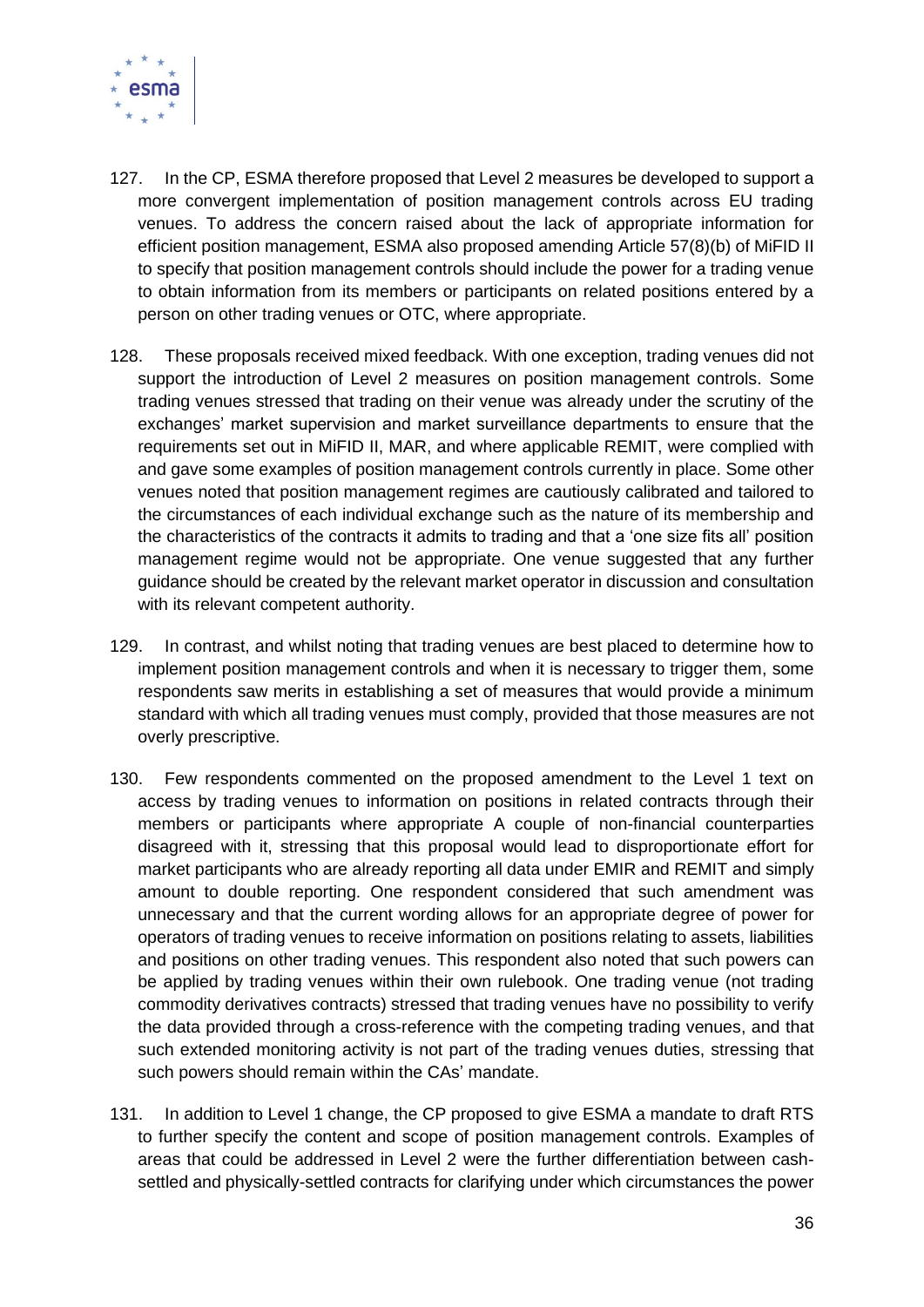

- 127. In the CP, ESMA therefore proposed that Level 2 measures be developed to support a more convergent implementation of position management controls across EU trading venues. To address the concern raised about the lack of appropriate information for efficient position management, ESMA also proposed amending Article 57(8)(b) of MiFID II to specify that position management controls should include the power for a trading venue to obtain information from its members or participants on related positions entered by a person on other trading venues or OTC, where appropriate.
- 128. These proposals received mixed feedback. With one exception, trading venues did not support the introduction of Level 2 measures on position management controls. Some trading venues stressed that trading on their venue was already under the scrutiny of the exchanges' market supervision and market surveillance departments to ensure that the requirements set out in MiFID II, MAR, and where applicable REMIT, were complied with and gave some examples of position management controls currently in place. Some other venues noted that position management regimes are cautiously calibrated and tailored to the circumstances of each individual exchange such as the nature of its membership and the characteristics of the contracts it admits to trading and that a 'one size fits all' position management regime would not be appropriate. One venue suggested that any further guidance should be created by the relevant market operator in discussion and consultation with its relevant competent authority.
- 129. In contrast, and whilst noting that trading venues are best placed to determine how to implement position management controls and when it is necessary to trigger them, some respondents saw merits in establishing a set of measures that would provide a minimum standard with which all trading venues must comply, provided that those measures are not overly prescriptive.
- 130. Few respondents commented on the proposed amendment to the Level 1 text on access by trading venues to information on positions in related contracts through their members or participants where appropriate A couple of non-financial counterparties disagreed with it, stressing that this proposal would lead to disproportionate effort for market participants who are already reporting all data under EMIR and REMIT and simply amount to double reporting. One respondent considered that such amendment was unnecessary and that the current wording allows for an appropriate degree of power for operators of trading venues to receive information on positions relating to assets, liabilities and positions on other trading venues. This respondent also noted that such powers can be applied by trading venues within their own rulebook. One trading venue (not trading commodity derivatives contracts) stressed that trading venues have no possibility to verify the data provided through a cross-reference with the competing trading venues, and that such extended monitoring activity is not part of the trading venues duties, stressing that such powers should remain within the CAs' mandate.
- 131. In addition to Level 1 change, the CP proposed to give ESMA a mandate to draft RTS to further specify the content and scope of position management controls. Examples of areas that could be addressed in Level 2 were the further differentiation between cashsettled and physically-settled contracts for clarifying under which circumstances the power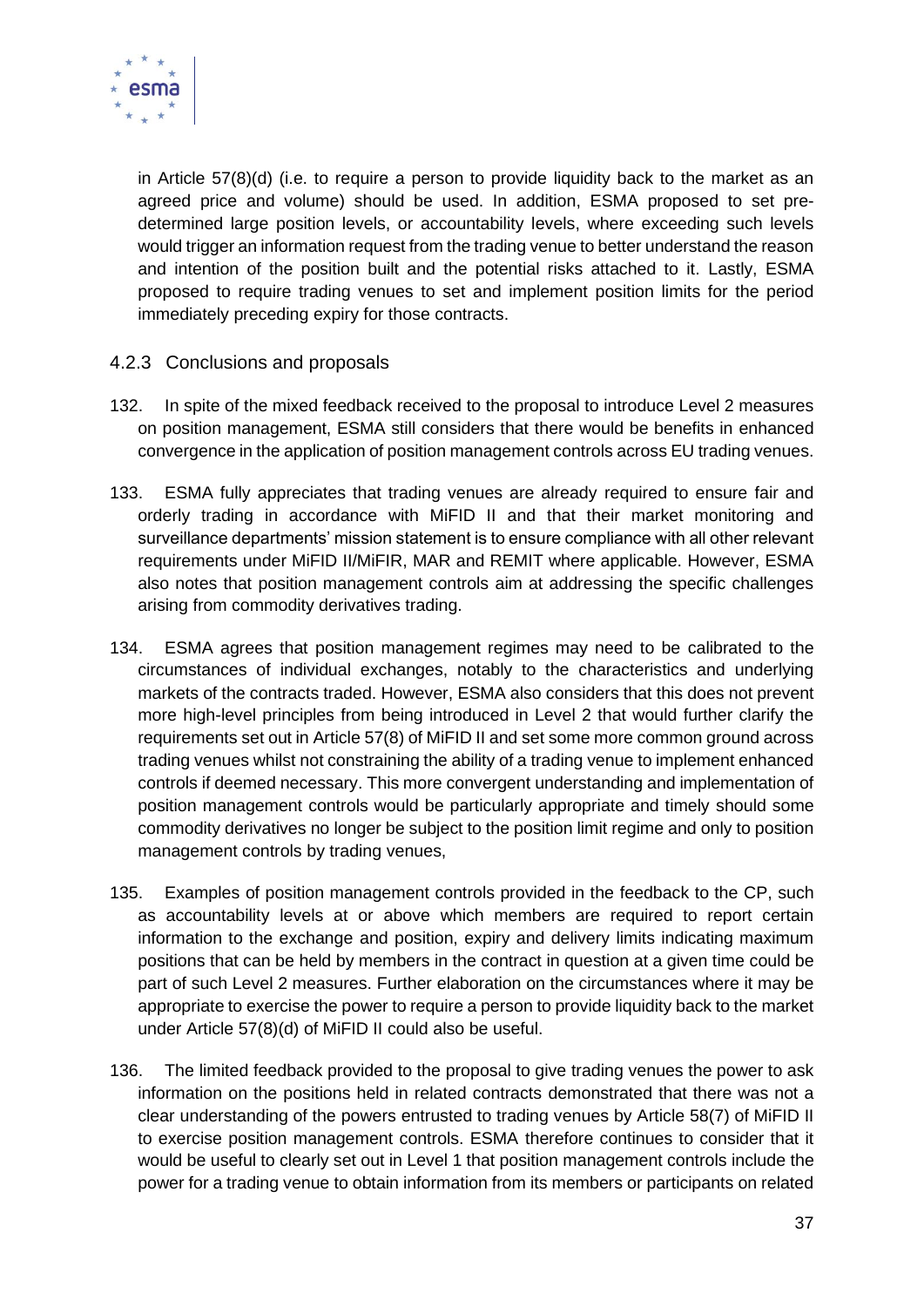

in Article 57(8)(d) (i.e. to require a person to provide liquidity back to the market as an agreed price and volume) should be used. In addition, ESMA proposed to set predetermined large position levels, or accountability levels, where exceeding such levels would trigger an information request from the trading venue to better understand the reason and intention of the position built and the potential risks attached to it. Lastly, ESMA proposed to require trading venues to set and implement position limits for the period immediately preceding expiry for those contracts.

#### <span id="page-36-0"></span>4.2.3 Conclusions and proposals

- 132. In spite of the mixed feedback received to the proposal to introduce Level 2 measures on position management, ESMA still considers that there would be benefits in enhanced convergence in the application of position management controls across EU trading venues.
- 133. ESMA fully appreciates that trading venues are already required to ensure fair and orderly trading in accordance with MiFID II and that their market monitoring and surveillance departments' mission statement is to ensure compliance with all other relevant requirements under MiFID II/MiFIR, MAR and REMIT where applicable. However, ESMA also notes that position management controls aim at addressing the specific challenges arising from commodity derivatives trading.
- 134. ESMA agrees that position management regimes may need to be calibrated to the circumstances of individual exchanges, notably to the characteristics and underlying markets of the contracts traded. However, ESMA also considers that this does not prevent more high-level principles from being introduced in Level 2 that would further clarify the requirements set out in Article 57(8) of MiFID II and set some more common ground across trading venues whilst not constraining the ability of a trading venue to implement enhanced controls if deemed necessary. This more convergent understanding and implementation of position management controls would be particularly appropriate and timely should some commodity derivatives no longer be subject to the position limit regime and only to position management controls by trading venues,
- 135. Examples of position management controls provided in the feedback to the CP, such as accountability levels at or above which members are required to report certain information to the exchange and position, expiry and delivery limits indicating maximum positions that can be held by members in the contract in question at a given time could be part of such Level 2 measures. Further elaboration on the circumstances where it may be appropriate to exercise the power to require a person to provide liquidity back to the market under Article 57(8)(d) of MiFID II could also be useful.
- 136. The limited feedback provided to the proposal to give trading venues the power to ask information on the positions held in related contracts demonstrated that there was not a clear understanding of the powers entrusted to trading venues by Article 58(7) of MiFID II to exercise position management controls. ESMA therefore continues to consider that it would be useful to clearly set out in Level 1 that position management controls include the power for a trading venue to obtain information from its members or participants on related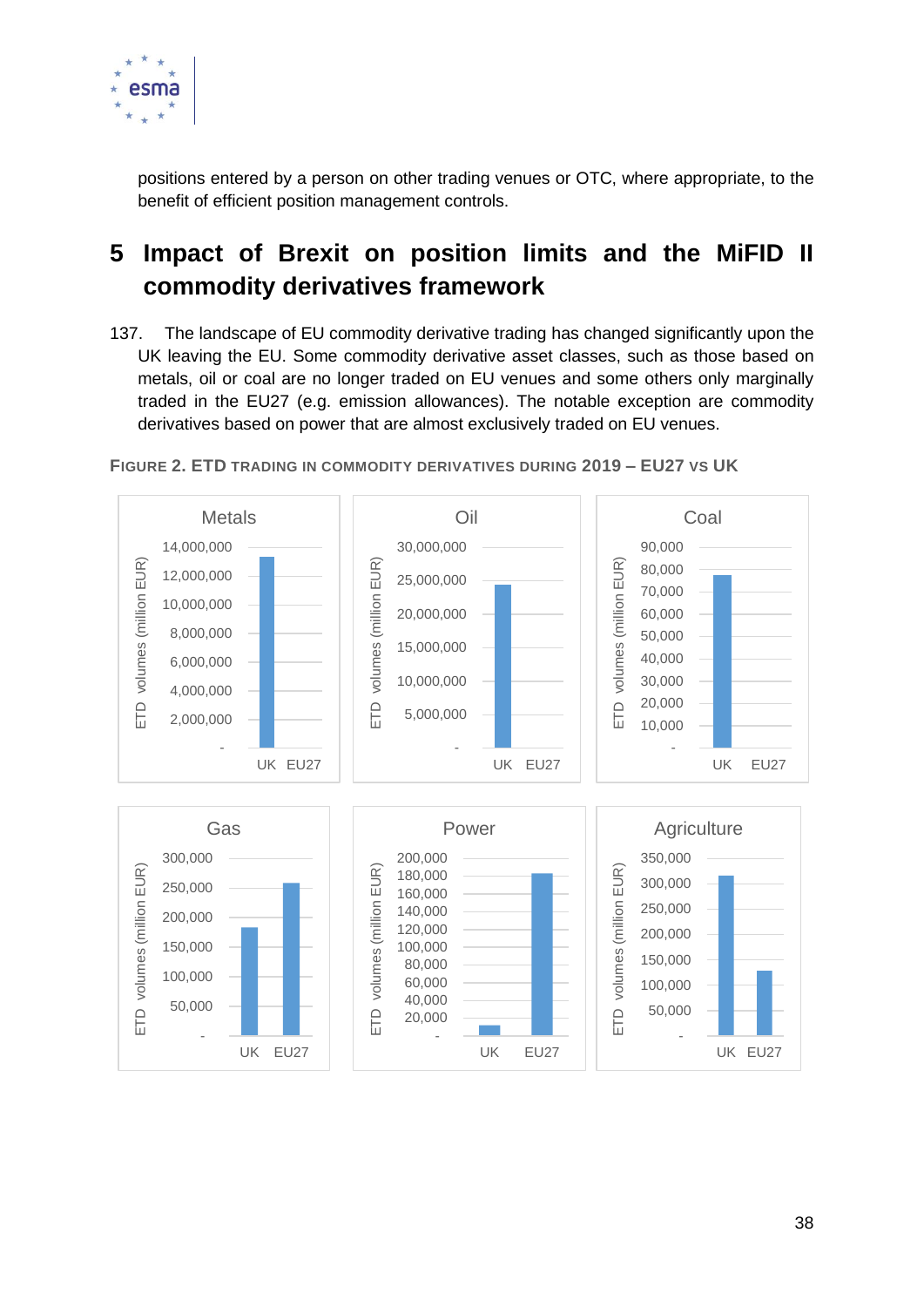

positions entered by a person on other trading venues or OTC, where appropriate, to the benefit of efficient position management controls.

# <span id="page-37-0"></span>**5 Impact of Brexit on position limits and the MiFID II commodity derivatives framework**

137. The landscape of EU commodity derivative trading has changed significantly upon the UK leaving the EU. Some commodity derivative asset classes, such as those based on metals, oil or coal are no longer traded on EU venues and some others only marginally traded in the EU27 (e.g. emission allowances). The notable exception are commodity derivatives based on power that are almost exclusively traded on EU venues.



**FIGURE 2. ETD TRADING IN COMMODITY DERIVATIVES DURING 2019 – EU27 VS UK**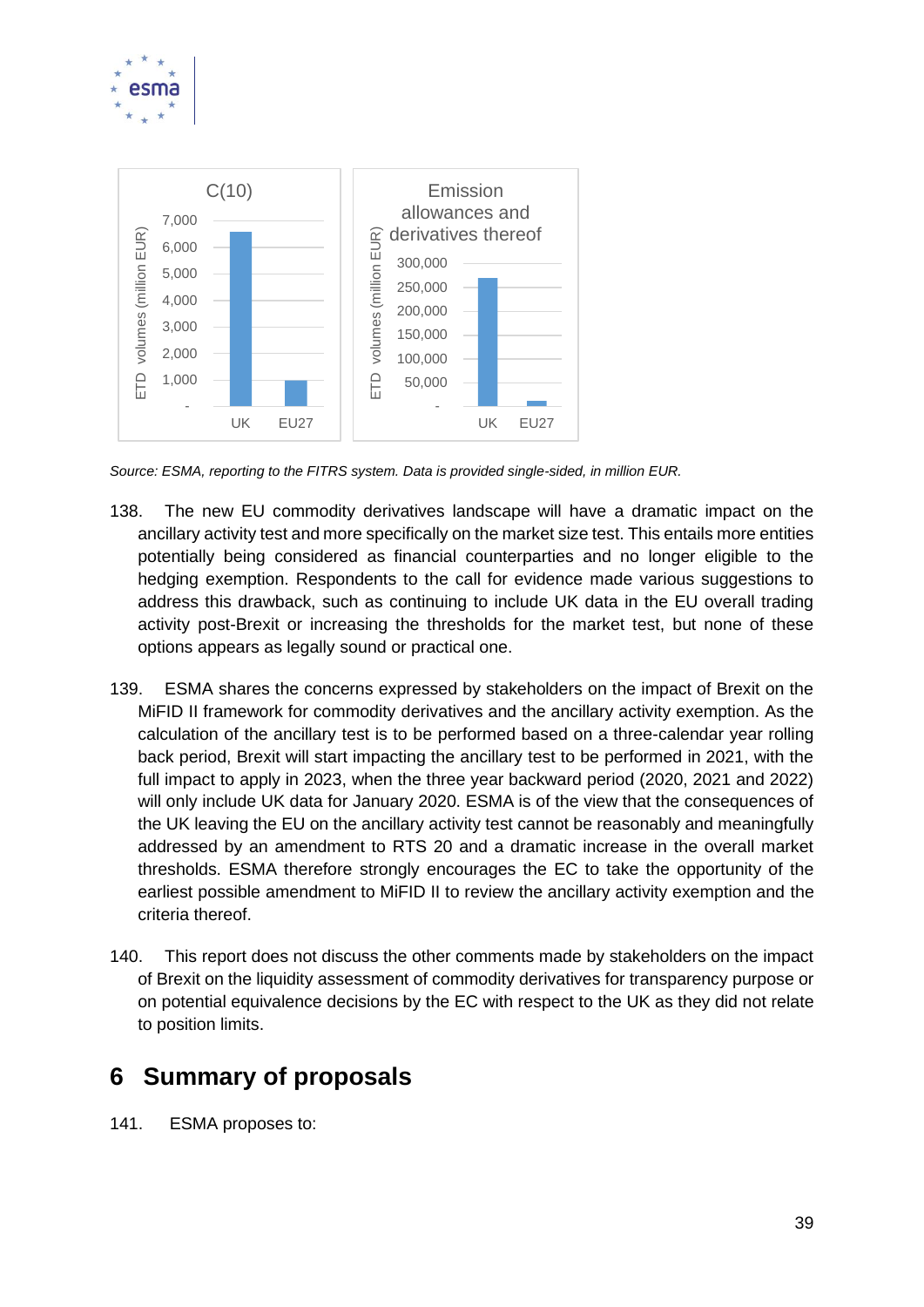



*Source: ESMA, reporting to the FITRS system. Data is provided single-sided, in million EUR.* 

- 138. The new EU commodity derivatives landscape will have a dramatic impact on the ancillary activity test and more specifically on the market size test. This entails more entities potentially being considered as financial counterparties and no longer eligible to the hedging exemption. Respondents to the call for evidence made various suggestions to address this drawback, such as continuing to include UK data in the EU overall trading activity post-Brexit or increasing the thresholds for the market test, but none of these options appears as legally sound or practical one.
- 139. ESMA shares the concerns expressed by stakeholders on the impact of Brexit on the MiFID II framework for commodity derivatives and the ancillary activity exemption. As the calculation of the ancillary test is to be performed based on a three-calendar year rolling back period, Brexit will start impacting the ancillary test to be performed in 2021, with the full impact to apply in 2023, when the three year backward period (2020, 2021 and 2022) will only include UK data for January 2020. ESMA is of the view that the consequences of the UK leaving the EU on the ancillary activity test cannot be reasonably and meaningfully addressed by an amendment to RTS 20 and a dramatic increase in the overall market thresholds. ESMA therefore strongly encourages the EC to take the opportunity of the earliest possible amendment to MiFID II to review the ancillary activity exemption and the criteria thereof.
- 140. This report does not discuss the other comments made by stakeholders on the impact of Brexit on the liquidity assessment of commodity derivatives for transparency purpose or on potential equivalence decisions by the EC with respect to the UK as they did not relate to position limits.

# <span id="page-38-0"></span>**6 Summary of proposals**

141. ESMA proposes to: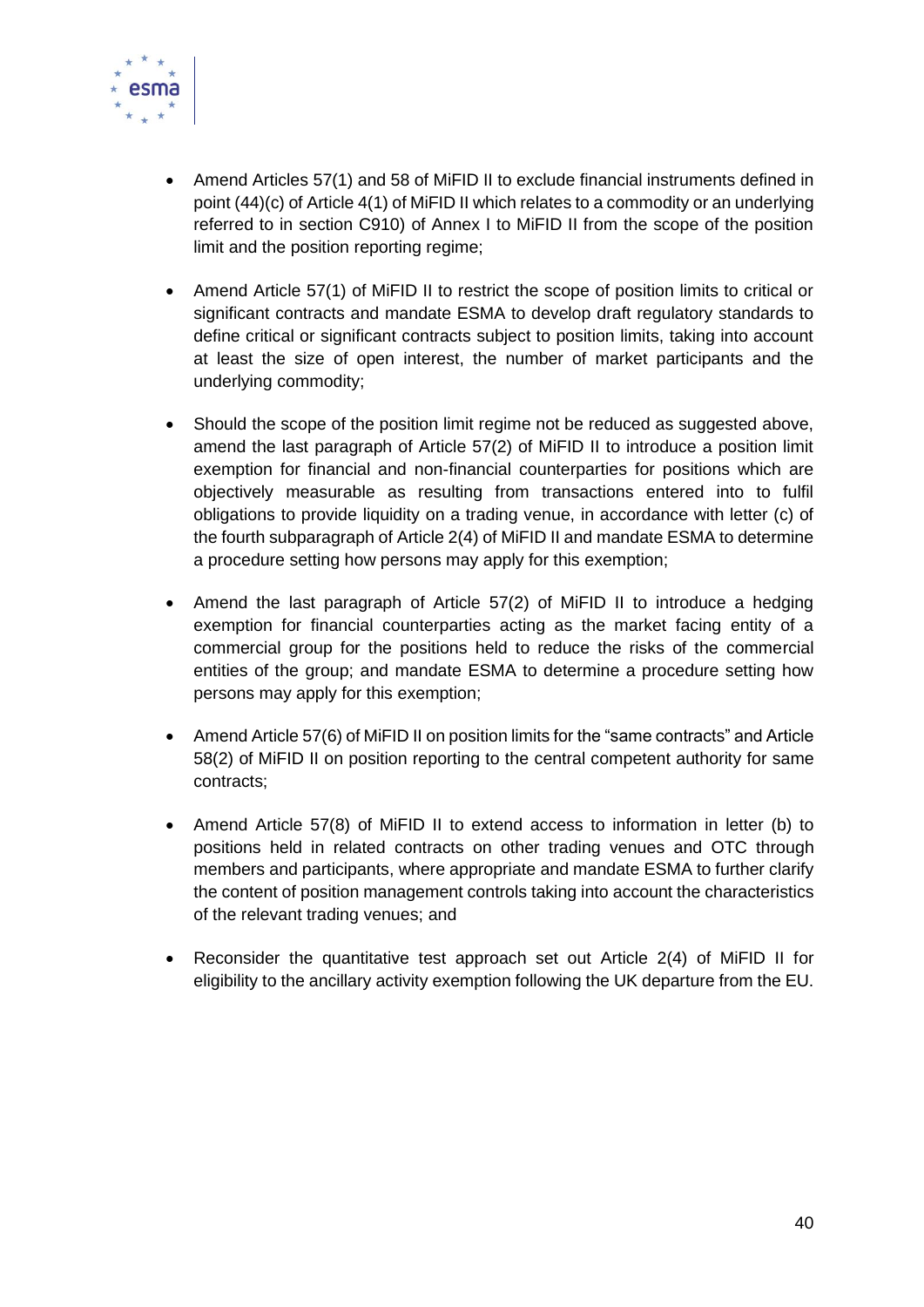

- Amend Articles 57(1) and 58 of MiFID II to exclude financial instruments defined in point (44)(c) of Article 4(1) of MiFID II which relates to a commodity or an underlying referred to in section C910) of Annex I to MiFID II from the scope of the position limit and the position reporting regime;
- Amend Article 57(1) of MiFID II to restrict the scope of position limits to critical or significant contracts and mandate ESMA to develop draft regulatory standards to define critical or significant contracts subject to position limits, taking into account at least the size of open interest, the number of market participants and the underlying commodity;
- Should the scope of the position limit regime not be reduced as suggested above, amend the last paragraph of Article 57(2) of MiFID II to introduce a position limit exemption for financial and non-financial counterparties for positions which are objectively measurable as resulting from transactions entered into to fulfil obligations to provide liquidity on a trading venue, in accordance with letter (c) of the fourth subparagraph of Article 2(4) of MiFID II and mandate ESMA to determine a procedure setting how persons may apply for this exemption;
- Amend the last paragraph of Article 57(2) of MiFID II to introduce a hedging exemption for financial counterparties acting as the market facing entity of a commercial group for the positions held to reduce the risks of the commercial entities of the group; and mandate ESMA to determine a procedure setting how persons may apply for this exemption;
- Amend Article 57(6) of MiFID II on position limits for the "same contracts" and Article 58(2) of MiFID II on position reporting to the central competent authority for same contracts;
- Amend Article 57(8) of MiFID II to extend access to information in letter (b) to positions held in related contracts on other trading venues and OTC through members and participants, where appropriate and mandate ESMA to further clarify the content of position management controls taking into account the characteristics of the relevant trading venues; and
- Reconsider the quantitative test approach set out Article 2(4) of MiFID II for eligibility to the ancillary activity exemption following the UK departure from the EU.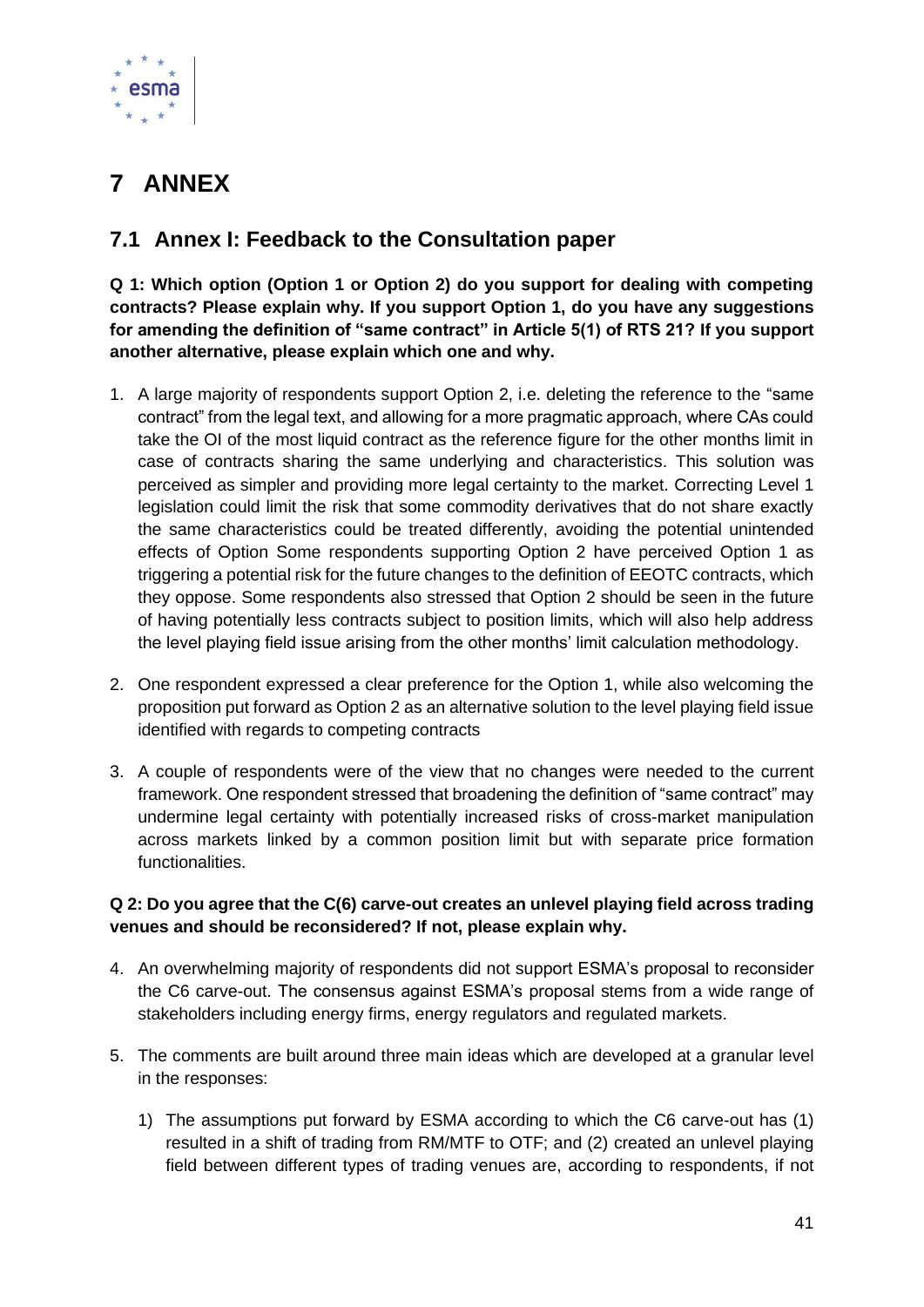

# <span id="page-40-0"></span>**7 ANNEX**

### <span id="page-40-1"></span>**7.1 Annex I: Feedback to the Consultation paper**

**Q 1: Which option (Option 1 or Option 2) do you support for dealing with competing contracts? Please explain why. If you support Option 1, do you have any suggestions for amending the definition of "same contract" in Article 5(1) of RTS 21? If you support another alternative, please explain which one and why.**

- 1. A large majority of respondents support Option 2, i.e. deleting the reference to the "same contract" from the legal text, and allowing for a more pragmatic approach, where CAs could take the OI of the most liquid contract as the reference figure for the other months limit in case of contracts sharing the same underlying and characteristics. This solution was perceived as simpler and providing more legal certainty to the market. Correcting Level 1 legislation could limit the risk that some commodity derivatives that do not share exactly the same characteristics could be treated differently, avoiding the potential unintended effects of Option Some respondents supporting Option 2 have perceived Option 1 as triggering a potential risk for the future changes to the definition of EEOTC contracts, which they oppose. Some respondents also stressed that Option 2 should be seen in the future of having potentially less contracts subject to position limits, which will also help address the level playing field issue arising from the other months' limit calculation methodology.
- 2. One respondent expressed a clear preference for the Option 1, while also welcoming the proposition put forward as Option 2 as an alternative solution to the level playing field issue identified with regards to competing contracts
- 3. A couple of respondents were of the view that no changes were needed to the current framework. One respondent stressed that broadening the definition of "same contract" may undermine legal certainty with potentially increased risks of cross-market manipulation across markets linked by a common position limit but with separate price formation **functionalities**

#### **Q 2: Do you agree that the C(6) carve-out creates an unlevel playing field across trading venues and should be reconsidered? If not, please explain why.**

- 4. An overwhelming majority of respondents did not support ESMA's proposal to reconsider the C6 carve-out. The consensus against ESMA's proposal stems from a wide range of stakeholders including energy firms, energy regulators and regulated markets.
- 5. The comments are built around three main ideas which are developed at a granular level in the responses:
	- 1) The assumptions put forward by ESMA according to which the C6 carve-out has (1) resulted in a shift of trading from RM/MTF to OTF; and (2) created an unlevel playing field between different types of trading venues are, according to respondents, if not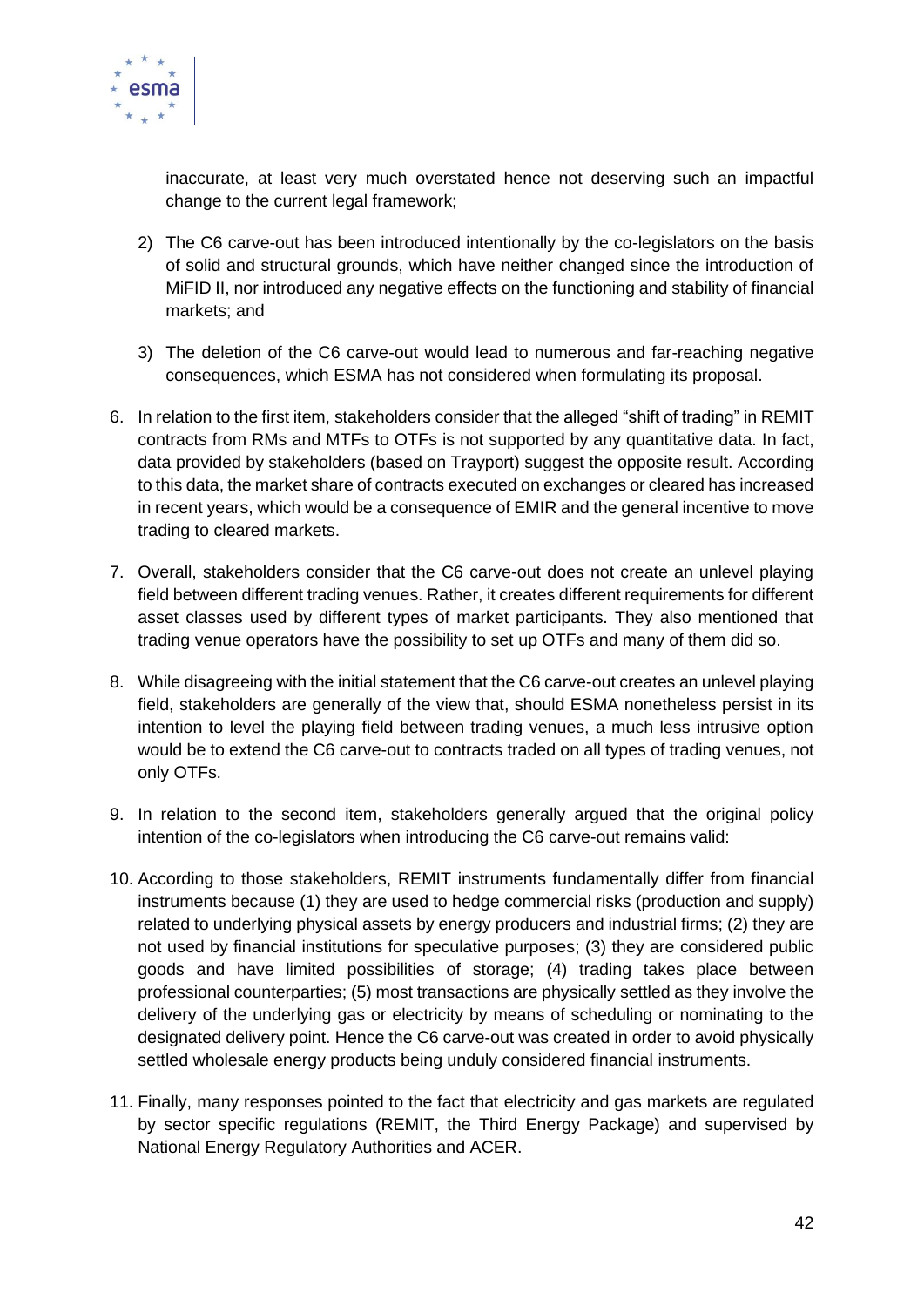

inaccurate, at least very much overstated hence not deserving such an impactful change to the current legal framework;

- 2) The C6 carve-out has been introduced intentionally by the co-legislators on the basis of solid and structural grounds, which have neither changed since the introduction of MiFID II, nor introduced any negative effects on the functioning and stability of financial markets; and
- 3) The deletion of the C6 carve-out would lead to numerous and far-reaching negative consequences, which ESMA has not considered when formulating its proposal.
- 6. In relation to the first item, stakeholders consider that the alleged "shift of trading" in REMIT contracts from RMs and MTFs to OTFs is not supported by any quantitative data. In fact, data provided by stakeholders (based on Trayport) suggest the opposite result. According to this data, the market share of contracts executed on exchanges or cleared has increased in recent years, which would be a consequence of EMIR and the general incentive to move trading to cleared markets.
- 7. Overall, stakeholders consider that the C6 carve-out does not create an unlevel playing field between different trading venues. Rather, it creates different requirements for different asset classes used by different types of market participants. They also mentioned that trading venue operators have the possibility to set up OTFs and many of them did so.
- 8. While disagreeing with the initial statement that the C6 carve-out creates an unlevel playing field, stakeholders are generally of the view that, should ESMA nonetheless persist in its intention to level the playing field between trading venues, a much less intrusive option would be to extend the C6 carve-out to contracts traded on all types of trading venues, not only OTFs.
- 9. In relation to the second item, stakeholders generally argued that the original policy intention of the co-legislators when introducing the C6 carve-out remains valid:
- 10. According to those stakeholders, REMIT instruments fundamentally differ from financial instruments because (1) they are used to hedge commercial risks (production and supply) related to underlying physical assets by energy producers and industrial firms; (2) they are not used by financial institutions for speculative purposes; (3) they are considered public goods and have limited possibilities of storage; (4) trading takes place between professional counterparties; (5) most transactions are physically settled as they involve the delivery of the underlying gas or electricity by means of scheduling or nominating to the designated delivery point. Hence the C6 carve-out was created in order to avoid physically settled wholesale energy products being unduly considered financial instruments.
- 11. Finally, many responses pointed to the fact that electricity and gas markets are regulated by sector specific regulations (REMIT, the Third Energy Package) and supervised by National Energy Regulatory Authorities and ACER.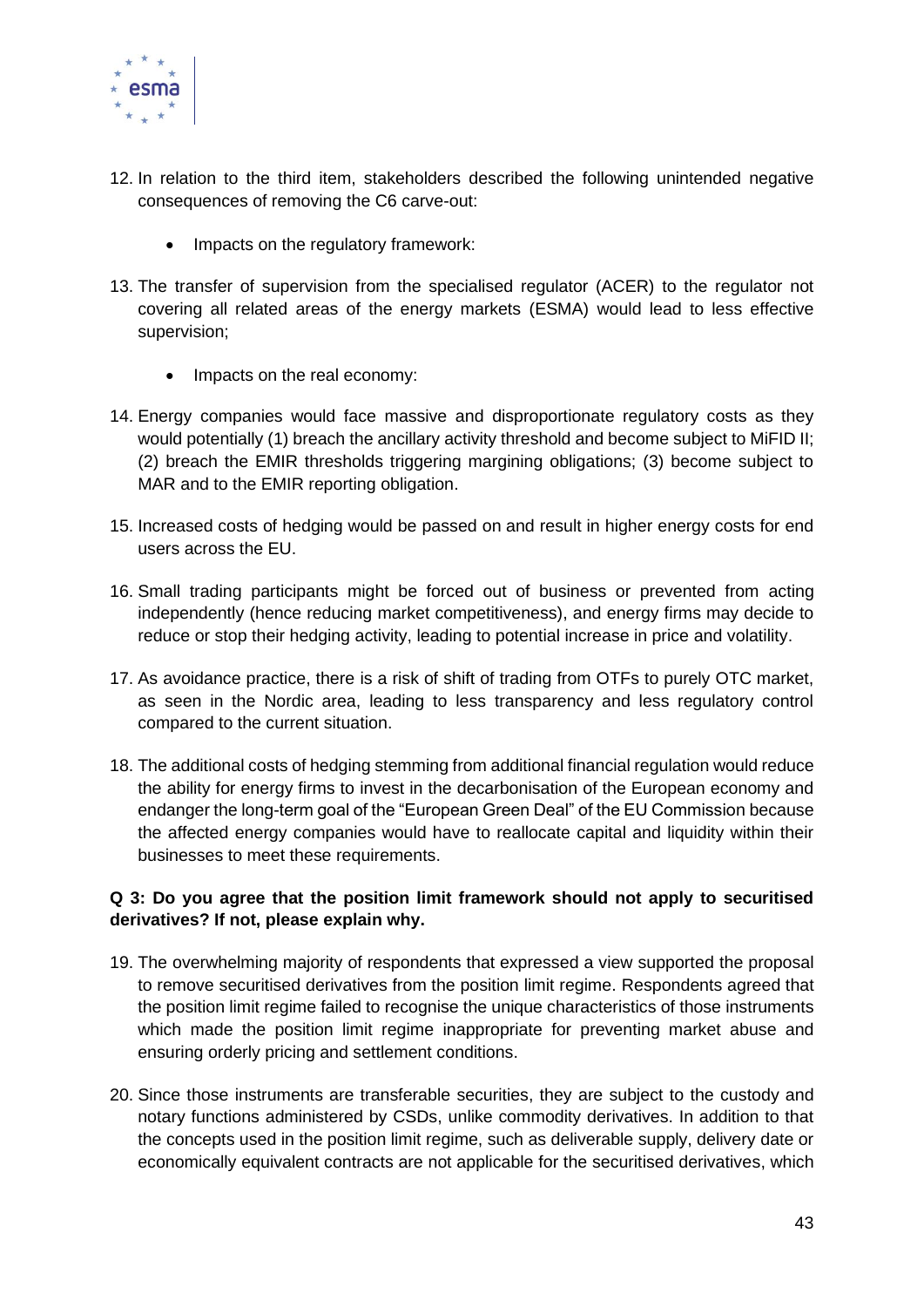

- 12. In relation to the third item, stakeholders described the following unintended negative consequences of removing the C6 carve-out:
	- Impacts on the regulatory framework:
- 13. The transfer of supervision from the specialised regulator (ACER) to the regulator not covering all related areas of the energy markets (ESMA) would lead to less effective supervision;
	- Impacts on the real economy:
- 14. Energy companies would face massive and disproportionate regulatory costs as they would potentially (1) breach the ancillary activity threshold and become subject to MiFID II; (2) breach the EMIR thresholds triggering margining obligations; (3) become subject to MAR and to the EMIR reporting obligation.
- 15. Increased costs of hedging would be passed on and result in higher energy costs for end users across the EU.
- 16. Small trading participants might be forced out of business or prevented from acting independently (hence reducing market competitiveness), and energy firms may decide to reduce or stop their hedging activity, leading to potential increase in price and volatility.
- 17. As avoidance practice, there is a risk of shift of trading from OTFs to purely OTC market, as seen in the Nordic area, leading to less transparency and less regulatory control compared to the current situation.
- 18. The additional costs of hedging stemming from additional financial regulation would reduce the ability for energy firms to invest in the decarbonisation of the European economy and endanger the long-term goal of the "European Green Deal" of the EU Commission because the affected energy companies would have to reallocate capital and liquidity within their businesses to meet these requirements.

#### **Q 3: Do you agree that the position limit framework should not apply to securitised derivatives? If not, please explain why.**

- 19. The overwhelming majority of respondents that expressed a view supported the proposal to remove securitised derivatives from the position limit regime. Respondents agreed that the position limit regime failed to recognise the unique characteristics of those instruments which made the position limit regime inappropriate for preventing market abuse and ensuring orderly pricing and settlement conditions.
- 20. Since those instruments are transferable securities, they are subject to the custody and notary functions administered by CSDs, unlike commodity derivatives. In addition to that the concepts used in the position limit regime, such as deliverable supply, delivery date or economically equivalent contracts are not applicable for the securitised derivatives, which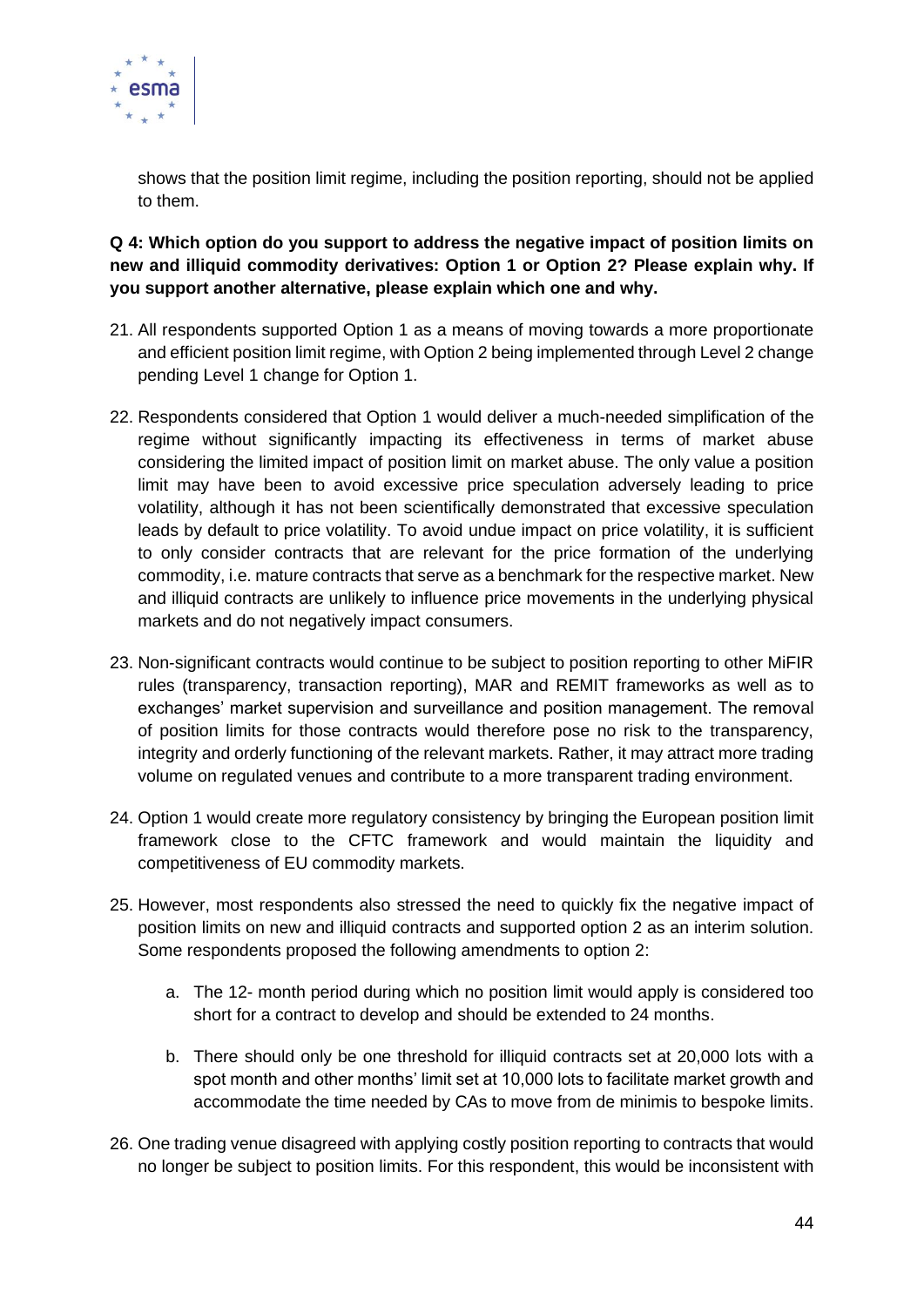

shows that the position limit regime, including the position reporting, should not be applied to them.

**Q 4: Which option do you support to address the negative impact of position limits on new and illiquid commodity derivatives: Option 1 or Option 2? Please explain why. If you support another alternative, please explain which one and why.** 

- 21. All respondents supported Option 1 as a means of moving towards a more proportionate and efficient position limit regime, with Option 2 being implemented through Level 2 change pending Level 1 change for Option 1.
- 22. Respondents considered that Option 1 would deliver a much-needed simplification of the regime without significantly impacting its effectiveness in terms of market abuse considering the limited impact of position limit on market abuse. The only value a position limit may have been to avoid excessive price speculation adversely leading to price volatility, although it has not been scientifically demonstrated that excessive speculation leads by default to price volatility. To avoid undue impact on price volatility, it is sufficient to only consider contracts that are relevant for the price formation of the underlying commodity, i.e. mature contracts that serve as a benchmark for the respective market. New and illiquid contracts are unlikely to influence price movements in the underlying physical markets and do not negatively impact consumers.
- 23. Non-significant contracts would continue to be subject to position reporting to other MiFIR rules (transparency, transaction reporting), MAR and REMIT frameworks as well as to exchanges' market supervision and surveillance and position management. The removal of position limits for those contracts would therefore pose no risk to the transparency, integrity and orderly functioning of the relevant markets. Rather, it may attract more trading volume on regulated venues and contribute to a more transparent trading environment.
- 24. Option 1 would create more regulatory consistency by bringing the European position limit framework close to the CFTC framework and would maintain the liquidity and competitiveness of EU commodity markets.
- 25. However, most respondents also stressed the need to quickly fix the negative impact of position limits on new and illiquid contracts and supported option 2 as an interim solution. Some respondents proposed the following amendments to option 2:
	- a. The 12- month period during which no position limit would apply is considered too short for a contract to develop and should be extended to 24 months.
	- b. There should only be one threshold for illiquid contracts set at 20,000 lots with a spot month and other months' limit set at 10,000 lots to facilitate market growth and accommodate the time needed by CAs to move from de minimis to bespoke limits.
- 26. One trading venue disagreed with applying costly position reporting to contracts that would no longer be subject to position limits. For this respondent, this would be inconsistent with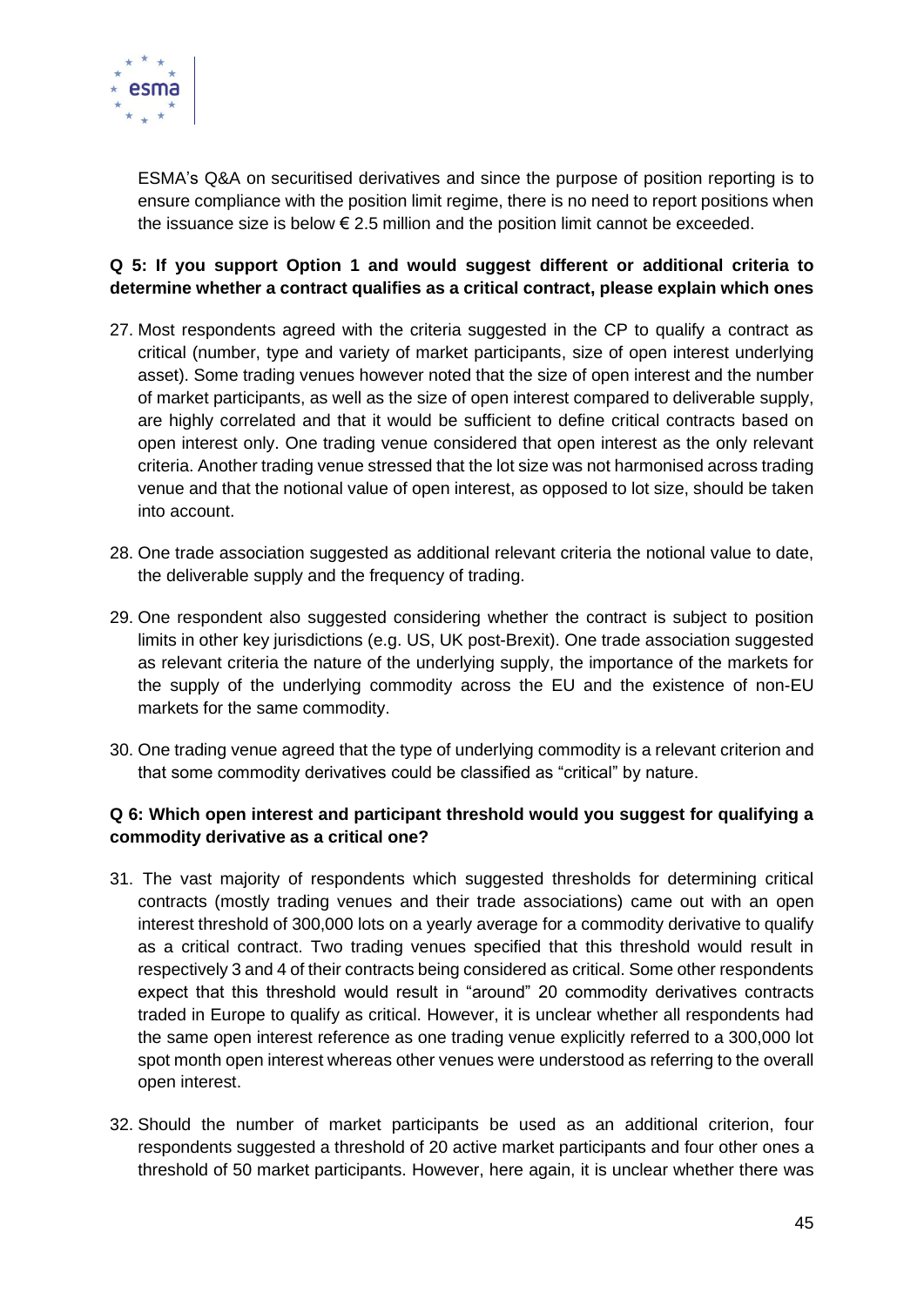

ESMA's Q&A on securitised derivatives and since the purpose of position reporting is to ensure compliance with the position limit regime, there is no need to report positions when the issuance size is below  $\epsilon$  2.5 million and the position limit cannot be exceeded.

#### **Q 5: If you support Option 1 and would suggest different or additional criteria to determine whether a contract qualifies as a critical contract, please explain which ones**

- 27. Most respondents agreed with the criteria suggested in the CP to qualify a contract as critical (number, type and variety of market participants, size of open interest underlying asset). Some trading venues however noted that the size of open interest and the number of market participants, as well as the size of open interest compared to deliverable supply, are highly correlated and that it would be sufficient to define critical contracts based on open interest only. One trading venue considered that open interest as the only relevant criteria. Another trading venue stressed that the lot size was not harmonised across trading venue and that the notional value of open interest, as opposed to lot size, should be taken into account.
- 28. One trade association suggested as additional relevant criteria the notional value to date. the deliverable supply and the frequency of trading.
- 29. One respondent also suggested considering whether the contract is subject to position limits in other key jurisdictions (e.g. US, UK post-Brexit). One trade association suggested as relevant criteria the nature of the underlying supply, the importance of the markets for the supply of the underlying commodity across the EU and the existence of non-EU markets for the same commodity.
- 30. One trading venue agreed that the type of underlying commodity is a relevant criterion and that some commodity derivatives could be classified as "critical" by nature.

#### **Q 6: Which open interest and participant threshold would you suggest for qualifying a commodity derivative as a critical one?**

- 31. The vast majority of respondents which suggested thresholds for determining critical contracts (mostly trading venues and their trade associations) came out with an open interest threshold of 300,000 lots on a yearly average for a commodity derivative to qualify as a critical contract. Two trading venues specified that this threshold would result in respectively 3 and 4 of their contracts being considered as critical. Some other respondents expect that this threshold would result in "around" 20 commodity derivatives contracts traded in Europe to qualify as critical. However, it is unclear whether all respondents had the same open interest reference as one trading venue explicitly referred to a 300,000 lot spot month open interest whereas other venues were understood as referring to the overall open interest.
- 32. Should the number of market participants be used as an additional criterion, four respondents suggested a threshold of 20 active market participants and four other ones a threshold of 50 market participants. However, here again, it is unclear whether there was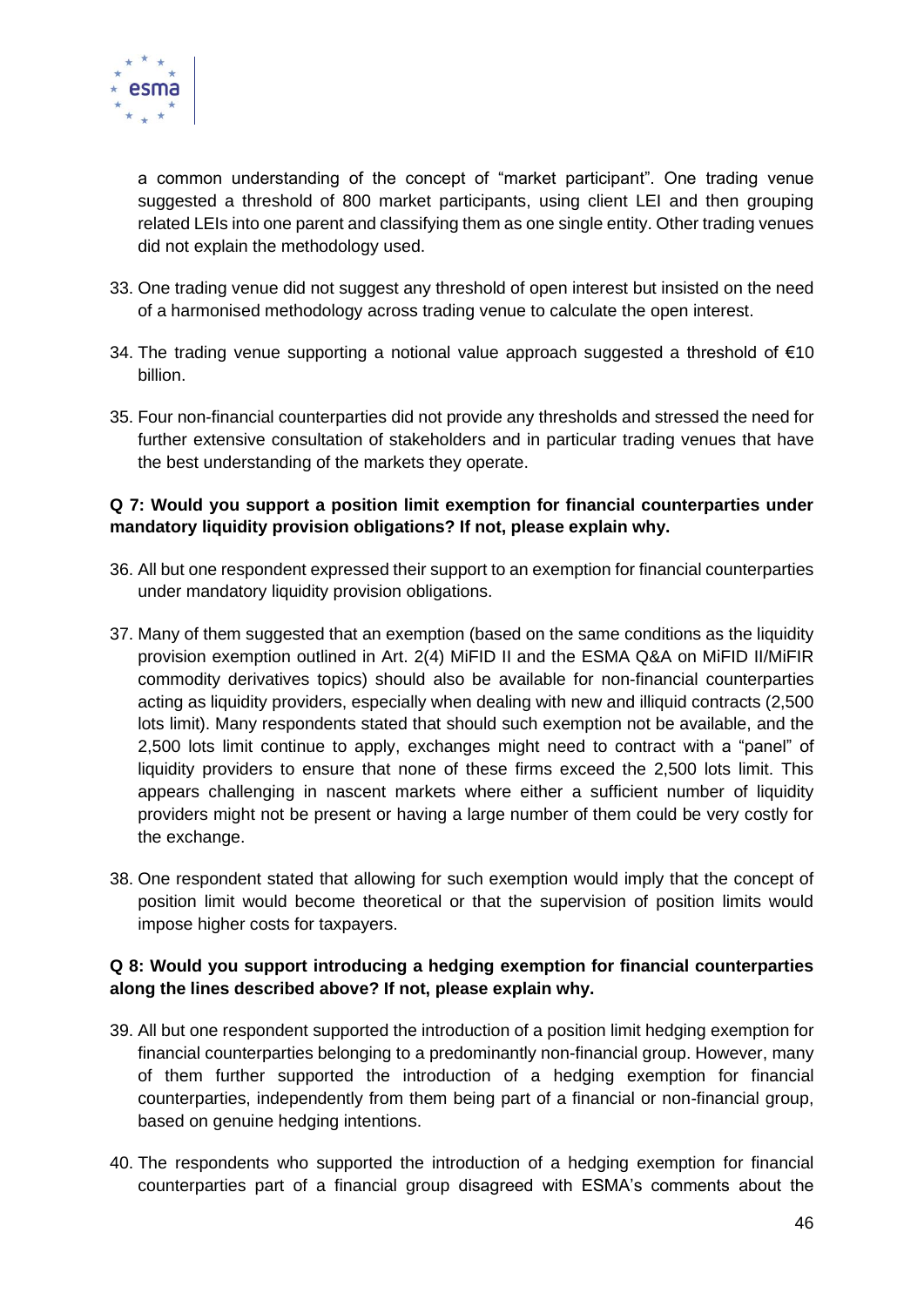

a common understanding of the concept of "market participant". One trading venue suggested a threshold of 800 market participants, using client LEI and then grouping related LEIs into one parent and classifying them as one single entity. Other trading venues did not explain the methodology used.

- 33. One trading venue did not suggest any threshold of open interest but insisted on the need of a harmonised methodology across trading venue to calculate the open interest.
- 34. The trading venue supporting a notional value approach suggested a threshold of €10 billion.
- 35. Four non-financial counterparties did not provide any thresholds and stressed the need for further extensive consultation of stakeholders and in particular trading venues that have the best understanding of the markets they operate.

#### **Q 7: Would you support a position limit exemption for financial counterparties under mandatory liquidity provision obligations? If not, please explain why.**

- 36. All but one respondent expressed their support to an exemption for financial counterparties under mandatory liquidity provision obligations.
- 37. Many of them suggested that an exemption (based on the same conditions as the liquidity provision exemption outlined in Art. 2(4) MiFID II and the ESMA Q&A on MiFID II/MiFIR commodity derivatives topics) should also be available for non-financial counterparties acting as liquidity providers, especially when dealing with new and illiquid contracts (2,500 lots limit). Many respondents stated that should such exemption not be available, and the 2,500 lots limit continue to apply, exchanges might need to contract with a "panel" of liquidity providers to ensure that none of these firms exceed the 2,500 lots limit. This appears challenging in nascent markets where either a sufficient number of liquidity providers might not be present or having a large number of them could be very costly for the exchange.
- 38. One respondent stated that allowing for such exemption would imply that the concept of position limit would become theoretical or that the supervision of position limits would impose higher costs for taxpayers.

#### **Q 8: Would you support introducing a hedging exemption for financial counterparties along the lines described above? If not, please explain why.**

- 39. All but one respondent supported the introduction of a position limit hedging exemption for financial counterparties belonging to a predominantly non-financial group. However, many of them further supported the introduction of a hedging exemption for financial counterparties, independently from them being part of a financial or non-financial group, based on genuine hedging intentions.
- 40. The respondents who supported the introduction of a hedging exemption for financial counterparties part of a financial group disagreed with ESMA's comments about the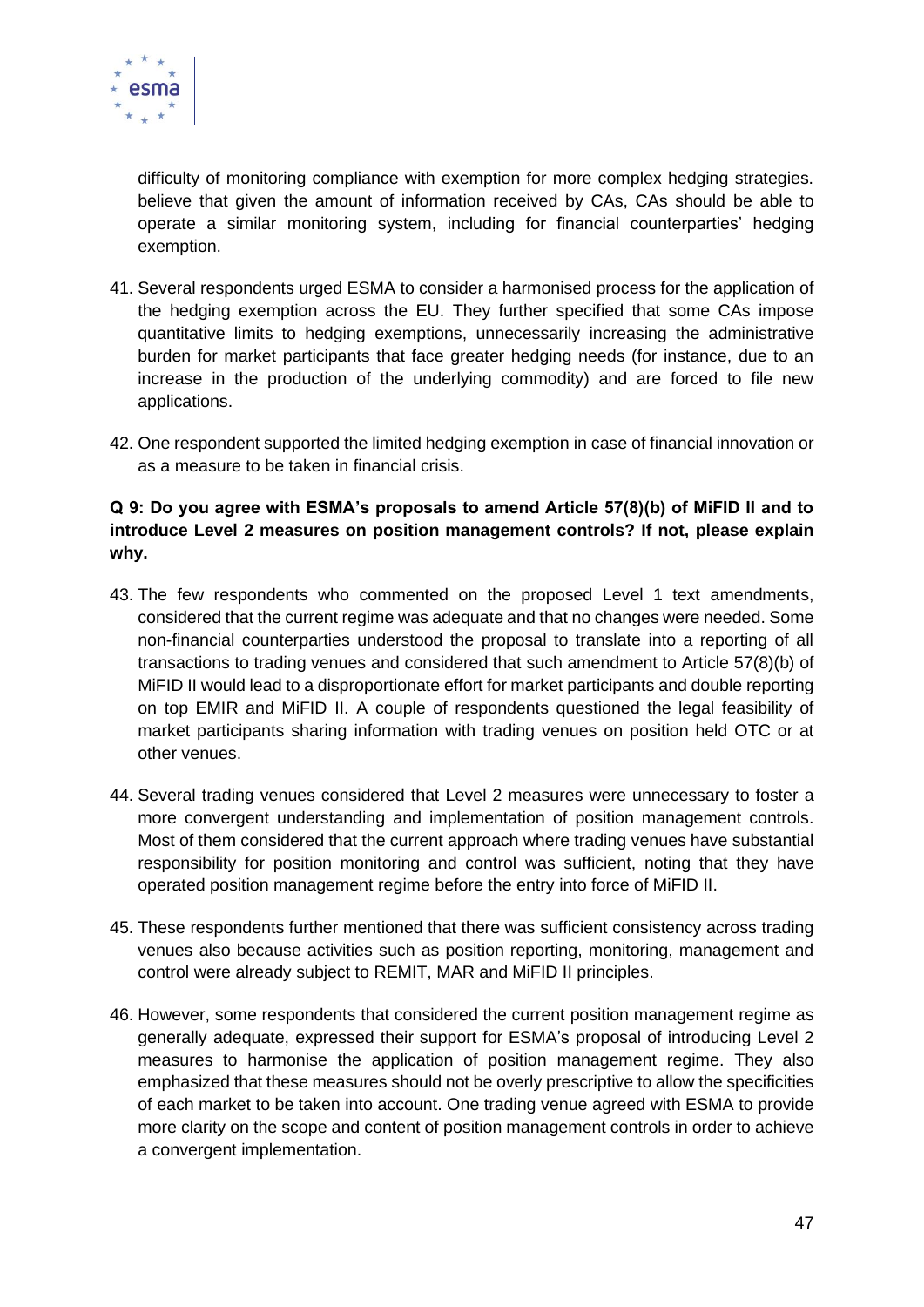

difficulty of monitoring compliance with exemption for more complex hedging strategies. believe that given the amount of information received by CAs, CAs should be able to operate a similar monitoring system, including for financial counterparties' hedging exemption.

- 41. Several respondents urged ESMA to consider a harmonised process for the application of the hedging exemption across the EU. They further specified that some CAs impose quantitative limits to hedging exemptions, unnecessarily increasing the administrative burden for market participants that face greater hedging needs (for instance, due to an increase in the production of the underlying commodity) and are forced to file new applications.
- 42. One respondent supported the limited hedging exemption in case of financial innovation or as a measure to be taken in financial crisis.

#### **Q 9: Do you agree with ESMA's proposals to amend Article 57(8)(b) of MiFID II and to introduce Level 2 measures on position management controls? If not, please explain why.**

- 43. The few respondents who commented on the proposed Level 1 text amendments, considered that the current regime was adequate and that no changes were needed. Some non-financial counterparties understood the proposal to translate into a reporting of all transactions to trading venues and considered that such amendment to Article 57(8)(b) of MiFID II would lead to a disproportionate effort for market participants and double reporting on top EMIR and MiFID II. A couple of respondents questioned the legal feasibility of market participants sharing information with trading venues on position held OTC or at other venues.
- 44. Several trading venues considered that Level 2 measures were unnecessary to foster a more convergent understanding and implementation of position management controls. Most of them considered that the current approach where trading venues have substantial responsibility for position monitoring and control was sufficient, noting that they have operated position management regime before the entry into force of MiFID II.
- 45. These respondents further mentioned that there was sufficient consistency across trading venues also because activities such as position reporting, monitoring, management and control were already subject to REMIT, MAR and MiFID II principles.
- 46. However, some respondents that considered the current position management regime as generally adequate, expressed their support for ESMA's proposal of introducing Level 2 measures to harmonise the application of position management regime. They also emphasized that these measures should not be overly prescriptive to allow the specificities of each market to be taken into account. One trading venue agreed with ESMA to provide more clarity on the scope and content of position management controls in order to achieve a convergent implementation.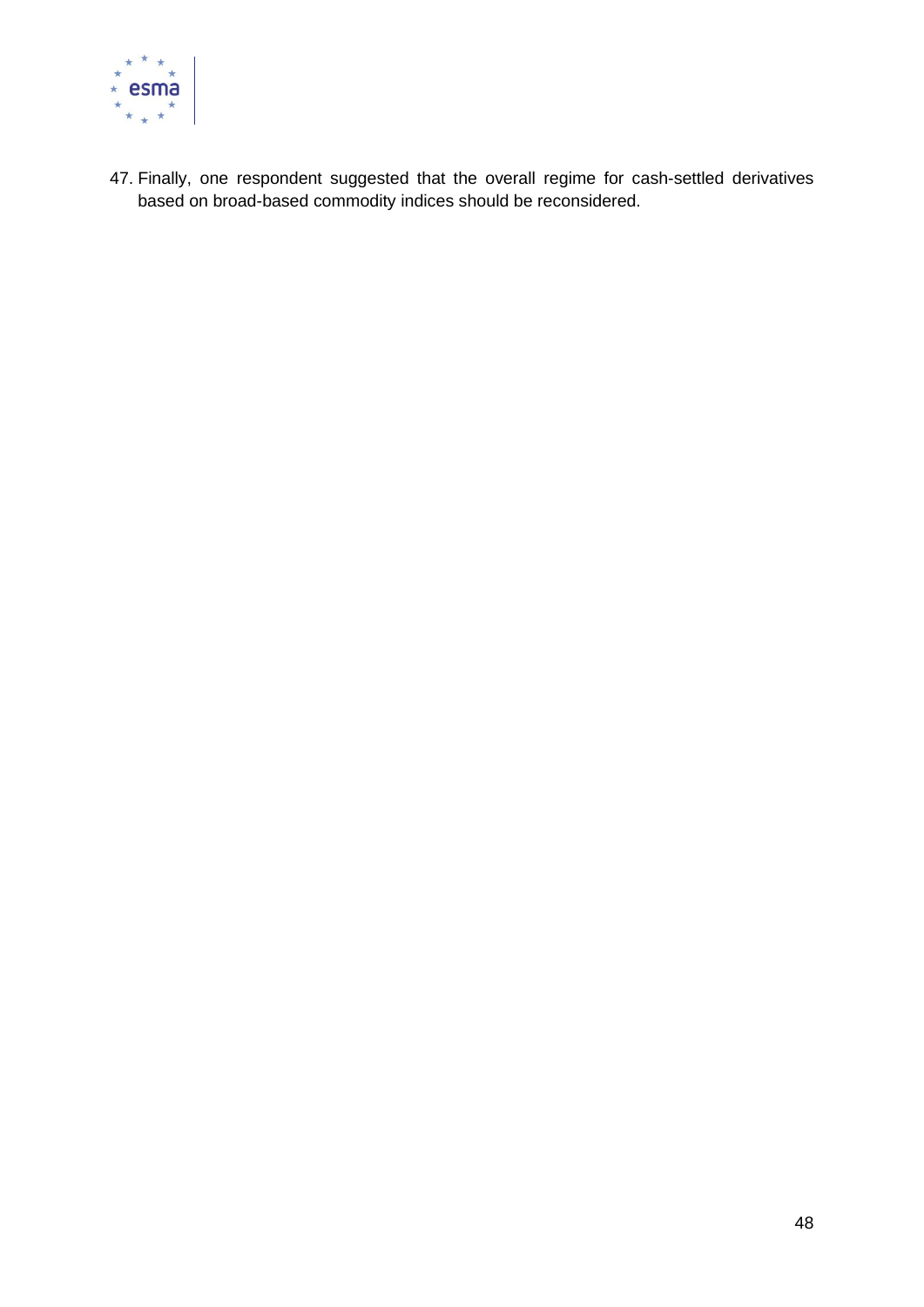

47. Finally, one respondent suggested that the overall regime for cash-settled derivatives based on broad-based commodity indices should be reconsidered.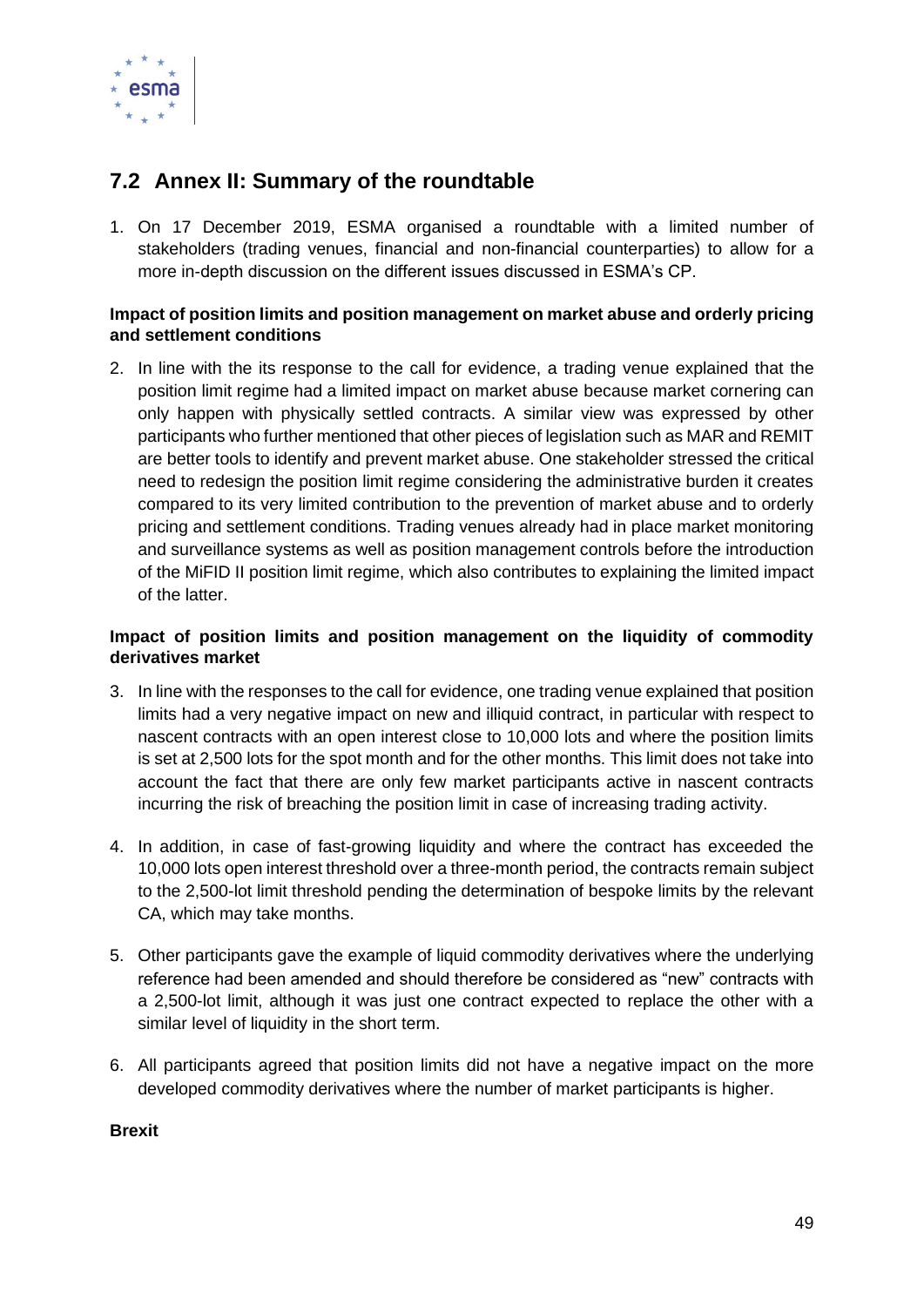

### <span id="page-48-0"></span>**7.2 Annex II: Summary of the roundtable**

1. On 17 December 2019, ESMA organised a roundtable with a limited number of stakeholders (trading venues, financial and non-financial counterparties) to allow for a more in-depth discussion on the different issues discussed in ESMA's CP.

#### **Impact of position limits and position management on market abuse and orderly pricing and settlement conditions**

2. In line with the its response to the call for evidence, a trading venue explained that the position limit regime had a limited impact on market abuse because market cornering can only happen with physically settled contracts. A similar view was expressed by other participants who further mentioned that other pieces of legislation such as MAR and REMIT are better tools to identify and prevent market abuse. One stakeholder stressed the critical need to redesign the position limit regime considering the administrative burden it creates compared to its very limited contribution to the prevention of market abuse and to orderly pricing and settlement conditions. Trading venues already had in place market monitoring and surveillance systems as well as position management controls before the introduction of the MiFID II position limit regime, which also contributes to explaining the limited impact of the latter.

#### **Impact of position limits and position management on the liquidity of commodity derivatives market**

- 3. In line with the responses to the call for evidence, one trading venue explained that position limits had a very negative impact on new and illiquid contract, in particular with respect to nascent contracts with an open interest close to 10,000 lots and where the position limits is set at 2,500 lots for the spot month and for the other months. This limit does not take into account the fact that there are only few market participants active in nascent contracts incurring the risk of breaching the position limit in case of increasing trading activity.
- 4. In addition, in case of fast-growing liquidity and where the contract has exceeded the 10,000 lots open interest threshold over a three-month period, the contracts remain subject to the 2,500-lot limit threshold pending the determination of bespoke limits by the relevant CA, which may take months.
- 5. Other participants gave the example of liquid commodity derivatives where the underlying reference had been amended and should therefore be considered as "new" contracts with a 2,500-lot limit, although it was just one contract expected to replace the other with a similar level of liquidity in the short term.
- 6. All participants agreed that position limits did not have a negative impact on the more developed commodity derivatives where the number of market participants is higher.

#### **Brexit**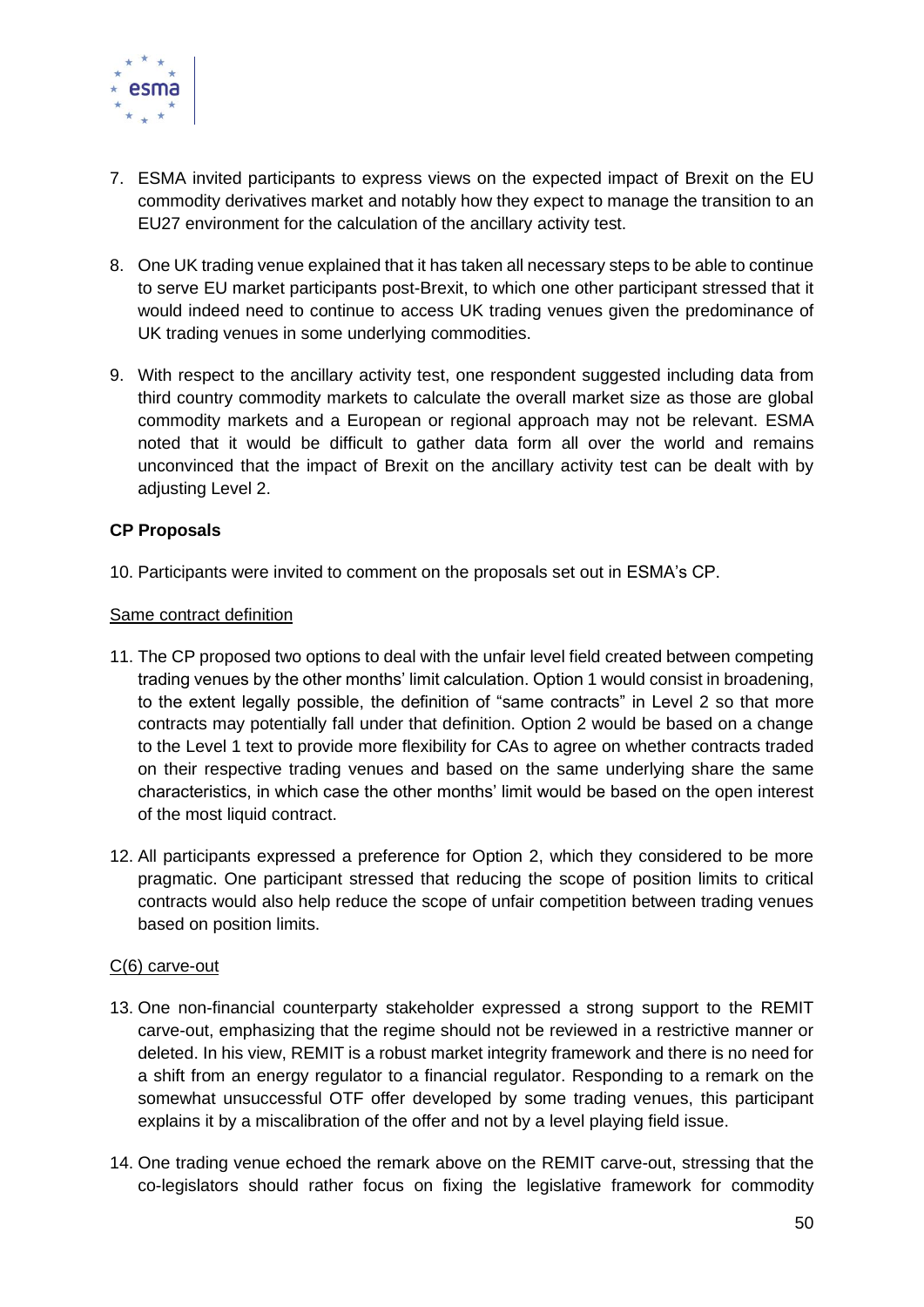

- 7. ESMA invited participants to express views on the expected impact of Brexit on the EU commodity derivatives market and notably how they expect to manage the transition to an EU27 environment for the calculation of the ancillary activity test.
- 8. One UK trading venue explained that it has taken all necessary steps to be able to continue to serve EU market participants post-Brexit, to which one other participant stressed that it would indeed need to continue to access UK trading venues given the predominance of UK trading venues in some underlying commodities.
- 9. With respect to the ancillary activity test, one respondent suggested including data from third country commodity markets to calculate the overall market size as those are global commodity markets and a European or regional approach may not be relevant. ESMA noted that it would be difficult to gather data form all over the world and remains unconvinced that the impact of Brexit on the ancillary activity test can be dealt with by adjusting Level 2.

#### **CP Proposals**

10. Participants were invited to comment on the proposals set out in ESMA's CP.

#### Same contract definition

- 11. The CP proposed two options to deal with the unfair level field created between competing trading venues by the other months' limit calculation. Option 1 would consist in broadening, to the extent legally possible, the definition of "same contracts" in Level 2 so that more contracts may potentially fall under that definition. Option 2 would be based on a change to the Level 1 text to provide more flexibility for CAs to agree on whether contracts traded on their respective trading venues and based on the same underlying share the same characteristics, in which case the other months' limit would be based on the open interest of the most liquid contract.
- 12. All participants expressed a preference for Option 2, which they considered to be more pragmatic. One participant stressed that reducing the scope of position limits to critical contracts would also help reduce the scope of unfair competition between trading venues based on position limits.

#### C(6) carve-out

- 13. One non-financial counterparty stakeholder expressed a strong support to the REMIT carve-out, emphasizing that the regime should not be reviewed in a restrictive manner or deleted. In his view, REMIT is a robust market integrity framework and there is no need for a shift from an energy regulator to a financial regulator. Responding to a remark on the somewhat unsuccessful OTF offer developed by some trading venues, this participant explains it by a miscalibration of the offer and not by a level playing field issue.
- 14. One trading venue echoed the remark above on the REMIT carve-out, stressing that the co-legislators should rather focus on fixing the legislative framework for commodity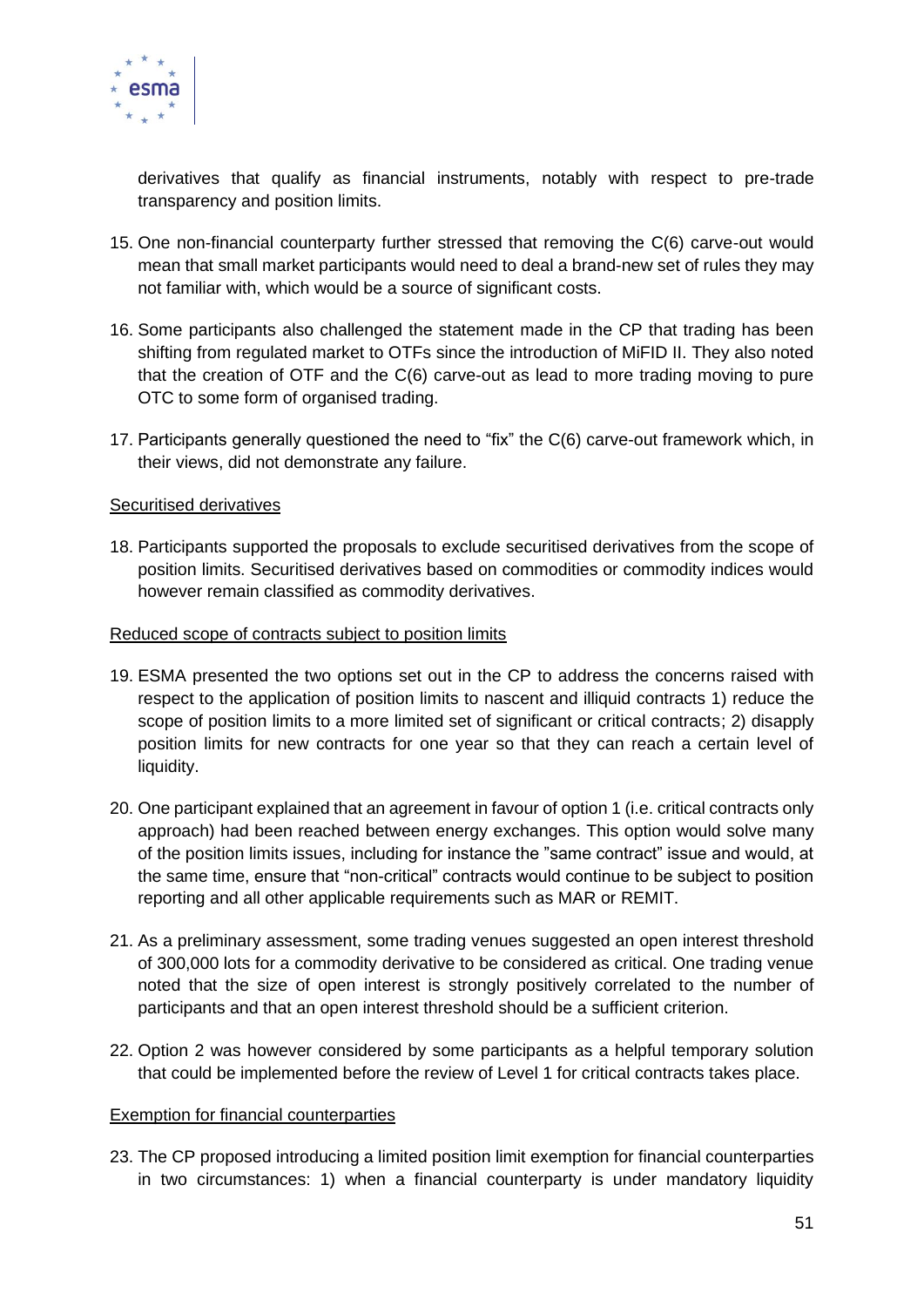

derivatives that qualify as financial instruments, notably with respect to pre-trade transparency and position limits.

- 15. One non-financial counterparty further stressed that removing the C(6) carve-out would mean that small market participants would need to deal a brand-new set of rules they may not familiar with, which would be a source of significant costs.
- 16. Some participants also challenged the statement made in the CP that trading has been shifting from regulated market to OTFs since the introduction of MiFID II. They also noted that the creation of OTF and the C(6) carve-out as lead to more trading moving to pure OTC to some form of organised trading.
- 17. Participants generally questioned the need to "fix" the C(6) carve-out framework which, in their views, did not demonstrate any failure.

#### Securitised derivatives

18. Participants supported the proposals to exclude securitised derivatives from the scope of position limits. Securitised derivatives based on commodities or commodity indices would however remain classified as commodity derivatives.

#### Reduced scope of contracts subject to position limits

- 19. ESMA presented the two options set out in the CP to address the concerns raised with respect to the application of position limits to nascent and illiquid contracts 1) reduce the scope of position limits to a more limited set of significant or critical contracts; 2) disapply position limits for new contracts for one year so that they can reach a certain level of liquidity.
- 20. One participant explained that an agreement in favour of option 1 (i.e. critical contracts only approach) had been reached between energy exchanges. This option would solve many of the position limits issues, including for instance the "same contract" issue and would, at the same time, ensure that "non-critical" contracts would continue to be subject to position reporting and all other applicable requirements such as MAR or REMIT.
- 21. As a preliminary assessment, some trading venues suggested an open interest threshold of 300,000 lots for a commodity derivative to be considered as critical. One trading venue noted that the size of open interest is strongly positively correlated to the number of participants and that an open interest threshold should be a sufficient criterion.
- 22. Option 2 was however considered by some participants as a helpful temporary solution that could be implemented before the review of Level 1 for critical contracts takes place.

#### Exemption for financial counterparties

23. The CP proposed introducing a limited position limit exemption for financial counterparties in two circumstances: 1) when a financial counterparty is under mandatory liquidity